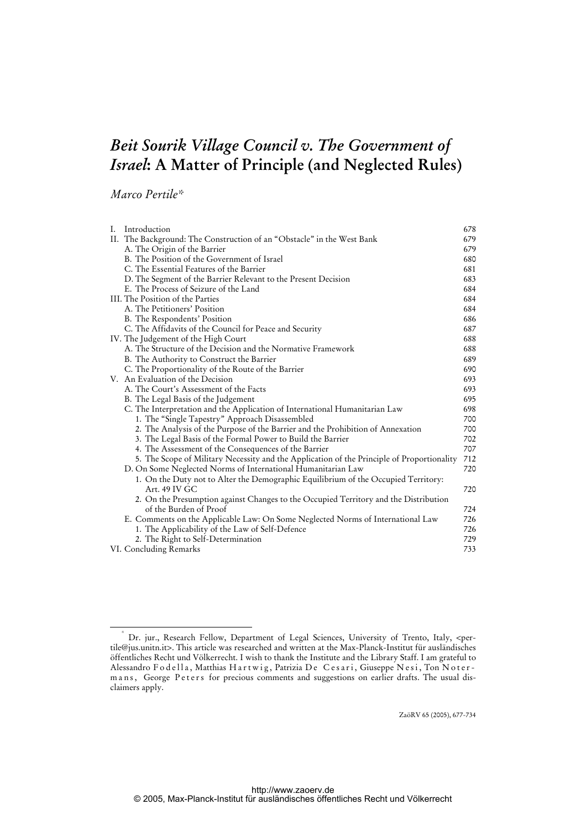# *Beit Sourik Village Council v. The Government of Israel***: A Matter of Principle (and Neglected Rules)**

*Marco Pertile\** 

| Ι. | Introduction                                                                               | 678 |
|----|--------------------------------------------------------------------------------------------|-----|
|    | II. The Background: The Construction of an "Obstacle" in the West Bank                     | 679 |
|    | A. The Origin of the Barrier                                                               | 679 |
|    | B. The Position of the Government of Israel                                                | 680 |
|    | C. The Essential Features of the Barrier                                                   | 681 |
|    | D. The Segment of the Barrier Relevant to the Present Decision                             | 683 |
|    | E. The Process of Seizure of the Land                                                      | 684 |
|    | III. The Position of the Parties                                                           | 684 |
|    | A. The Petitioners' Position                                                               | 684 |
|    | B. The Respondents' Position                                                               | 686 |
|    | C. The Affidavits of the Council for Peace and Security                                    | 687 |
|    | IV. The Judgement of the High Court                                                        | 688 |
|    | A. The Structure of the Decision and the Normative Framework                               | 688 |
|    | B. The Authority to Construct the Barrier                                                  | 689 |
|    | C. The Proportionality of the Route of the Barrier                                         | 690 |
|    | V. An Evaluation of the Decision                                                           | 693 |
|    | A. The Court's Assessment of the Facts                                                     | 693 |
|    | B. The Legal Basis of the Judgement                                                        | 695 |
|    | C. The Interpretation and the Application of International Humanitarian Law                | 698 |
|    | 1. The "Single Tapestry" Approach Disassembled                                             | 700 |
|    | 2. The Analysis of the Purpose of the Barrier and the Prohibition of Annexation            | 700 |
|    | 3. The Legal Basis of the Formal Power to Build the Barrier                                | 702 |
|    | 4. The Assessment of the Consequences of the Barrier                                       | 707 |
|    | 5. The Scope of Military Necessity and the Application of the Principle of Proportionality | 712 |
|    | D. On Some Neglected Norms of International Humanitarian Law                               | 720 |
|    | 1. On the Duty not to Alter the Demographic Equilibrium of the Occupied Territory:         |     |
|    | Art. 49 IV GC                                                                              | 720 |
|    | 2. On the Presumption against Changes to the Occupied Territory and the Distribution       |     |
|    | of the Burden of Proof                                                                     | 724 |
|    | E. Comments on the Applicable Law: On Some Neglected Norms of International Law            | 726 |
|    | 1. The Applicability of the Law of Self-Defence                                            | 726 |
|    | 2. The Right to Self-Determination                                                         | 729 |
|    | VI. Concluding Remarks                                                                     | 733 |

ZaöRV 65 (2005), 677-734

 $\frac{1}{2}$ Dr. jur., Research Fellow, Department of Legal Sciences, University of Trento, Italy, <pertile@jus.unitn.it>. This article was researched and written at the Max-Planck-Institut für ausländisches öffentliches Recht und Völkerrecht. I wish to thank the Institute and the Library Staff. I am grateful to Alessandro Fodella, Matthias Hartwig, Patrizia De Cesari, Giuseppe Nesi, Ton Notermans, George Peters for precious comments and suggestions on earlier drafts. The usual disclaimers apply.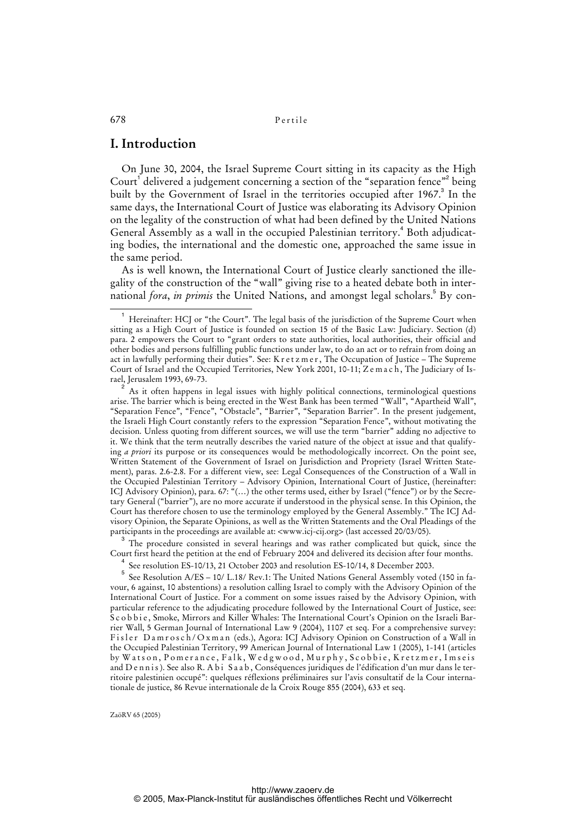# **I. Introduction**

On June 30, 2004, the Israel Supreme Court sitting in its capacity as the High Court<sup>1</sup> delivered a judgement concerning a section of the "separation fence"<sup>2</sup> being built by the Government of Israel in the territories occupied after 1967.<sup>3</sup> In the same days, the International Court of Justice was elaborating its Advisory Opinion on the legality of the construction of what had been defined by the United Nations General Assembly as a wall in the occupied Palestinian territory.<sup>4</sup> Both adjudicating bodies, the international and the domestic one, approached the same issue in the same period.

As is well known, the International Court of Justice clearly sanctioned the illegality of the construction of the "wall" giving rise to a heated debate both in international *fora, in primis* the United Nations, and amongst legal scholars.<sup>5</sup> By con-

2 As it often happens in legal issues with highly political connections, terminological questions arise. The barrier which is being erected in the West Bank has been termed "Wall", "Apartheid Wall", "Separation Fence", "Fence", "Obstacle", "Barrier", "Separation Barrier". In the present judgement, the Israeli High Court constantly refers to the expression "Separation Fence", without motivating the decision. Unless quoting from different sources, we will use the term "barrier" adding no adjective to it. We think that the term neutrally describes the varied nature of the object at issue and that qualifying *a priori* its purpose or its consequences would be methodologically incorrect. On the point see, Written Statement of the Government of Israel on Jurisdiction and Propriety (Israel Written Statement), paras. 2.6-2.8. For a different view, see: Legal Consequences of the Construction of a Wall in the Occupied Palestinian Territory – Advisory Opinion, International Court of Justice, (hereinafter: ICJ Advisory Opinion), para. 67: "(...) the other terms used, either by Israel ("fence") or by the Secretary General ("barrier"), are no more accurate if understood in the physical sense. In this Opinion, the Court has therefore chosen to use the terminology employed by the General Assembly." The ICJ Advisory Opinion, the Separate Opinions, as well as the Written Statements and the Oral Pleadings of the participants in the proceedings are available at: <www.icj-cij.org> (last accessed 20/03/05).

<sup>3</sup> The procedure consisted in several hearings and was rather complicated but quick, since the Court first heard the petition at the end of February 2004 and delivered its decision after four months.<br> $\frac{4}{5}$  6  $\frac{1}{1}$   $\frac{1}{1}$   $\frac{1}{1}$   $\frac{200}{1}$   $\frac{1}{1}$   $\frac{200}{1}$   $\frac{1}{1}$   $\frac{200}{1}$   $\frac{1}{1}$   $\frac{200}{$ 

See resolution ES-10/13, 21 October 2003 and resolution ES-10/14, 8 December 2003.

5 See Resolution A/ES – 10/ L.18/ Rev.1: The United Nations General Assembly voted (150 in favour, 6 against, 10 abstentions) a resolution calling Israel to comply with the Advisory Opinion of the International Court of Justice. For a comment on some issues raised by the Advisory Opinion, with particular reference to the adjudicating procedure followed by the International Court of Justice, see: Scobbie, Smoke, Mirrors and Killer Whales: The International Court's Opinion on the Israeli Barrier Wall, 5 German Journal of International Law 9 (2004), 1107 et seq. For a comprehensive survey: Fisler Damrosch/Oxman (eds.), Agora: ICJ Advisory Opinion on Construction of a Wall in the Occupied Palestinian Territory, 99 American Journal of International Law 1 (2005), 1-141 (articles by Watson, Pomerance, Falk, Wedgwood, Murphy, Scobbie, Kretzmer, Imseis and D e n n i s ). See also R. A b i S a a b, Conséquences juridiques de l'édification d'un mur dans le territoire palestinien occupé": quelques réflexions préliminaires sur l'avis consultatif de la Cour internationale de justice, 86 Revue internationale de la Croix Rouge 855 (2004), 633 et seq.

 $\overline{\phantom{0}}$ <sub>1</sub> Hereinafter: HCJ or "the Court". The legal basis of the jurisdiction of the Supreme Court when sitting as a High Court of Justice is founded on section 15 of the Basic Law: Judiciary. Section (d) para. 2 empowers the Court to "grant orders to state authorities, local authorities, their official and other bodies and persons fulfilling public functions under law, to do an act or to refrain from doing an act in lawfully performing their duties". See: K r e t z m e r , The Occupation of Justice – The Supreme Court of Israel and the Occupied Territories, New York 2001, 10-11; Zemach, The Judiciary of Israel, Jerusalem 1993, 69-73.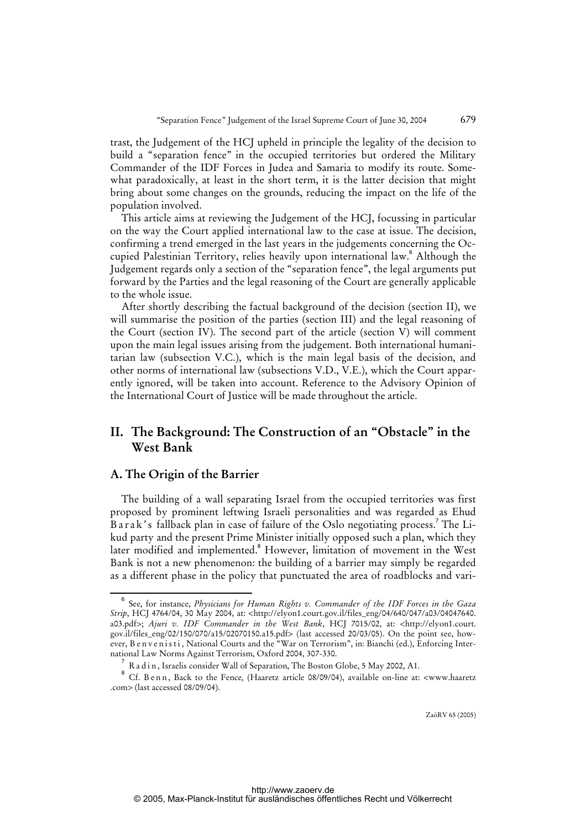trast, the Judgement of the HCJ upheld in principle the legality of the decision to build a "separation fence" in the occupied territories but ordered the Military Commander of the IDF Forces in Judea and Samaria to modify its route. Somewhat paradoxically, at least in the short term, it is the latter decision that might bring about some changes on the grounds, reducing the impact on the life of the population involved.

This article aims at reviewing the Judgement of the HCJ, focussing in particular on the way the Court applied international law to the case at issue. The decision, confirming a trend emerged in the last years in the judgements concerning the Occupied Palestinian Territory, relies heavily upon international law.<sup>6</sup> Although the Judgement regards only a section of the "separation fence", the legal arguments put forward by the Parties and the legal reasoning of the Court are generally applicable to the whole issue.

After shortly describing the factual background of the decision (section II), we will summarise the position of the parties (section III) and the legal reasoning of the Court (section IV). The second part of the article (section V) will comment upon the main legal issues arising from the judgement. Both international humanitarian law (subsection V.C.), which is the main legal basis of the decision, and other norms of international law (subsections V.D., V.E.), which the Court apparently ignored, will be taken into account. Reference to the Advisory Opinion of the International Court of Justice will be made throughout the article.

# **II. The Background: The Construction of an "Obstacle" in the West Bank**

### **A. The Origin of the Barrier**

The building of a wall separating Israel from the occupied territories was first proposed by prominent leftwing Israeli personalities and was regarded as Ehud Barak's fallback plan in case of failure of the Oslo negotiating process.<sup>7</sup> The Likud party and the present Prime Minister initially opposed such a plan, which they later modified and implemented.<sup>8</sup> However, limitation of movement in the West Bank is not a new phenomenon: the building of a barrier may simply be regarded as a different phase in the policy that punctuated the area of roadblocks and vari-

 $\overline{6}$  See, for instance, *Physicians for Human Rights v. Commander of the IDF Forces in the Gaza Strip*, HCJ 4764/04, 30 May 2004, at: [<http://elyon1.court.gov.il/files\\_eng/04/640/047/a03/04047640.](http://elyon1.court.gov.il/files_eng/04/640/047/a03/04047640) a03.pdf>; *Ajuri v. IDF Commander in the West Bank*, HCJ 7015/02, at: [<http://elyon1.court.](http://elyon1.court) gov.il/files\_eng/02/150/070/a15/02070150.a15.pdf> (last accessed 20/03/05). On the point see, however, B e n v e n i s t i, National Courts and the "War on Terrorism", in: Bianchi (ed.), Enforcing International Law Norms Against Terrorism, Oxford 2004, 307-330.

 $^7$  R a d i n, Israelis consider Wall of Separation, The Boston Globe, 5 May 2002, A1.

<sup>8</sup> Cf. B e n n, Back to the Fence, (Haaretz article 08/09/04), available on-line at: <www.haaretz .com> (last accessed 08/09/04).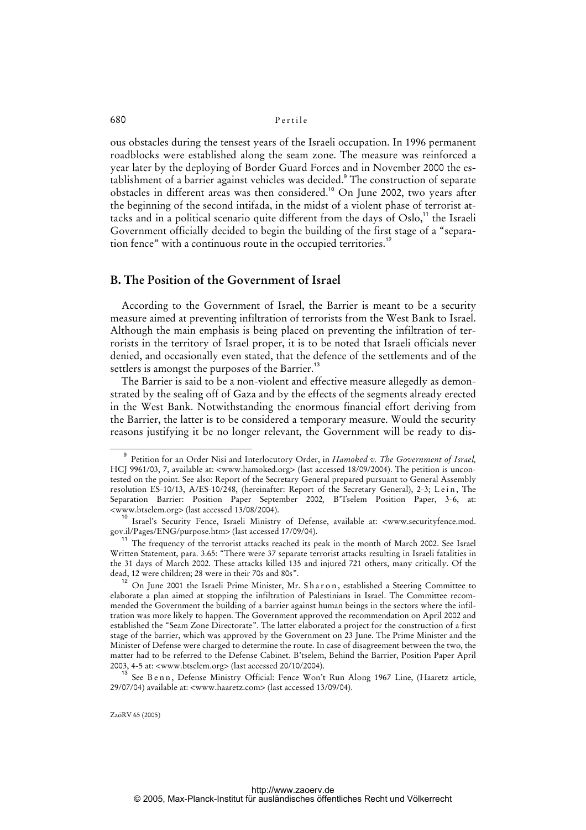ous obstacles during the tensest years of the Israeli occupation. In 1996 permanent roadblocks were established along the seam zone. The measure was reinforced a year later by the deploying of Border Guard Forces and in November 2000 the establishment of a barrier against vehicles was decided.<sup>9</sup> The construction of separate obstacles in different areas was then considered.<sup>10</sup> On June 2002, two years after the beginning of the second intifada, in the midst of a violent phase of terrorist attacks and in a political scenario quite different from the days of  $Oslo<sub>1</sub><sup>11</sup>$  the Israeli Government officially decided to begin the building of the first stage of a "separation fence" with a continuous route in the occupied territories.<sup>12</sup>

### **B. The Position of the Government of Israel**

According to the Government of Israel, the Barrier is meant to be a security measure aimed at preventing infiltration of terrorists from the West Bank to Israel. Although the main emphasis is being placed on preventing the infiltration of terrorists in the territory of Israel proper, it is to be noted that Israeli officials never denied, and occasionally even stated, that the defence of the settlements and of the settlers is amongst the purposes of the Barrier.<sup>13</sup>

The Barrier is said to be a non-violent and effective measure allegedly as demonstrated by the sealing off of Gaza and by the effects of the segments already erected in the West Bank. Notwithstanding the enormous financial effort deriving from the Barrier, the latter is to be considered a temporary measure. Would the security reasons justifying it be no longer relevant, the Government will be ready to dis-

<sup>9</sup> Petition for an Order Nisi and Interlocutory Order, in *Hamoked v. The Government of Israel,*  HCJ 9961/03, 7, available at: <www.hamoked.org> (last accessed 18/09/2004). The petition is uncontested on the point. See also: Report of the Secretary General prepared pursuant to General Assembly resolution ES-10/13, A/ES-10/248, (hereinafter: Report of the Secretary General), 2-3; Lein, The Separation Barrier: Position Paper September 2002*,* B'Tselem Position Paper, 3-6, at: <www.btselem.org> (last accessed 13/08/2004).

<sup>&</sup>lt;sup>10</sup> Israel's Security Fence, Israeli Ministry of Defense, available at: <www.securityfence.mod. gov.il/Pages/ENG/purpose.htm> (last accessed 17/09/04).

<sup>&</sup>lt;sup>11</sup> The frequency of the terrorist attacks reached its peak in the month of March 2002. See Israel Written Statement, para. 3.65: "There were 37 separate terrorist attacks resulting in Israeli fatalities in the 31 days of March 2002. These attacks killed 135 and injured 721 others, many critically. Of the dead, 12 were children; 28 were in their 70s and 80s".

<sup>&</sup>lt;sup>12</sup> On June 2001 the Israeli Prime Minister, Mr. Sharon, established a Steering Committee to elaborate a plan aimed at stopping the infiltration of Palestinians in Israel. The Committee recommended the Government the building of a barrier against human beings in the sectors where the infiltration was more likely to happen. The Government approved the recommendation on April 2002 and established the "Seam Zone Directorate". The latter elaborated a project for the construction of a first stage of the barrier, which was approved by the Government on 23 June. The Prime Minister and the Minister of Defense were charged to determine the route. In case of disagreement between the two, the matter had to be referred to the Defense Cabinet. B'tselem, Behind the Barrier, Position Paper April 2003, 4-5 at: <www.btselem.org> (last accessed 20/10/2004).

<sup>&</sup>lt;sup>13</sup> See Benn, Defense Ministry Official: Fence Won't Run Along 1967 Line, (Haaretz article, 29/07/04) available at: <www.haaretz.com> (last accessed 13/09/04).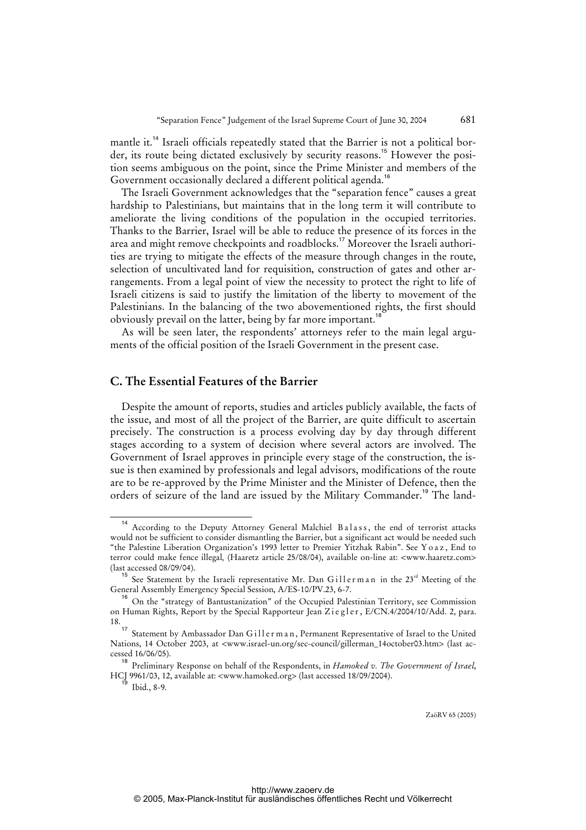mantle it.<sup>14</sup> Israeli officials repeatedly stated that the Barrier is not a political border, its route being dictated exclusively by security reasons.<sup>15</sup> However the position seems ambiguous on the point, since the Prime Minister and members of the Government occasionally declared a different political agenda.<sup>16</sup>

The Israeli Government acknowledges that the "separation fence" causes a great hardship to Palestinians, but maintains that in the long term it will contribute to ameliorate the living conditions of the population in the occupied territories. Thanks to the Barrier, Israel will be able to reduce the presence of its forces in the area and might remove checkpoints and roadblocks.<sup>17</sup> Moreover the Israeli authorities are trying to mitigate the effects of the measure through changes in the route, selection of uncultivated land for requisition, construction of gates and other arrangements. From a legal point of view the necessity to protect the right to life of Israeli citizens is said to justify the limitation of the liberty to movement of the Palestinians. In the balancing of the two abovementioned rights, the first should obviously prevail on the latter, being by far more important.<sup>18</sup>

As will be seen later, the respondents' attorneys refer to the main legal arguments of the official position of the Israeli Government in the present case.

### **C. The Essential Features of the Barrier**

Despite the amount of reports, studies and articles publicly available, the facts of the issue, and most of all the project of the Barrier, are quite difficult to ascertain precisely. The construction is a process evolving day by day through different stages according to a system of decision where several actors are involved. The Government of Israel approves in principle every stage of the construction, the issue is then examined by professionals and legal advisors, modifications of the route are to be re-approved by the Prime Minister and the Minister of Defence, then the orders of seizure of the land are issued by the Military Commander.<sup>19</sup> The land-

According to the Deputy Attorney General Malchiel Balass, the end of terrorist attacks would not be sufficient to consider dismantling the Barrier, but a significant act would be needed such "the Palestine Liberation Organization's 1993 letter to Premier Yitzhak Rabin". See Y o a z , End to terror could make fence illegal*,* (Haaretz article 25/08/04), available on-line at: <www.haaretz.com> (last accessed 08/09/04).

<sup>&</sup>lt;sup>15</sup> See Statement by the Israeli representative Mr. Dan Gillerman in the  $23<sup>rd</sup>$  Meeting of the General Assembly Emergency Special Session, A/ES-10/PV.23, 6-7.

<sup>&</sup>lt;sup>16</sup> On the "strategy of Bantustanization" of the Occupied Palestinian Territory, see Commission on Human Rights, Report by the Special Rapporteur Jean Ziegler, E/CN.4/2004/10/Add. 2, para. 18.

<sup>&</sup>lt;sup>17</sup> Statement by Ambassador Dan Gill e r m a n, Permanent Representative of Israel to the United Nations, 14 October 2003, at <www.israel-un.org/sec-council/gillerman\_14october03.htm> (last accessed 16/06/05).

<sup>18</sup> Preliminary Response on behalf of the Respondents, in *Hamoked v. The Government of Israel*, HCJ 9961/03, 12, available at: <www.hamoked.org> (last accessed 18/09/2004).

Ibid., 8-9.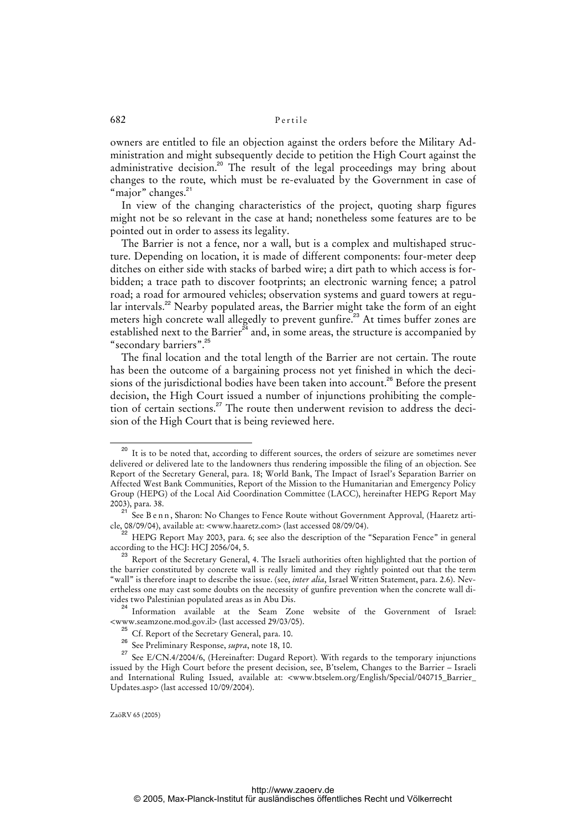owners are entitled to file an objection against the orders before the Military Administration and might subsequently decide to petition the High Court against the administrative decision.<sup>20</sup> The result of the legal proceedings may bring about changes to the route, which must be re-evaluated by the Government in case of "major" changes.<sup>21</sup>

In view of the changing characteristics of the project, quoting sharp figures might not be so relevant in the case at hand; nonetheless some features are to be pointed out in order to assess its legality.

The Barrier is not a fence, nor a wall, but is a complex and multishaped structure. Depending on location, it is made of different components: four-meter deep ditches on either side with stacks of barbed wire; a dirt path to which access is forbidden; a trace path to discover footprints; an electronic warning fence; a patrol road; a road for armoured vehicles; observation systems and guard towers at regular intervals.<sup>22</sup> Nearby populated areas, the Barrier might take the form of an eight meters high concrete wall allegedly to prevent gunfire.<sup>23</sup> At times buffer zones are established next to the Barrier<sup>24</sup> and, in some areas, the structure is accompanied by "secondary barriers".<sup>25</sup>

The final location and the total length of the Barrier are not certain. The route has been the outcome of a bargaining process not yet finished in which the decisions of the jurisdictional bodies have been taken into account.<sup>26</sup> Before the present decision, the High Court issued a number of injunctions prohibiting the completion of certain sections.<sup>27</sup> The route then underwent revision to address the decision of the High Court that is being reviewed here.

<sup>&</sup>lt;sup>20</sup> It is to be noted that, according to different sources, the orders of seizure are sometimes never delivered or delivered late to the landowners thus rendering impossible the filing of an objection. See Report of the Secretary General, para. 18; World Bank, The Impact of Israel's Separation Barrier on Affected West Bank Communities, Report of the Mission to the Humanitarian and Emergency Policy Group (HEPG) of the Local Aid Coordination Committee (LACC), hereinafter HEPG Report May 2003), para. 38.

<sup>21</sup> See B e n n , Sharon: No Changes to Fence Route without Government Approval*,* (Haaretz article, 08/09/04), available at: <www.haaretz.com> (last accessed 08/09/04).

<sup>22</sup> HEPG Report May 2003, para. 6; see also the description of the "Separation Fence" in general according to the HCJ: HCJ 2056/04, 5.

<sup>&</sup>lt;sup>23</sup> Report of the Secretary General, 4. The Israeli authorities often highlighted that the portion of the barrier constituted by concrete wall is really limited and they rightly pointed out that the term "wall" is therefore inapt to describe the issue. (see, *inter alia*, Israel Written Statement, para. 2.6). Nevertheless one may cast some doubts on the necessity of gunfire prevention when the concrete wall divides two Palestinian populated areas as in Abu Dis.

<sup>&</sup>lt;sup>24</sup> Information available at the Seam Zone website of the Government of Israel: <www.seamzone.mod.gov.il> (last accessed 29/03/05).

<sup>&</sup>lt;sup>25</sup> Cf. Report of the Secretary General, para. 10.

<sup>26</sup> See Preliminary Response, *supra*, note 18, 10.

<sup>&</sup>lt;sup>27</sup> See E/CN.4/2004/6, (Hereinafter: Dugard Report). With regards to the temporary injunctions issued by the High Court before the present decision, see, B'tselem, Changes to the Barrier – Israeli and International Ruling Issued, available at: <www.btselem.org/English/Special/040715\_Barrier\_ Updates.asp> (last accessed 10/09/2004).

ZaöRV 65 (2005)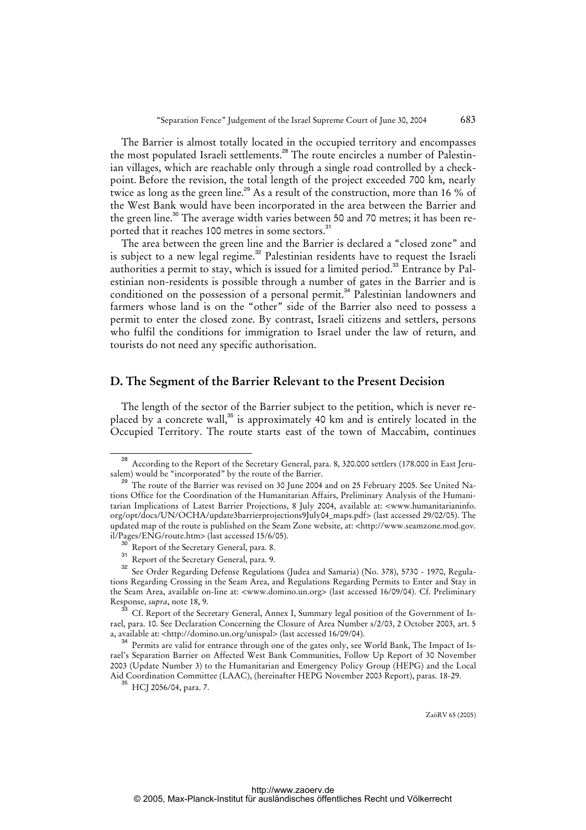The Barrier is almost totally located in the occupied territory and encompasses the most populated Israeli settlements.<sup>28</sup> The route encircles a number of Palestinian villages, which are reachable only through a single road controlled by a checkpoint. Before the revision, the total length of the project exceeded 700 km, nearly twice as long as the green line.<sup>29</sup> As a result of the construction, more than 16 % of the West Bank would have been incorporated in the area between the Barrier and the green line.<sup>30</sup> The average width varies between 50 and 70 metres; it has been reported that it reaches 100 metres in some sectors.<sup>31</sup>

The area between the green line and the Barrier is declared a "closed zone" and is subject to a new legal regime.<sup>32</sup> Palestinian residents have to request the Israeli authorities a permit to stay, which is issued for a limited period.<sup>33</sup> Entrance by Palestinian non-residents is possible through a number of gates in the Barrier and is conditioned on the possession of a personal permit.<sup>34</sup> Palestinian landowners and farmers whose land is on the "other" side of the Barrier also need to possess a permit to enter the closed zone. By contrast, Israeli citizens and settlers, persons who fulfil the conditions for immigration to Israel under the law of return, and tourists do not need any specific authorisation.

### **D. The Segment of the Barrier Relevant to the Present Decision**

The length of the sector of the Barrier subject to the petition, which is never replaced by a concrete wall, $^{35}$  is approximately 40 km and is entirely located in the Occupied Territory. The route starts east of the town of Maccabim, continues

<sup>&</sup>lt;sup>28</sup> According to the Report of the Secretary General, para. 8, 320.000 settlers (178.000 in East Jerusalem) would be "incorporated" by the route of the Barrier.

The route of the Barrier was revised on 30 June 2004 and on 25 February 2005. See United Nations Office for the Coordination of the Humanitarian Affairs, Preliminary Analysis of the Humanitarian Implications of Latest Barrier Projections, 8 July 2004, available at: <www.humanitarianinfo. org/opt/docs/UN/OCHA/update3barrierprojections9July04\_maps.pdf> (last accessed 29/02/05). The updated map of the route is published on the Seam Zone website, at: [<http://www.seamzone.mod.gov.](http://www.seamzone.mod.gov) il/Pages/ENG/route.htm> (last accessed 15/6/05).

Report of the Secretary General, para. 8.

<sup>&</sup>lt;sup>31</sup> Report of the Secretary General, para. 9.

<sup>&</sup>lt;sup>32</sup> See Order Regarding Defense Regulations (Judea and Samaria) (No. 378), 5730 - 1970, Regulations Regarding Crossing in the Seam Area, and Regulations Regarding Permits to Enter and Stay in the Seam Area, available on-line at: <www.domino.un.org> (last accessed 16/09/04). Cf. Preliminary Response, *supra*, note 18, 9.

 $^{33}$  Cf. Report of the Secretary General, Annex I, Summary legal position of the Government of Israel, para. 10. See Declaration Concerning the Closure of Area Number s/2/03, 2 October 2003, art. 5 a, available at: [<http://domino.un.org/unispal>](http://domino.un.org/unispal) (last accessed 16/09/04).

<sup>&</sup>lt;sup>34</sup> Permits are valid for entrance through one of the gates only, see World Bank, The Impact of Israel's Separation Barrier on Affected West Bank Communities, Follow Up Report of 30 November 2003 (Update Number 3) to the Humanitarian and Emergency Policy Group (HEPG) and the Local Aid Coordination Committee (LAAC), (hereinafter HEPG November 2003 Report), paras. 18-29.

 $35$  HCI 2056/04, para. 7.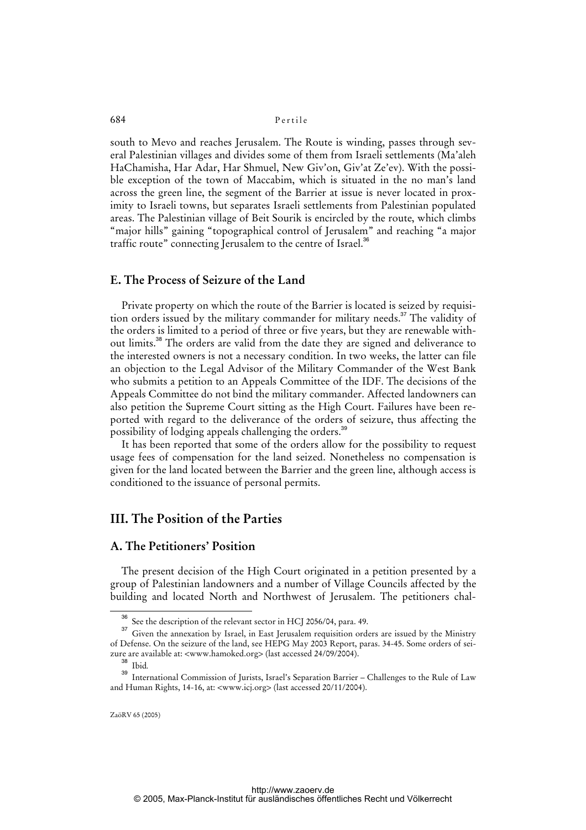south to Mevo and reaches Jerusalem. The Route is winding, passes through several Palestinian villages and divides some of them from Israeli settlements (Ma'aleh HaChamisha, Har Adar, Har Shmuel, New Giv'on, Giv'at Ze'ev). With the possible exception of the town of Maccabim, which is situated in the no man's land across the green line, the segment of the Barrier at issue is never located in proximity to Israeli towns, but separates Israeli settlements from Palestinian populated areas. The Palestinian village of Beit Sourik is encircled by the route, which climbs "major hills" gaining "topographical control of Jerusalem" and reaching "a major traffic route" connecting Jerusalem to the centre of Israel.<sup>36</sup>

### **E. The Process of Seizure of the Land**

Private property on which the route of the Barrier is located is seized by requisition orders issued by the military commander for military needs.<sup>37</sup> The validity of the orders is limited to a period of three or five years, but they are renewable without limits.<sup>38</sup> The orders are valid from the date they are signed and deliverance to the interested owners is not a necessary condition. In two weeks, the latter can file an objection to the Legal Advisor of the Military Commander of the West Bank who submits a petition to an Appeals Committee of the IDF. The decisions of the Appeals Committee do not bind the military commander. Affected landowners can also petition the Supreme Court sitting as the High Court. Failures have been reported with regard to the deliverance of the orders of seizure, thus affecting the possibility of lodging appeals challenging the orders.<sup>39</sup>

It has been reported that some of the orders allow for the possibility to request usage fees of compensation for the land seized. Nonetheless no compensation is given for the land located between the Barrier and the green line, although access is conditioned to the issuance of personal permits.

# **III. The Position of the Parties**

### **A. The Petitioners' Position**

The present decision of the High Court originated in a petition presented by a group of Palestinian landowners and a number of Village Councils affected by the building and located North and Northwest of Jerusalem. The petitioners chal-

See the description of the relevant sector in HCJ 2056/04, para. 49.

<sup>&</sup>lt;sup>37</sup> Given the annexation by Israel, in East Jerusalem requisition orders are issued by the Ministry of Defense. On the seizure of the land, see HEPG May 2003 Report, paras. 34-45. Some orders of seizure are available at: <www.hamoked.org> (last accessed 24/09/2004).

<sup>38</sup> Ibid*.*

<sup>39</sup> International Commission of Jurists, Israel's Separation Barrier – Challenges to the Rule of Law and Human Rights, 14-16, at: <www.icj.org> (last accessed 20/11/2004).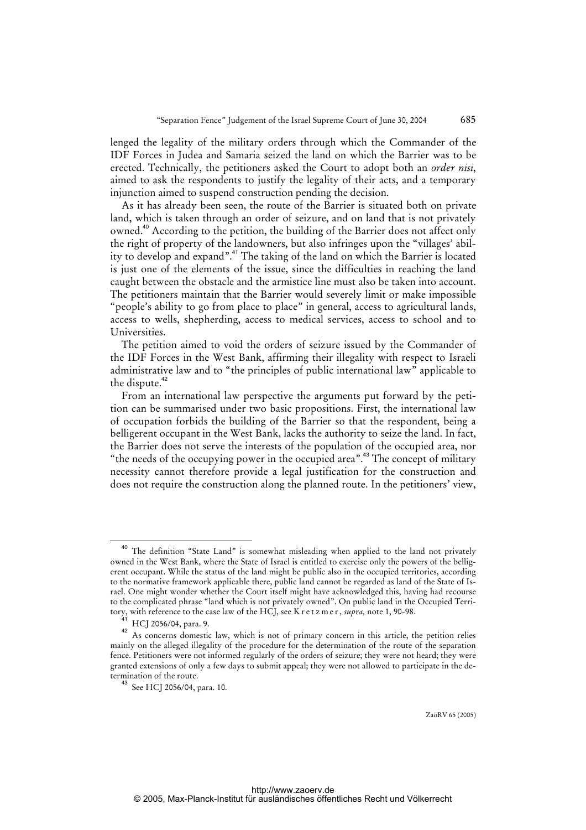lenged the legality of the military orders through which the Commander of the IDF Forces in Judea and Samaria seized the land on which the Barrier was to be erected. Technically, the petitioners asked the Court to adopt both an *order nisi*, aimed to ask the respondents to justify the legality of their acts, and a temporary injunction aimed to suspend construction pending the decision.

As it has already been seen, the route of the Barrier is situated both on private land, which is taken through an order of seizure, and on land that is not privately owned.<sup>40</sup> According to the petition, the building of the Barrier does not affect only the right of property of the landowners, but also infringes upon the "villages' ability to develop and expand".<sup>41</sup> The taking of the land on which the Barrier is located is just one of the elements of the issue, since the difficulties in reaching the land caught between the obstacle and the armistice line must also be taken into account. The petitioners maintain that the Barrier would severely limit or make impossible "people's ability to go from place to place" in general, access to agricultural lands, access to wells, shepherding, access to medical services, access to school and to Universities.

The petition aimed to void the orders of seizure issued by the Commander of the IDF Forces in the West Bank, affirming their illegality with respect to Israeli administrative law and to "the principles of public international law" applicable to the dispute.<sup>42</sup>

From an international law perspective the arguments put forward by the petition can be summarised under two basic propositions. First, the international law of occupation forbids the building of the Barrier so that the respondent, being a belligerent occupant in the West Bank, lacks the authority to seize the land. In fact, the Barrier does not serve the interests of the population of the occupied area, nor "the needs of the occupying power in the occupied area".<sup>43</sup> The concept of military necessity cannot therefore provide a legal justification for the construction and does not require the construction along the planned route. In the petitioners' view,

The definition "State Land" is somewhat misleading when applied to the land not privately owned in the West Bank, where the State of Israel is entitled to exercise only the powers of the belligerent occupant. While the status of the land might be public also in the occupied territories, according to the normative framework applicable there, public land cannot be regarded as land of the State of Israel. One might wonder whether the Court itself might have acknowledged this, having had recourse to the complicated phrase "land which is not privately owned". On public land in the Occupied Territory, with reference to the case law of the HCJ, see K r e t z m e r , *supra,* note 1, 90-98.

HCJ 2056/04, para. 9.

<sup>42</sup> As concerns domestic law, which is not of primary concern in this article, the petition relies mainly on the alleged illegality of the procedure for the determination of the route of the separation fence. Petitioners were not informed regularly of the orders of seizure; they were not heard; they were granted extensions of only a few days to submit appeal; they were not allowed to participate in the determination of the route.

<sup>43</sup> See HCJ 2056/04, para. 10.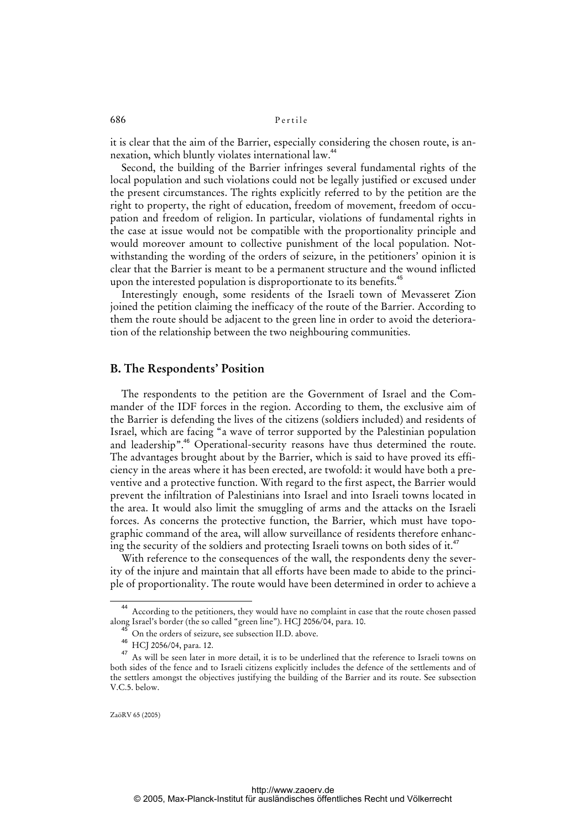it is clear that the aim of the Barrier, especially considering the chosen route, is annexation, which bluntly violates international law.<sup>44</sup>

Second, the building of the Barrier infringes several fundamental rights of the local population and such violations could not be legally justified or excused under the present circumstances. The rights explicitly referred to by the petition are the right to property, the right of education, freedom of movement, freedom of occupation and freedom of religion. In particular, violations of fundamental rights in the case at issue would not be compatible with the proportionality principle and would moreover amount to collective punishment of the local population. Notwithstanding the wording of the orders of seizure, in the petitioners' opinion it is clear that the Barrier is meant to be a permanent structure and the wound inflicted upon the interested population is disproportionate to its benefits.<sup>45</sup>

Interestingly enough, some residents of the Israeli town of Mevasseret Zion joined the petition claiming the inefficacy of the route of the Barrier. According to them the route should be adjacent to the green line in order to avoid the deterioration of the relationship between the two neighbouring communities.

### **B. The Respondents' Position**

The respondents to the petition are the Government of Israel and the Commander of the IDF forces in the region. According to them, the exclusive aim of the Barrier is defending the lives of the citizens (soldiers included) and residents of Israel, which are facing "a wave of terror supported by the Palestinian population and leadership".<sup>46</sup> Operational-security reasons have thus determined the route. The advantages brought about by the Barrier, which is said to have proved its efficiency in the areas where it has been erected, are twofold: it would have both a preventive and a protective function. With regard to the first aspect, the Barrier would prevent the infiltration of Palestinians into Israel and into Israeli towns located in the area. It would also limit the smuggling of arms and the attacks on the Israeli forces. As concerns the protective function, the Barrier, which must have topographic command of the area, will allow surveillance of residents therefore enhancing the security of the soldiers and protecting Israeli towns on both sides of it.<sup>47</sup>

With reference to the consequences of the wall, the respondents deny the severity of the injure and maintain that all efforts have been made to abide to the principle of proportionality. The route would have been determined in order to achieve a

<sup>44</sup> According to the petitioners, they would have no complaint in case that the route chosen passed along Israel's border (the so called "green line"). HCJ 2056/04, para. 10.

<sup>&</sup>lt;sup>45</sup> On the orders of seizure, see subsection II.D. above.<br><sup>46</sup> LICL2256/04

 $^{46}$  HCJ 2056/04, para. 12.

<sup>47</sup> As will be seen later in more detail, it is to be underlined that the reference to Israeli towns on both sides of the fence and to Israeli citizens explicitly includes the defence of the settlements and of the settlers amongst the objectives justifying the building of the Barrier and its route. See subsection V.C.5. below.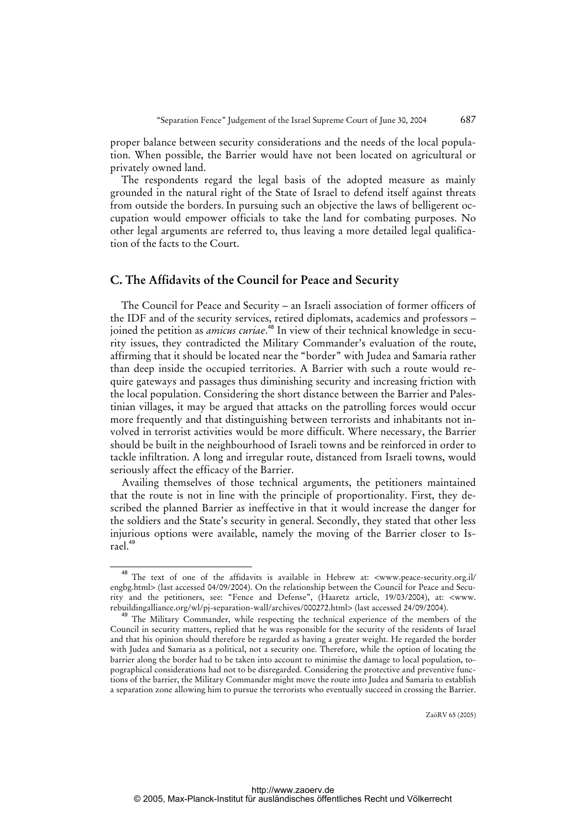proper balance between security considerations and the needs of the local population. When possible, the Barrier would have not been located on agricultural or privately owned land.

The respondents regard the legal basis of the adopted measure as mainly grounded in the natural right of the State of Israel to defend itself against threats from outside the borders.In pursuing such an objective the laws of belligerent occupation would empower officials to take the land for combating purposes. No other legal arguments are referred to, thus leaving a more detailed legal qualification of the facts to the Court.

### **C. The Affidavits of the Council for Peace and Security**

The Council for Peace and Security – an Israeli association of former officers of the IDF and of the security services, retired diplomats, academics and professors – joined the petition as *amicus curiae*. <sup>48</sup> In view of their technical knowledge in security issues, they contradicted the Military Commander's evaluation of the route, affirming that it should be located near the "border" with Judea and Samaria rather than deep inside the occupied territories. A Barrier with such a route would require gateways and passages thus diminishing security and increasing friction with the local population. Considering the short distance between the Barrier and Palestinian villages, it may be argued that attacks on the patrolling forces would occur more frequently and that distinguishing between terrorists and inhabitants not involved in terrorist activities would be more difficult. Where necessary, the Barrier should be built in the neighbourhood of Israeli towns and be reinforced in order to tackle infiltration. A long and irregular route, distanced from Israeli towns, would seriously affect the efficacy of the Barrier.

Availing themselves of those technical arguments, the petitioners maintained that the route is not in line with the principle of proportionality. First, they described the planned Barrier as ineffective in that it would increase the danger for the soldiers and the State's security in general. Secondly, they stated that other less injurious options were available, namely the moving of the Barrier closer to Israel.<sup>49</sup>

<sup>&</sup>lt;sup>48</sup> The text of one of the affidavits is available in Hebrew at: <www.peace-security.org.il/ engbg.html> (last accessed 04/09/2004). On the relationship between the Council for Peace and Security and the petitioners, see: "Fence and Defense", (Haaretz article, 19/03/2004), at: <www. rebuildingalliance.org/wl/pj-separation-wall/archives/000272.html> (last accessed 24/09/2004).

<sup>&</sup>lt;sup>49</sup> The Military Commander, while respecting the technical experience of the members of the Council in security matters, replied that he was responsible for the security of the residents of Israel and that his opinion should therefore be regarded as having a greater weight. He regarded the border with Judea and Samaria as a political, not a security one. Therefore, while the option of locating the barrier along the border had to be taken into account to minimise the damage to local population, topographical considerations had not to be disregarded. Considering the protective and preventive functions of the barrier, the Military Commander might move the route into Judea and Samaria to establish a separation zone allowing him to pursue the terrorists who eventually succeed in crossing the Barrier.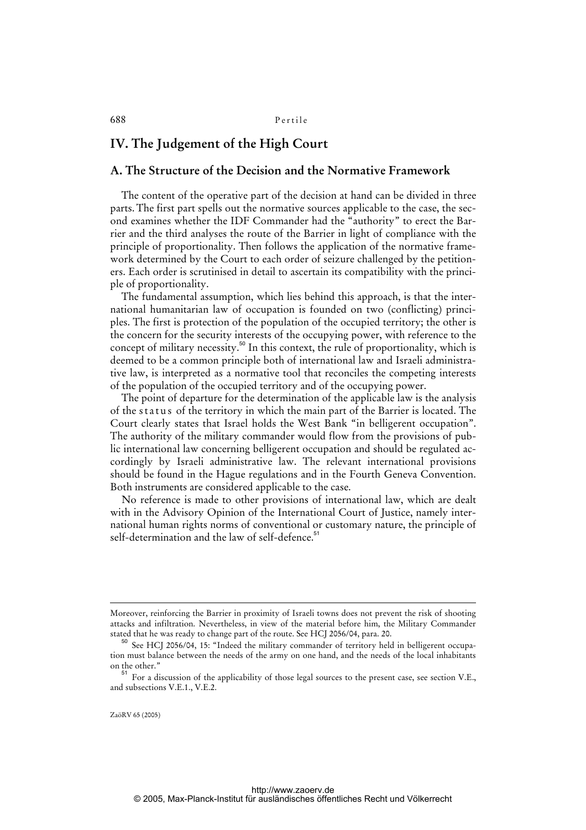# **IV. The Judgement of the High Court**

### **A. The Structure of the Decision and the Normative Framework**

The content of the operative part of the decision at hand can be divided in three parts. The first part spells out the normative sources applicable to the case, the second examines whether the IDF Commander had the "authority" to erect the Barrier and the third analyses the route of the Barrier in light of compliance with the principle of proportionality. Then follows the application of the normative framework determined by the Court to each order of seizure challenged by the petitioners. Each order is scrutinised in detail to ascertain its compatibility with the principle of proportionality.

The fundamental assumption, which lies behind this approach, is that the international humanitarian law of occupation is founded on two (conflicting) principles. The first is protection of the population of the occupied territory; the other is the concern for the security interests of the occupying power, with reference to the concept of military necessity.<sup>50</sup> In this context, the rule of proportionality, which is deemed to be a common principle both of international law and Israeli administrative law, is interpreted as a normative tool that reconciles the competing interests of the population of the occupied territory and of the occupying power.

The point of departure for the determination of the applicable law is the analysis of the status of the territory in which the main part of the Barrier is located. The Court clearly states that Israel holds the West Bank "in belligerent occupation". The authority of the military commander would flow from the provisions of public international law concerning belligerent occupation and should be regulated accordingly by Israeli administrative law. The relevant international provisions should be found in the Hague regulations and in the Fourth Geneva Convention. Both instruments are considered applicable to the case.

No reference is made to other provisions of international law, which are dealt with in the Advisory Opinion of the International Court of Justice, namely international human rights norms of conventional or customary nature, the principle of self-determination and the law of self-defence.<sup>51</sup>

ZaöRV 65 (2005)

1

Moreover, reinforcing the Barrier in proximity of Israeli towns does not prevent the risk of shooting attacks and infiltration. Nevertheless, in view of the material before him, the Military Commander stated that he was ready to change part of the route. See HCJ 2056/04, para. 20.

<sup>50</sup> See HCJ 2056/04, 15: "Indeed the military commander of territory held in belligerent occupation must balance between the needs of the army on one hand, and the needs of the local inhabitants on the other."

<sup>51</sup> For a discussion of the applicability of those legal sources to the present case, see section V.E., and subsections V.E.1., V.E.2.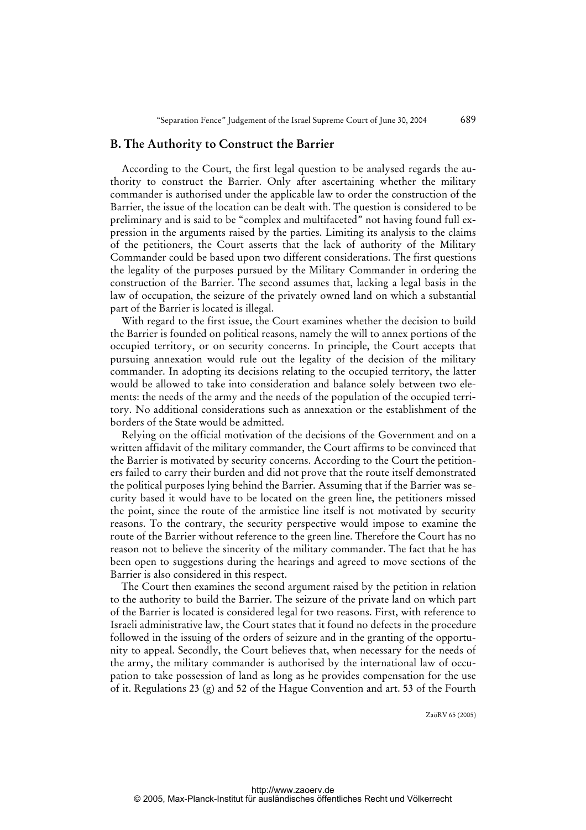### **B. The Authority to Construct the Barrier**

According to the Court, the first legal question to be analysed regards the authority to construct the Barrier. Only after ascertaining whether the military commander is authorised under the applicable law to order the construction of the Barrier, the issue of the location can be dealt with. The question is considered to be preliminary and is said to be "complex and multifaceted" not having found full expression in the arguments raised by the parties. Limiting its analysis to the claims of the petitioners, the Court asserts that the lack of authority of the Military Commander could be based upon two different considerations. The first questions the legality of the purposes pursued by the Military Commander in ordering the construction of the Barrier. The second assumes that, lacking a legal basis in the law of occupation, the seizure of the privately owned land on which a substantial part of the Barrier is located is illegal.

With regard to the first issue, the Court examines whether the decision to build the Barrier is founded on political reasons, namely the will to annex portions of the occupied territory, or on security concerns. In principle, the Court accepts that pursuing annexation would rule out the legality of the decision of the military commander. In adopting its decisions relating to the occupied territory, the latter would be allowed to take into consideration and balance solely between two elements: the needs of the army and the needs of the population of the occupied territory. No additional considerations such as annexation or the establishment of the borders of the State would be admitted.

Relying on the official motivation of the decisions of the Government and on a written affidavit of the military commander, the Court affirms to be convinced that the Barrier is motivated by security concerns. According to the Court the petitioners failed to carry their burden and did not prove that the route itself demonstrated the political purposes lying behind the Barrier. Assuming that if the Barrier was security based it would have to be located on the green line, the petitioners missed the point, since the route of the armistice line itself is not motivated by security reasons. To the contrary, the security perspective would impose to examine the route of the Barrier without reference to the green line. Therefore the Court has no reason not to believe the sincerity of the military commander. The fact that he has been open to suggestions during the hearings and agreed to move sections of the Barrier is also considered in this respect.

The Court then examines the second argument raised by the petition in relation to the authority to build the Barrier. The seizure of the private land on which part of the Barrier is located is considered legal for two reasons. First, with reference to Israeli administrative law, the Court states that it found no defects in the procedure followed in the issuing of the orders of seizure and in the granting of the opportunity to appeal. Secondly, the Court believes that, when necessary for the needs of the army, the military commander is authorised by the international law of occupation to take possession of land as long as he provides compensation for the use of it. Regulations 23 (g) and 52 of the Hague Convention and art. 53 of the Fourth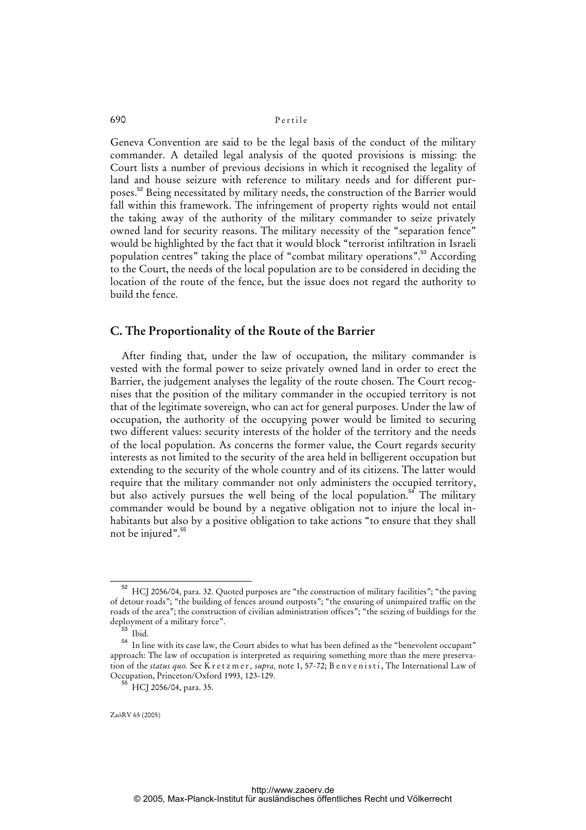Geneva Convention are said to be the legal basis of the conduct of the military commander. A detailed legal analysis of the quoted provisions is missing: the Court lists a number of previous decisions in which it recognised the legality of land and house seizure with reference to military needs and for different purposes.<sup>52</sup> Being necessitated by military needs, the construction of the Barrier would fall within this framework. The infringement of property rights would not entail the taking away of the authority of the military commander to seize privately owned land for security reasons. The military necessity of the "separation fence" would be highlighted by the fact that it would block "terrorist infiltration in Israeli population centres" taking the place of "combat military operations".<sup>53</sup> According to the Court, the needs of the local population are to be considered in deciding the location of the route of the fence, but the issue does not regard the authority to build the fence.

### **C. The Proportionality of the Route of the Barrier**

After finding that, under the law of occupation, the military commander is vested with the formal power to seize privately owned land in order to erect the Barrier, the judgement analyses the legality of the route chosen. The Court recognises that the position of the military commander in the occupied territory is not that of the legitimate sovereign, who can act for general purposes. Under the law of occupation, the authority of the occupying power would be limited to securing two different values: security interests of the holder of the territory and the needs of the local population. As concerns the former value, the Court regards security interests as not limited to the security of the area held in belligerent occupation but extending to the security of the whole country and of its citizens. The latter would require that the military commander not only administers the occupied territory, but also actively pursues the well being of the local population.<sup>54</sup> The military commander would be bound by a negative obligation not to injure the local inhabitants but also by a positive obligation to take actions "to ensure that they shall not be injured".<sup>55</sup>

<sup>52</sup> HCJ 2056/04, para. 32. Quoted purposes are "the construction of military facilities"; "the paving of detour roads"; "the building of fences around outposts"; "the ensuring of unimpaired traffic on the roads of the area"; the construction of civilian administration offices"; "the seizing of buildings for the deployment of a military force".

<sup>&</sup>lt;sup>5</sup> Ibid.

<sup>54</sup> In line with its case law, the Court abides to what has been defined as the "benevolent occupant" approach: The law of occupation is interpreted as requiring something more than the mere preservation of the *status quo.* See K r e t z m e r, *supra*, note 1, 57-72; B e n v e n i s t i, The International Law of Occupation, Princeton/Oxford 1993, 123-129.

 $^{55}$  HCJ 2056/04, para. 35.

ZaöRV 65 (2005)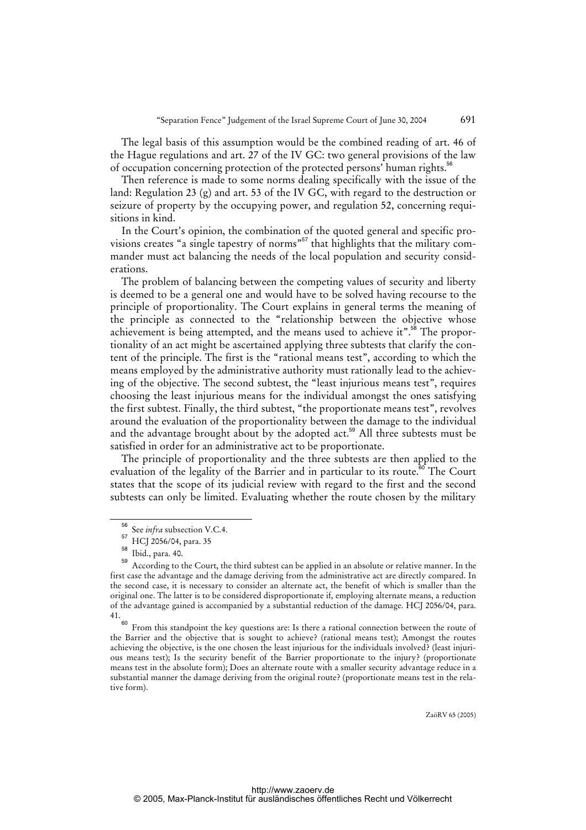The legal basis of this assumption would be the combined reading of art. 46 of the Hague regulations and art. 27 of the IV GC: two general provisions of the law of occupation concerning protection of the protected persons' human rights.<sup>56</sup>

Then reference is made to some norms dealing specifically with the issue of the land: Regulation 23 (g) and art. 53 of the IV GC, with regard to the destruction or seizure of property by the occupying power, and regulation 52, concerning requisitions in kind.

In the Court's opinion, the combination of the quoted general and specific provisions creates "a single tapestry of norms"<sup>57</sup> that highlights that the military commander must act balancing the needs of the local population and security considerations.

The problem of balancing between the competing values of security and liberty is deemed to be a general one and would have to be solved having recourse to the principle of proportionality. The Court explains in general terms the meaning of the principle as connected to the "relationship between the objective whose achievement is being attempted, and the means used to achieve it".<sup>58</sup> The proportionality of an act might be ascertained applying three subtests that clarify the content of the principle. The first is the "rational means test", according to which the means employed by the administrative authority must rationally lead to the achieving of the objective. The second subtest, the "least injurious means test", requires choosing the least injurious means for the individual amongst the ones satisfying the first subtest. Finally, the third subtest, "the proportionate means test", revolves around the evaluation of the proportionality between the damage to the individual and the advantage brought about by the adopted act.<sup>59</sup> All three subtests must be satisfied in order for an administrative act to be proportionate.

The principle of proportionality and the three subtests are then applied to the evaluation of the legality of the Barrier and in particular to its route.<sup>60</sup> The Court states that the scope of its judicial review with regard to the first and the second subtests can only be limited. Evaluating whether the route chosen by the military

<sup>56</sup> See *infra* subsection V.C.4.

 $57 \text{ HCl}$  2056/04, para. 35

 $\frac{58}{59}$  Ibid., para. 40.

According to the Court, the third subtest can be applied in an absolute or relative manner. In the first case the advantage and the damage deriving from the administrative act are directly compared. In the second case, it is necessary to consider an alternate act, the benefit of which is smaller than the original one. The latter is to be considered disproportionate if, employing alternate means, a reduction of the advantage gained is accompanied by a substantial reduction of the damage. HCJ 2056/04, para.  $41.60$ 

From this standpoint the key questions are: Is there a rational connection between the route of the Barrier and the objective that is sought to achieve? (rational means test); Amongst the routes achieving the objective, is the one chosen the least injurious for the individuals involved? (least injurious means test); Is the security benefit of the Barrier proportionate to the injury? (proportionate means test in the absolute form); Does an alternate route with a smaller security advantage reduce in a substantial manner the damage deriving from the original route? (proportionate means test in the relative form).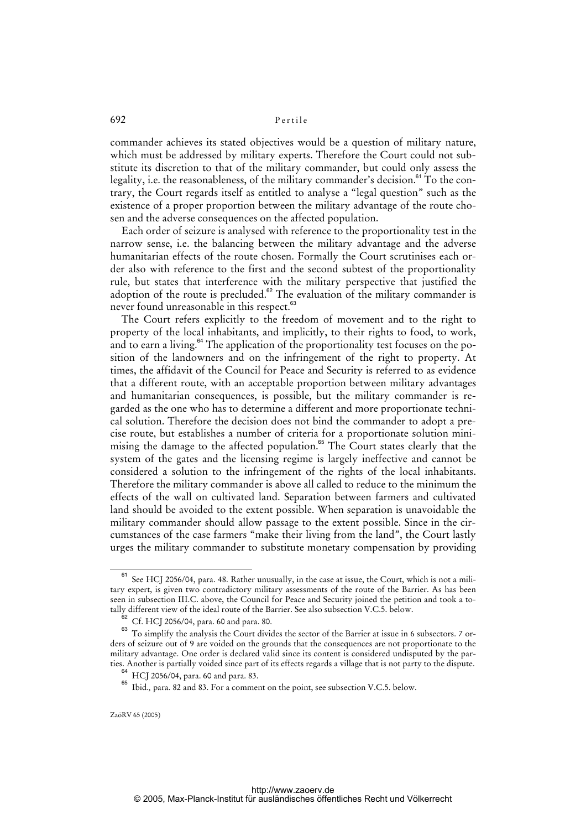commander achieves its stated objectives would be a question of military nature, which must be addressed by military experts. Therefore the Court could not substitute its discretion to that of the military commander, but could only assess the legality, i.e. the reasonableness, of the military commander's decision. $61$  To the contrary, the Court regards itself as entitled to analyse a "legal question" such as the existence of a proper proportion between the military advantage of the route chosen and the adverse consequences on the affected population.

Each order of seizure is analysed with reference to the proportionality test in the narrow sense, i.e. the balancing between the military advantage and the adverse humanitarian effects of the route chosen. Formally the Court scrutinises each order also with reference to the first and the second subtest of the proportionality rule, but states that interference with the military perspective that justified the adoption of the route is precluded.<sup>82</sup> The evaluation of the military commander is never found unreasonable in this respect.<sup>63</sup>

The Court refers explicitly to the freedom of movement and to the right to property of the local inhabitants, and implicitly, to their rights to food, to work, and to earn a living. $64$  The application of the proportionality test focuses on the position of the landowners and on the infringement of the right to property. At times, the affidavit of the Council for Peace and Security is referred to as evidence that a different route, with an acceptable proportion between military advantages and humanitarian consequences, is possible, but the military commander is regarded as the one who has to determine a different and more proportionate technical solution. Therefore the decision does not bind the commander to adopt a precise route, but establishes a number of criteria for a proportionate solution minimising the damage to the affected population.<sup>65</sup> The Court states clearly that the system of the gates and the licensing regime is largely ineffective and cannot be considered a solution to the infringement of the rights of the local inhabitants. Therefore the military commander is above all called to reduce to the minimum the effects of the wall on cultivated land. Separation between farmers and cultivated land should be avoided to the extent possible. When separation is unavoidable the military commander should allow passage to the extent possible. Since in the circumstances of the case farmers "make their living from the land", the Court lastly urges the military commander to substitute monetary compensation by providing

See HCJ 2056/04, para. 48. Rather unusually, in the case at issue, the Court, which is not a military expert, is given two contradictory military assessments of the route of the Barrier. As has been seen in subsection III.C. above, the Council for Peace and Security joined the petition and took a totally different view of the ideal route of the Barrier. See also subsection V.C.5. below.

<sup>62</sup> Cf. HCJ 2056/04, para. 60 and para. 80.

<sup>&</sup>lt;sup>63</sup> To simplify the analysis the Court divides the sector of the Barrier at issue in 6 subsectors. 7 orders of seizure out of 9 are voided on the grounds that the consequences are not proportionate to the military advantage. One order is declared valid since its content is considered undisputed by the parties. Another is partially voided since part of its effects regards a village that is not party to the dispute.

<sup>64</sup> HCJ 2056/04, para. 60 and para. 83.

<sup>65</sup> Ibid.*,* para. 82 and 83. For a comment on the point, see subsection V.C.5. below.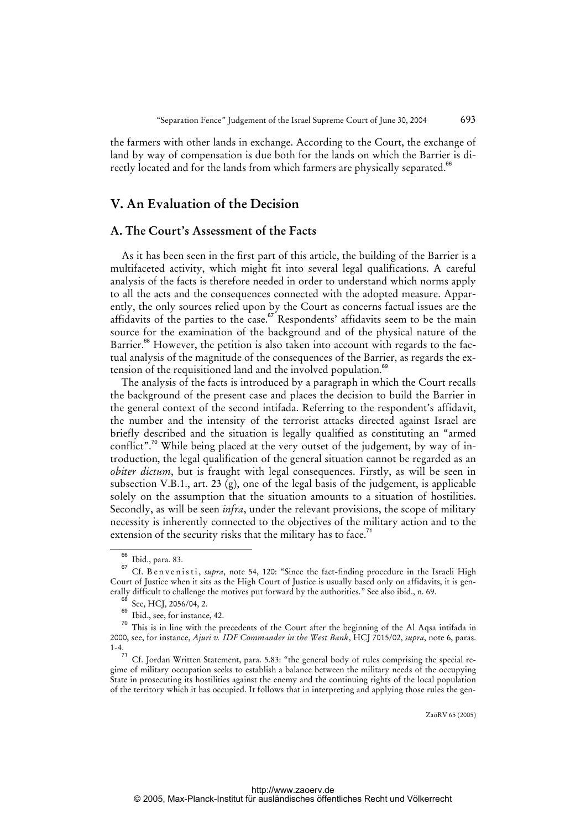the farmers with other lands in exchange. According to the Court, the exchange of land by way of compensation is due both for the lands on which the Barrier is directly located and for the lands from which farmers are physically separated.<sup>66</sup>

# **V. An Evaluation of the Decision**

### **A. The Court's Assessment of the Facts**

As it has been seen in the first part of this article, the building of the Barrier is a multifaceted activity, which might fit into several legal qualifications. A careful analysis of the facts is therefore needed in order to understand which norms apply to all the acts and the consequences connected with the adopted measure. Apparently, the only sources relied upon by the Court as concerns factual issues are the affidavits of the parties to the case.<sup>67</sup> Respondents' affidavits seem to be the main source for the examination of the background and of the physical nature of the Barrier.<sup>68</sup> However, the petition is also taken into account with regards to the factual analysis of the magnitude of the consequences of the Barrier, as regards the extension of the requisitioned land and the involved population.<sup>69</sup>

The analysis of the facts is introduced by a paragraph in which the Court recalls the background of the present case and places the decision to build the Barrier in the general context of the second intifada. Referring to the respondent's affidavit, the number and the intensity of the terrorist attacks directed against Israel are briefly described and the situation is legally qualified as constituting an "armed conflict".<sup>70</sup> While being placed at the very outset of the judgement, by way of introduction, the legal qualification of the general situation cannot be regarded as an *obiter dictum*, but is fraught with legal consequences. Firstly, as will be seen in subsection V.B.1., art. 23 (g), one of the legal basis of the judgement, is applicable solely on the assumption that the situation amounts to a situation of hostilities. Secondly, as will be seen *infra*, under the relevant provisions, the scope of military necessity is inherently connected to the objectives of the military action and to the extension of the security risks that the military has to face.<sup>71</sup>

<sup>66</sup> Ibid*.*, para. 83.

<sup>&</sup>lt;sup>67</sup> Cf. B en v e n i s t i, *supra*, note 54, 120: "Since the fact-finding procedure in the Israeli High Court of Justice when it sits as the High Court of Justice is usually based only on affidavits, it is generally difficult to challenge the motives put forward by the authorities." See also ibid., n. 69.

 $^{68}$  See, HCJ, 2056/04, 2.

Ibid., see, for instance, 42.

<sup>&</sup>lt;sup>70</sup> This is in line with the precedents of the Court after the beginning of the Al Aqsa intifada in 2000, see, for instance, *Ajuri v. IDF Commander in the West Bank*, HCJ 7015/02, *supra*, note 6, paras. 1-4.

 $71$  Cf. Jordan Written Statement, para. 5.83: "the general body of rules comprising the special regime of military occupation seeks to establish a balance between the military needs of the occupying State in prosecuting its hostilities against the enemy and the continuing rights of the local population of the territory which it has occupied. [It follows that in interpreting and applying those rules the gen-](gen-http://www.zaoerv.de)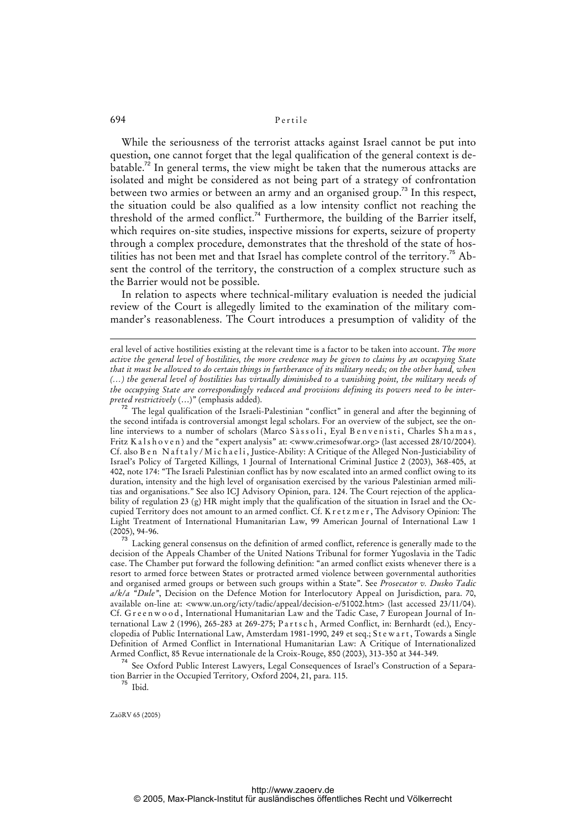While the seriousness of the terrorist attacks against Israel cannot be put into question, one cannot forget that the legal qualification of the general context is de $b$ atable.<sup>72</sup> In general terms, the view might be taken that the numerous attacks are isolated and might be considered as not being part of a strategy of confrontation between two armies or between an army and an organised group.<sup>73</sup> In this respect, the situation could be also qualified as a low intensity conflict not reaching the threshold of the armed conflict.<sup>74</sup> Furthermore, the building of the Barrier itself, which requires on-site studies, inspective missions for experts, seizure of property through a complex procedure, demonstrates that the threshold of the state of hostilities has not been met and that Israel has complete control of the territory.<sup>75</sup> Absent the control of the territory, the construction of a complex structure such as the Barrier would not be possible.

In relation to aspects where technical-military evaluation is needed the judicial review of the Court is allegedly limited to the examination of the military commander's reasonableness. The Court introduces a presumption of validity of the

 $72$  The legal qualification of the Israeli-Palestinian "conflict" in general and after the beginning of the second intifada is controversial amongst legal scholars. For an overview of the subject, see the online interviews to a number of scholars (Marco Sàssoli, Eyal Benvenisti, Charles Shamas, Fritz K a l s h o v e n ) and the "expert analysis" at: <www.crimesofwar.org> (last accessed 28/10/2004). Cf. also B e n Naftaly/Michaeli, Justice-Ability: A Critique of the Alleged Non-Justiciability of Israel's Policy of Targeted Killings*,* 1 Journal of International Criminal Justice 2 (2003), 368-405, at 402, note 174: "The Israeli Palestinian conflict has by now escalated into an armed conflict owing to its duration, intensity and the high level of organisation exercised by the various Palestinian armed militias and organisations." See also ICJ Advisory Opinion, para. 124. The Court rejection of the applicability of regulation 23 (g) HR might imply that the qualification of the situation in Israel and the Occupied Territory does not amount to an armed conflict. Cf. K r e t z m e r , The Advisory Opinion: The Light Treatment of International Humanitarian Law, 99 American Journal of International Law 1 (2005), 94-96.

<sup>73</sup> Lacking general consensus on the definition of armed conflict, reference is generally made to the decision of the Appeals Chamber of the United Nations Tribunal for former Yugoslavia in the Tadic case. The Chamber put forward the following definition: "an armed conflict exists whenever there is a resort to armed force between States or protracted armed violence between governmental authorities and organised armed groups or between such groups within a State". See *Prosecutor v. Dusko Tadic a/k/a "Dule"*, Decision on the Defence Motion for Interlocutory Appeal on Jurisdiction, para. 70, available on-line at: <www.un.org/icty/tadic/appeal/decision-e/51002.htm> (last accessed 23/11/04). Cf. G r e e n w o o d, International Humanitarian Law and the Tadic Case, 7 European Journal of International Law 2 (1996), 265-283 at 269-275; Parts ch, Armed Conflict, in: Bernhardt (ed.), Encyclopedia of Public International Law, Amsterdam 1981-1990, 249 et seq.; S t e w a r t, Towards a Single Definition of Armed Conflict in International Humanitarian Law: A Critique of Internationalized Armed Conflict, 85 Revue internationale de la Croix-Rouge, 850 (2003), 313-350 at 344-349.

<sup>74</sup> See Oxford Public Interest Lawyers, Legal Consequences of Israel's Construction of a Separation Barrier in the Occupied Territory*,* Oxford 2004, 21, para. 115.

 $75$  Ibid.

eral level of active hostilities existing at the relevant time is a factor to be taken into account. *The more active the general level of hostilities, the more credence may be given to claims by an occupying State that it must be allowed to do certain things in furtherance of its military needs; on the other hand, when (…) the general level of hostilities has virtually diminished to a vanishing point, the military needs of the occupying State are correspondingly reduced and provisions defining its powers need to be interpreted restrictively* (…)" (emphasis added).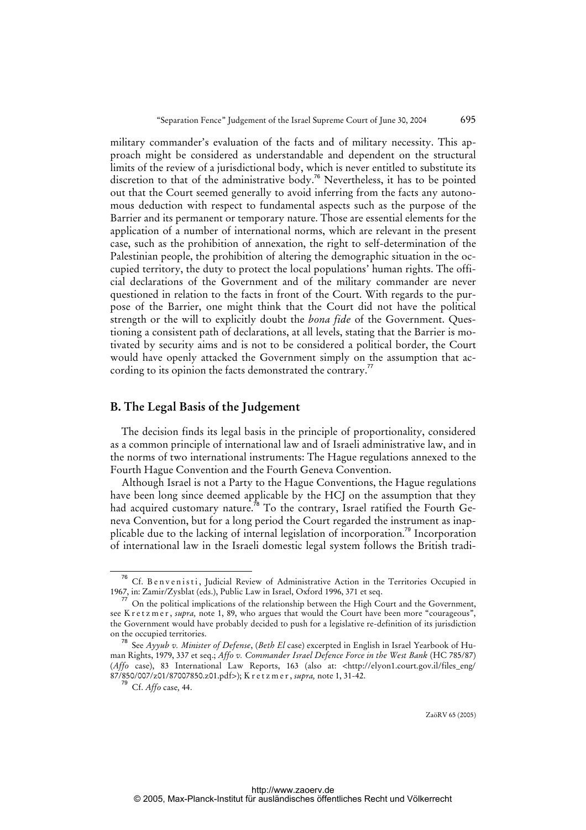military commander's evaluation of the facts and of military necessity. This approach might be considered as understandable and dependent on the structural limits of the review of a jurisdictional body, which is never entitled to substitute its discretion to that of the administrative body.<sup>76</sup> Nevertheless, it has to be pointed out that the Court seemed generally to avoid inferring from the facts any autonomous deduction with respect to fundamental aspects such as the purpose of the Barrier and its permanent or temporary nature. Those are essential elements for the application of a number of international norms, which are relevant in the present case, such as the prohibition of annexation, the right to self-determination of the Palestinian people, the prohibition of altering the demographic situation in the occupied territory, the duty to protect the local populations' human rights. The official declarations of the Government and of the military commander are never questioned in relation to the facts in front of the Court. With regards to the purpose of the Barrier, one might think that the Court did not have the political strength or the will to explicitly doubt the *bona fide* of the Government. Questioning a consistent path of declarations, at all levels, stating that the Barrier is motivated by security aims and is not to be considered a political border, the Court would have openly attacked the Government simply on the assumption that according to its opinion the facts demonstrated the contrary.<sup>77</sup>

### **B. The Legal Basis of the Judgement**

The decision finds its legal basis in the principle of proportionality, considered as a common principle of international law and of Israeli administrative law, and in the norms of two international instruments: The Hague regulations annexed to the Fourth Hague Convention and the Fourth Geneva Convention.

Although Israel is not a Party to the Hague Conventions, the Hague regulations have been long since deemed applicable by the HCJ on the assumption that they had acquired customary nature.<sup>78</sup> To the contrary, Israel ratified the Fourth Geneva Convention, but for a long period the Court regarded the instrument as inapplicable due to the lacking of internal legislation of incorporation.<sup>79</sup> Incorporation of international law in the Israeli domestic legal system follows the British tradi-

<sup>&</sup>lt;sup>76</sup> Cf. Benvenisti, Judicial Review of Administrative Action in the Territories Occupied in 1967, in: Zamir/Zysblat (eds.), Public Law in Israel, Oxford 1996, 371 et seq.

On the political implications of the relationship between the High Court and the Government, see K r e t z m e r, *supra*, note 1, 89, who argues that would the Court have been more "courageous", the Government would have probably decided to push for a legislative re-definition of its jurisdiction on the occupied territories.

<sup>78</sup> See *Ayyub v. Minister of Defense*, (*Beth El* case) excerpted in English in Israel Yearbook of Human Rights, 1979, 337 et seq.; *Affo v. Commander Israel Defence Force in the West Bank* (HC 785/87) (*Affo* case), 83 International Law Reports, 163 (also at: <[http://elyon1.court.gov.il/files\\_eng/](http://elyon1.court.gov.il/files_eng/) 87/850/007/z01/87007850.z01.pdf>); K r e t z m e r , *supra,* note 1, 31-42.

<sup>79</sup> Cf. *Affo* case*,* 44.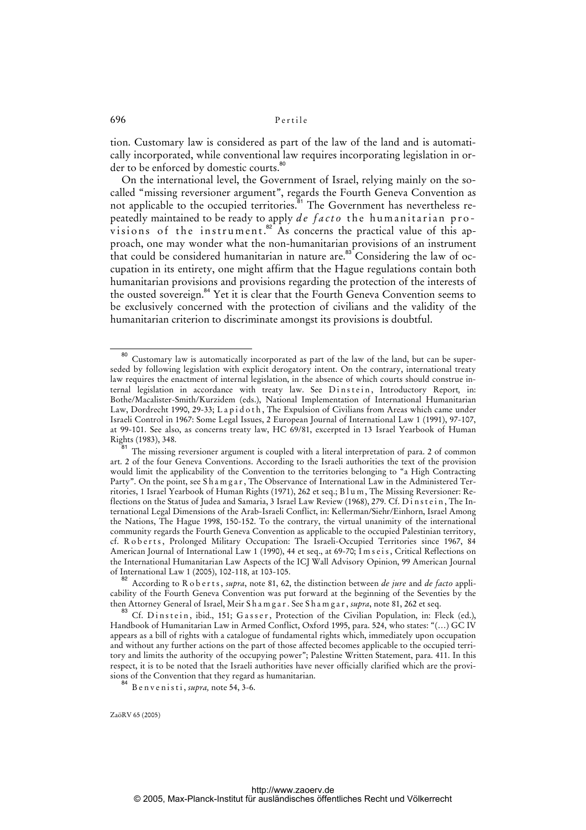tion. Customary law is considered as part of the law of the land and is automatically incorporated, while conventional law requires incorporating legislation in order to be enforced by domestic courts.<sup>80</sup>

On the international level, the Government of Israel, relying mainly on the socalled "missing reversioner argument", regards the Fourth Geneva Convention as not applicable to the occupied territories.<sup>81</sup> The Government has nevertheless repeatedly maintained to be ready to apply *de facto* the humanitarian provisions of the instrument.<sup>82</sup> As concerns the practical value of this approach, one may wonder what the non-humanitarian provisions of an instrument that could be considered humanitarian in nature are. $83^{\circ}$ Considering the law of occupation in its entirety, one might affirm that the Hague regulations contain both humanitarian provisions and provisions regarding the protection of the interests of the ousted sovereign.<sup>84</sup> Yet it is clear that the Fourth Geneva Convention seems to be exclusively concerned with the protection of civilians and the validity of the humanitarian criterion to discriminate amongst its provisions is doubtful.

<sup>&</sup>lt;sup>80</sup> Customary law is automatically incorporated as part of the law of the land, but can be superseded by following legislation with explicit derogatory intent. On the contrary, international treaty law requires the enactment of internal legislation, in the absence of which courts should construe internal legislation in accordance with treaty law. See Dinstein, Introductory Report, in: Bothe/Macalister-Smith/Kurzidem (eds.), National Implementation of International Humanitarian Law, Dordrecht 1990, 29-33; Lapid oth, The Expulsion of Civilians from Areas which came under Israeli Control in 1967: Some Legal Issues, 2 European Journal of International Law 1 (1991), 97-107, at 99-101. See also, as concerns treaty law, HC 69/81, excerpted in 13 Israel Yearbook of Human Rights (1983), 348.

The missing reversioner argument is coupled with a literal interpretation of para. 2 of common art. 2 of the four Geneva Conventions. According to the Israeli authorities the text of the provision would limit the applicability of the Convention to the territories belonging to "a High Contracting Party". On the point, see S h a m g a r , The Observance of International Law in the Administered Territories, 1 Israel Yearbook of Human Rights (1971), 262 et seq.; B l u m , The Missing Reversioner: Reflections on the Status of Judea and Samaria, 3 Israel Law Review (1968), 279. Cf. Dinstein, The International Legal Dimensions of the Arab-Israeli Conflict, in: Kellerman/Siehr/Einhorn, Israel Among the Nations, The Hague 1998, 150-152. To the contrary, the virtual unanimity of the international community regards the Fourth Geneva Convention as applicable to the occupied Palestinian territory, cf. Roberts, Prolonged Military Occupation: The Israeli-Occupied Territories since 1967, 84 American Journal of International Law 1 (1990), 44 et seq., at 69-70; Imseis, Critical Reflections on the International Humanitarian Law Aspects of the ICJ Wall Advisory Opinion, 99 American Journal of International Law 1 (2005), 102-118, at 103-105.

<sup>82</sup> According to R o b e r t s , *supra*, note 81, 62, the distinction between *de jure* and *de facto* applicability of the Fourth Geneva Convention was put forward at the beginning of the Seventies by the then Attorney General of Israel, Meir S h a m g a r . See S h a m g a r , *supra*, note 81, 262 et seq.

Cf. Dinstein, ibid., 151; Gasser, Protection of the Civilian Population, in: Fleck (ed.), Handbook of Humanitarian Law in Armed Conflict, Oxford 1995, para. 524, who states: "(…) GC IV appears as a bill of rights with a catalogue of fundamental rights which, immediately upon occupation and without any further actions on the part of those affected becomes applicable to the occupied territory and limits the authority of the occupying power"; Palestine Written Statement, para. 411. In this respect, it is to be noted that the Israeli authorities have never officially clarified which are the provisions of the Convention that they regard as humanitarian.

<sup>84</sup> B e n v e n i s t i , *supra,* note 54, 3-6.

ZaöRV 65 (2005)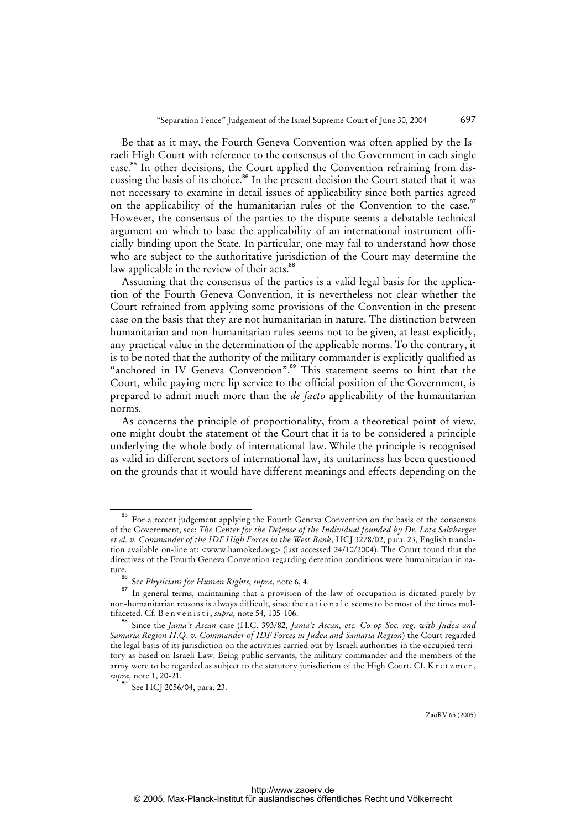Be that as it may, the Fourth Geneva Convention was often applied by the Israeli High Court with reference to the consensus of the Government in each single case.<sup>85</sup> In other decisions, the Court applied the Convention refraining from discussing the basis of its choice.<sup>86</sup> In the present decision the Court stated that it was not necessary to examine in detail issues of applicability since both parties agreed on the applicability of the humanitarian rules of the Convention to the case.<sup>87</sup> However, the consensus of the parties to the dispute seems a debatable technical argument on which to base the applicability of an international instrument officially binding upon the State. In particular, one may fail to understand how those who are subject to the authoritative jurisdiction of the Court may determine the law applicable in the review of their acts.<sup>88</sup>

Assuming that the consensus of the parties is a valid legal basis for the application of the Fourth Geneva Convention, it is nevertheless not clear whether the Court refrained from applying some provisions of the Convention in the present case on the basis that they are not humanitarian in nature. The distinction between humanitarian and non-humanitarian rules seems not to be given, at least explicitly, any practical value in the determination of the applicable norms. To the contrary, it is to be noted that the authority of the military commander is explicitly qualified as "anchored in IV Geneva Convention".<sup>89</sup> This statement seems to hint that the Court, while paying mere lip service to the official position of the Government, is prepared to admit much more than the *de facto* applicability of the humanitarian norms.

As concerns the principle of proportionality, from a theoretical point of view, one might doubt the statement of the Court that it is to be considered a principle underlying the whole body of international law. While the principle is recognised as valid in different sectors of international law, its unitariness has been questioned on the grounds that it would have different meanings and effects depending on the

<sup>&</sup>lt;sup>85</sup> For a recent judgement applying the Fourth Geneva Convention on the basis of the consensus of the Government, see: *The Center for the Defense of the Individual founded by Dr. Lota Salzberger et al. v. Commander of the IDF High Forces in the West Bank*, HCJ 3278/02, para. 23, English translation available on-line at: <www.hamoked.org> (last accessed 24/10/2004). The Court found that the directives of the Fourth Geneva Convention regarding detention conditions were humanitarian in nature.<br>86

<sup>86</sup> See *Physicians for Human Rights*, *supra*, note 6, 4.

In general terms, maintaining that a provision of the law of occupation is dictated purely by non-humanitarian reasons is always difficult, since the rationale seems to be most of the times multifaceted. Cf. B e n v e n i s t i , *supra,* note 54*,* 105-106.

<sup>88</sup> Since the *Jama't Ascan* case (H.C. 393/82, *Jama't Ascan, etc. Co-op Soc. reg. with Judea and Samaria Region H*.*Q*. *v. Commander of IDF Forces in Judea and Samaria Region*) the Court regarded the legal basis of its jurisdiction on the activities carried out by Israeli authorities in the occupied territory as based on Israeli Law. Being public servants, the military commander and the members of the army were to be regarded as subject to the statutory jurisdiction of the High Court. Cf. K r e t z m e r, *supra,* note 1, 20-21.

<sup>89</sup> See HCJ 2056/04, para. 23.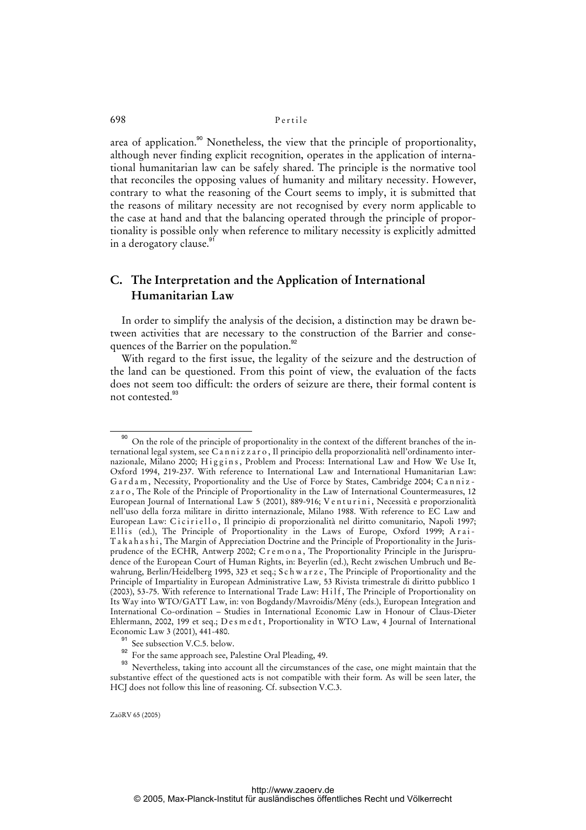area of application.<sup>90</sup> Nonetheless, the view that the principle of proportionality, although never finding explicit recognition, operates in the application of international humanitarian law can be safely shared. The principle is the normative tool that reconciles the opposing values of humanity and military necessity. However, contrary to what the reasoning of the Court seems to imply, it is submitted that the reasons of military necessity are not recognised by every norm applicable to the case at hand and that the balancing operated through the principle of proportionality is possible only when reference to military necessity is explicitly admitted in a derogatory clause.<sup>91</sup>

# **C. The Interpretation and the Application of International Humanitarian Law**

In order to simplify the analysis of the decision, a distinction may be drawn between activities that are necessary to the construction of the Barrier and consequences of the Barrier on the population.<sup>92</sup>

With regard to the first issue, the legality of the seizure and the destruction of the land can be questioned. From this point of view, the evaluation of the facts does not seem too difficult: the orders of seizure are there, their formal content is not contested.<sup>93</sup>

<sup>&</sup>lt;sup>90</sup> On the role of the principle of proportionality in the context of the different branches of the international legal system, see C a n n i z z a r o , Il principio della proporzionalità nell'ordinamento internazionale, Milano 2000; Higgins, Problem and Process: International Law and How We Use It, Oxford 1994, 219-237. With reference to International Law and International Humanitarian Law: G a r d a m, Necessity, Proportionality and the Use of Force by States, Cambridge 2004; C a n n i z z a r o , The Role of the Principle of Proportionality in the Law of International Countermeasures, 12 European Journal of International Law 5 (2001), 889-916; V e n t u r i n i , Necessità e proporzionalità nell'uso della forza militare in diritto internazionale, Milano 1988. With reference to EC Law and European Law: Ciciriello, Il principio di proporzionalità nel diritto comunitario, Napoli 1997; Ellis (ed.), The Principle of Proportionality in the Laws of Europe, Oxford 1999; Arai-T a k a h a s h i , The Margin of Appreciation Doctrine and the Principle of Proportionality in the Jurisprudence of the ECHR*,* Antwerp 2002; C r e m o n a , The Proportionality Principle in the Jurisprudence of the European Court of Human Rights, in: Beyerlin (ed.), Recht zwischen Umbruch und Bewahrung, Berlin/Heidelberg 1995, 323 et seq.; S c h w a r z e , The Principle of Proportionality and the Principle of Impartiality in European Administrative Law*,* 53 Rivista trimestrale di diritto pubblico 1 (2003), 53-75. With reference to International Trade Law: H i l f , The Principle of Proportionality on Its Way into WTO/GATT Law, in: von Bogdandy/Mavroidis/Mény (eds.), European Integration and International Co-ordination – Studies in International Economic Law in Honour of Claus-Dieter Ehlermann, 2002, 199 et seq.; D e s m e d t, Proportionality in WTO Law, 4 Journal of International Economic Law 3 (2001), 441-480.

See subsection V.C.5. below.

<sup>92</sup> For the same approach see, Palestine Oral Pleading, 49.

<sup>&</sup>lt;sup>93</sup> Nevertheless, taking into account all the circumstances of the case, one might maintain that the substantive effect of the questioned acts is not compatible with their form. As will be seen later, the HCJ does not follow this line of reasoning. Cf. subsection V.C.3.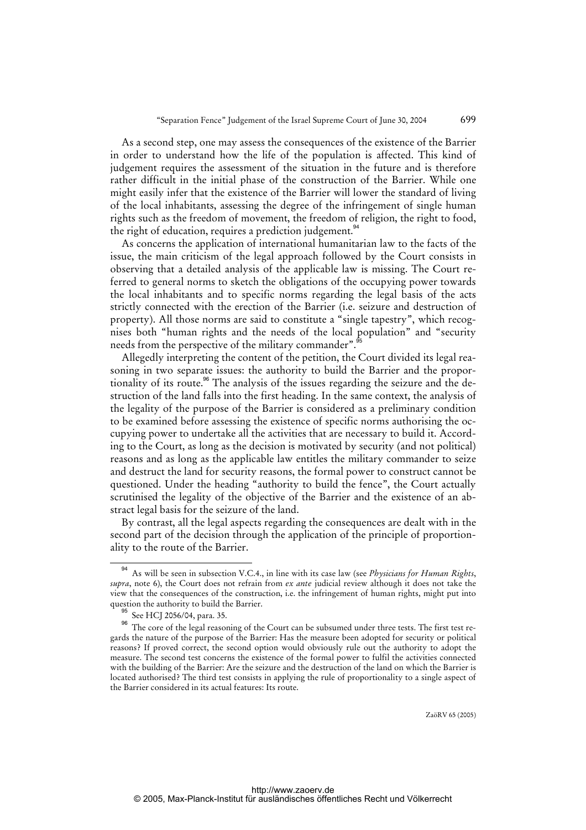As a second step, one may assess the consequences of the existence of the Barrier in order to understand how the life of the population is affected. This kind of judgement requires the assessment of the situation in the future and is therefore rather difficult in the initial phase of the construction of the Barrier. While one might easily infer that the existence of the Barrier will lower the standard of living of the local inhabitants, assessing the degree of the infringement of single human rights such as the freedom of movement, the freedom of religion, the right to food, the right of education, requires a prediction judgement.<sup>94</sup>

As concerns the application of international humanitarian law to the facts of the issue, the main criticism of the legal approach followed by the Court consists in observing that a detailed analysis of the applicable law is missing. The Court referred to general norms to sketch the obligations of the occupying power towards the local inhabitants and to specific norms regarding the legal basis of the acts strictly connected with the erection of the Barrier (i.e. seizure and destruction of property). All those norms are said to constitute a "single tapestry", which recognises both "human rights and the needs of the local population" and "security needs from the perspective of the military commander".

Allegedly interpreting the content of the petition, the Court divided its legal reasoning in two separate issues: the authority to build the Barrier and the proportionality of its route.<sup>96</sup> The analysis of the issues regarding the seizure and the destruction of the land falls into the first heading. In the same context, the analysis of the legality of the purpose of the Barrier is considered as a preliminary condition to be examined before assessing the existence of specific norms authorising the occupying power to undertake all the activities that are necessary to build it. According to the Court, as long as the decision is motivated by security (and not political) reasons and as long as the applicable law entitles the military commander to seize and destruct the land for security reasons, the formal power to construct cannot be questioned. Under the heading "authority to build the fence", the Court actually scrutinised the legality of the objective of the Barrier and the existence of an abstract legal basis for the seizure of the land.

By contrast, all the legal aspects regarding the consequences are dealt with in the second part of the decision through the application of the principle of proportionality to the route of the Barrier.

<sup>94</sup> As will be seen in subsection V.C.4., in line with its case law (see *Physicians for Human Rights*, *supra*, note 6), the Court does not refrain from *ex ante* judicial review although it does not take the view that the consequences of the construction, i.e. the infringement of human rights, might put into question the authority to build the Barrier.

See HCJ 2056/04, para. 35.

<sup>&</sup>lt;sup>96</sup> The core of the legal reasoning of the Court can be subsumed under three tests. The first test regards the nature of the purpose of the Barrier: Has the measure been adopted for security or political reasons? If proved correct, the second option would obviously rule out the authority to adopt the measure. The second test concerns the existence of the formal power to fulfil the activities connected with the building of the Barrier: Are the seizure and the destruction of the land on which the Barrier is located authorised? The third test consists in applying the rule of proportionality to a single aspect of the Barrier considered in its actual features: Its route.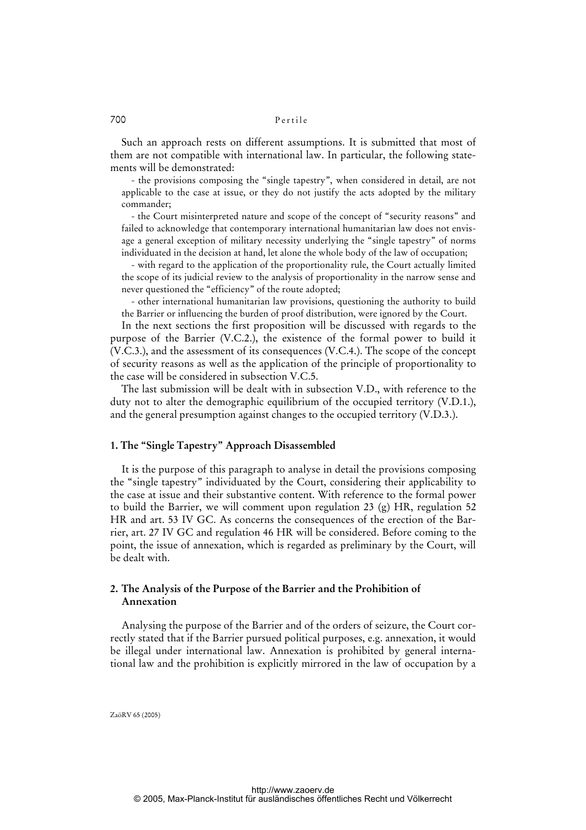Such an approach rests on different assumptions. It is submitted that most of them are not compatible with international law. In particular, the following statements will be demonstrated:

- the provisions composing the "single tapestry", when considered in detail, are not applicable to the case at issue, or they do not justify the acts adopted by the military commander;

- the Court misinterpreted nature and scope of the concept of "security reasons" and failed to acknowledge that contemporary international humanitarian law does not envisage a general exception of military necessity underlying the "single tapestry" of norms individuated in the decision at hand, let alone the whole body of the law of occupation;

- with regard to the application of the proportionality rule, the Court actually limited the scope of its judicial review to the analysis of proportionality in the narrow sense and never questioned the "efficiency" of the route adopted;

- other international humanitarian law provisions, questioning the authority to build the Barrier or influencing the burden of proof distribution, were ignored by the Court.

In the next sections the first proposition will be discussed with regards to the purpose of the Barrier (V.C.2.), the existence of the formal power to build it (V.C.3.), and the assessment of its consequences (V.C.4.). The scope of the concept of security reasons as well as the application of the principle of proportionality to the case will be considered in subsection V.C.5.

The last submission will be dealt with in subsection V.D., with reference to the duty not to alter the demographic equilibrium of the occupied territory (V.D.1.), and the general presumption against changes to the occupied territory (V.D.3.).

### **1. The "Single Tapestry" Approach Disassembled**

It is the purpose of this paragraph to analyse in detail the provisions composing the "single tapestry" individuated by the Court, considering their applicability to the case at issue and their substantive content. With reference to the formal power to build the Barrier, we will comment upon regulation 23 (g) HR, regulation 52 HR and art. 53 IV GC. As concerns the consequences of the erection of the Barrier, art. 27 IV GC and regulation 46 HR will be considered. Before coming to the point, the issue of annexation, which is regarded as preliminary by the Court, will be dealt with.

### **2. The Analysis of the Purpose of the Barrier and the Prohibition of Annexation**

Analysing the purpose of the Barrier and of the orders of seizure, the Court correctly stated that if the Barrier pursued political purposes, e.g. annexation, it would be illegal under international law. Annexation is prohibited by general international law and the prohibition is explicitly mirrored in the law of occupation by a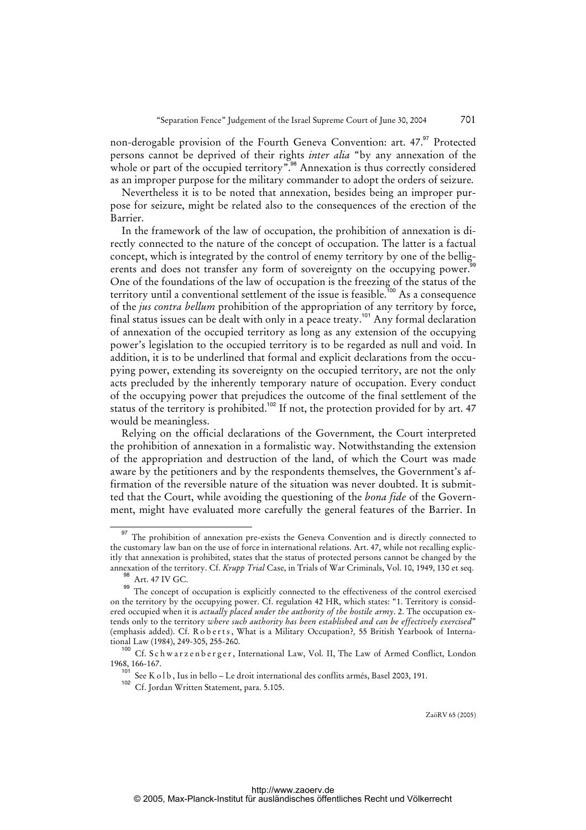non-derogable provision of the Fourth Geneva Convention: art. 47.<sup>97</sup> Protected persons cannot be deprived of their rights *inter alia* "by any annexation of the whole or part of the occupied territory".<sup>98</sup> Annexation is thus correctly considered as an improper purpose for the military commander to adopt the orders of seizure.

Nevertheless it is to be noted that annexation, besides being an improper purpose for seizure, might be related also to the consequences of the erection of the Barrier.

In the framework of the law of occupation, the prohibition of annexation is directly connected to the nature of the concept of occupation. The latter is a factual concept, which is integrated by the control of enemy territory by one of the belligerents and does not transfer any form of sovereignty on the occupying power.<sup>99</sup> One of the foundations of the law of occupation is the freezing of the status of the territory until a conventional settlement of the issue is feasible.<sup>100</sup> As a consequence of the *jus contra bellum* prohibition of the appropriation of any territory by force, final status issues can be dealt with only in a peace treaty.<sup>101</sup> Any formal declaration of annexation of the occupied territory as long as any extension of the occupying power's legislation to the occupied territory is to be regarded as null and void. In addition, it is to be underlined that formal and explicit declarations from the occupying power, extending its sovereignty on the occupied territory, are not the only acts precluded by the inherently temporary nature of occupation. Every conduct of the occupying power that prejudices the outcome of the final settlement of the status of the territory is prohibited.<sup>102</sup> If not, the protection provided for by art. 47 would be meaningless.

Relying on the official declarations of the Government, the Court interpreted the prohibition of annexation in a formalistic way. Notwithstanding the extension of the appropriation and destruction of the land, of which the Court was made aware by the petitioners and by the respondents themselves, the Government's affirmation of the reversible nature of the situation was never doubted. It is submitted that the Court, while avoiding the questioning of the *bona fide* of the Government, might have evaluated more carefully the general features of the Barrier. In

<sup>&</sup>lt;sup>97</sup> The prohibition of annexation pre-exists the Geneva Convention and is directly connected to the customary law ban on the use of force in international relations. Art. 47, while not recalling explicitly that annexation is prohibited, states that the status of protected persons cannot be changed by the annexation of the territory. Cf. *Krupp Trial* Case, in Trials of War Criminals, Vol. 10, 1949, 130 et seq.

 $^{98}$  Art. 47 IV GC.

The concept of occupation is explicitly connected to the effectiveness of the control exercised on the territory by the occupying power. Cf. regulation 42 HR, which states: "1. Territory is considered occupied when it is *actually placed under the authority of the hostile army*. 2. The occupation extends only to the territory *where such authority has been established and can be effectively exercised*" (emphasis added). Cf. Roberts, What is a Military Occupation?, 55 British Yearbook of International Law (1984), 249-305, 255-260.

<sup>&</sup>lt;sup>100</sup> Cf. Schwarzenberger, International Law, Vol. II, The Law of Armed Conflict, London 1968, 166-167.

 $10^{10}$  See K o l b, Ius in bello – Le droit international des conflits armés, Basel 2003, 191.

<sup>102</sup> Cf. Jordan Written Statement, para. 5.105.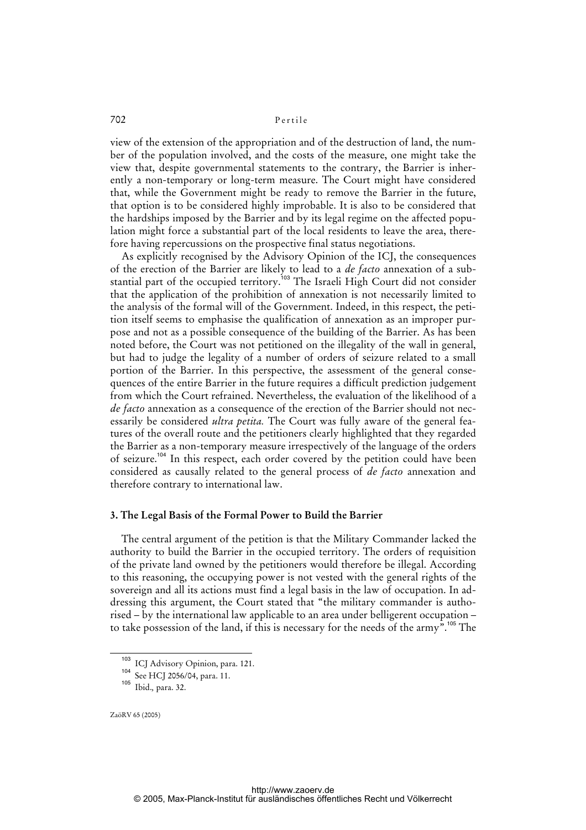view of the extension of the appropriation and of the destruction of land, the number of the population involved, and the costs of the measure, one might take the view that, despite governmental statements to the contrary, the Barrier is inherently a non-temporary or long-term measure. The Court might have considered that, while the Government might be ready to remove the Barrier in the future, that option is to be considered highly improbable. It is also to be considered that the hardships imposed by the Barrier and by its legal regime on the affected population might force a substantial part of the local residents to leave the area, therefore having repercussions on the prospective final status negotiations.

As explicitly recognised by the Advisory Opinion of the ICJ, the consequences of the erection of the Barrier are likely to lead to a *de facto* annexation of a substantial part of the occupied territory.<sup>103</sup> The Israeli High Court did not consider that the application of the prohibition of annexation is not necessarily limited to the analysis of the formal will of the Government. Indeed, in this respect, the petition itself seems to emphasise the qualification of annexation as an improper purpose and not as a possible consequence of the building of the Barrier. As has been noted before, the Court was not petitioned on the illegality of the wall in general, but had to judge the legality of a number of orders of seizure related to a small portion of the Barrier. In this perspective, the assessment of the general consequences of the entire Barrier in the future requires a difficult prediction judgement from which the Court refrained. Nevertheless, the evaluation of the likelihood of a *de facto* annexation as a consequence of the erection of the Barrier should not necessarily be considered *ultra petita.* The Court was fully aware of the general features of the overall route and the petitioners clearly highlighted that they regarded the Barrier as a non-temporary measure irrespectively of the language of the orders of seizure.<sup>104</sup> In this respect, each order covered by the petition could have been considered as causally related to the general process of *de facto* annexation and therefore contrary to international law.

#### **3. The Legal Basis of the Formal Power to Build the Barrier**

The central argument of the petition is that the Military Commander lacked the authority to build the Barrier in the occupied territory. The orders of requisition of the private land owned by the petitioners would therefore be illegal. According to this reasoning, the occupying power is not vested with the general rights of the sovereign and all its actions must find a legal basis in the law of occupation. In addressing this argument, the Court stated that "the military commander is authorised – by the international law applicable to an area under belligerent occupation – to take possession of the land, if this is necessary for the needs of the army".<sup>105</sup> The

<sup>103</sup> ICJ Advisory Opinion, para. 121.

<sup>104</sup> See HCJ 2056/04, para. 11.

<sup>105</sup> Ibid.*,* para. 32.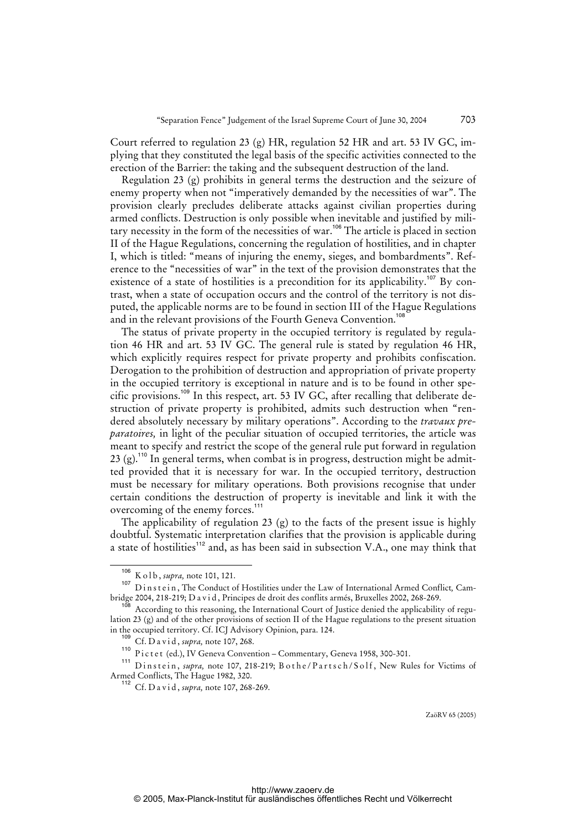Court referred to regulation 23 (g) HR, regulation 52 HR and art. 53 IV GC, implying that they constituted the legal basis of the specific activities connected to the erection of the Barrier: the taking and the subsequent destruction of the land.

Regulation 23 (g) prohibits in general terms the destruction and the seizure of enemy property when not "imperatively demanded by the necessities of war". The provision clearly precludes deliberate attacks against civilian properties during armed conflicts. Destruction is only possible when inevitable and justified by military necessity in the form of the necessities of war.<sup>106</sup> The article is placed in section II of the Hague Regulations, concerning the regulation of hostilities, and in chapter I, which is titled: "means of injuring the enemy, sieges, and bombardments". Reference to the "necessities of war" in the text of the provision demonstrates that the existence of a state of hostilities is a precondition for its applicability.<sup>107</sup> By contrast, when a state of occupation occurs and the control of the territory is not disputed, the applicable norms are to be found in section III of the Hague Regulations and in the relevant provisions of the Fourth Geneva Convention.<sup>108</sup>

The status of private property in the occupied territory is regulated by regulation 46 HR and art. 53 IV GC. The general rule is stated by regulation 46 HR, which explicitly requires respect for private property and prohibits confiscation. Derogation to the prohibition of destruction and appropriation of private property in the occupied territory is exceptional in nature and is to be found in other specific provisions.<sup>109</sup> In this respect, art. 53 IV GC, after recalling that deliberate destruction of private property is prohibited, admits such destruction when "rendered absolutely necessary by military operations". According to the *travaux preparatoires,* in light of the peculiar situation of occupied territories, the article was meant to specify and restrict the scope of the general rule put forward in regulation 23 (g).<sup>110</sup> In general terms, when combat is in progress, destruction might be admitted provided that it is necessary for war. In the occupied territory, destruction must be necessary for military operations. Both provisions recognise that under certain conditions the destruction of property is inevitable and link it with the overcoming of the enemy forces.<sup>111</sup>

The applicability of regulation 23  $(g)$  to the facts of the present issue is highly doubtful. Systematic interpretation clarifies that the provision is applicable during a state of hostilities<sup>112</sup> and, as has been said in subsection V.A., one may think that

<sup>106</sup> K o l b , *supra,* note 101, 121.

<sup>107</sup> Dinstein, The Conduct of Hostilities under the Law of International Armed Conflict, Cambridge 2004, 218-219; D a v i d, Principes de droit des conflits armés, Bruxelles 2002, 268-269.

According to this reasoning, the International Court of Justice denied the applicability of regulation 23 (g) and of the other provisions of section II of the Hague regulations to the present situation in the occupied territory. Cf. ICJ Advisory Opinion, para. 124.

<sup>109</sup> Cf. D a v i d , *supra,* note 107, 268.

<sup>&</sup>lt;sup>110</sup> Pictet (ed.), IV Geneva Convention – Commentary, Geneva 1958, 300-301.

<sup>&</sup>lt;sup>111</sup> Dinstein, *supra*, note 107, 218-219; Bothe/Partsch/Solf, New Rules for Victims of Armed Conflicts, The Hague 1982, 320.

<sup>112</sup> Cf. D a v i d , *supra,* note 107, 268-269.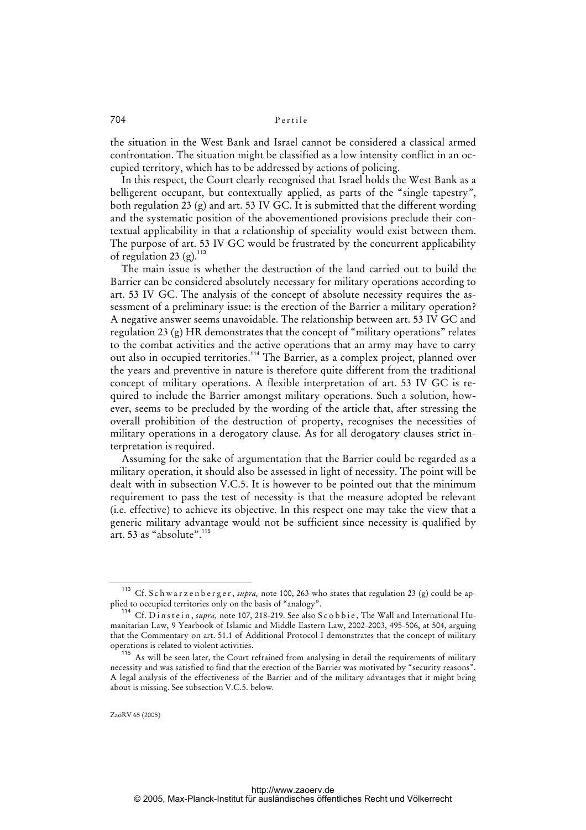the situation in the West Bank and Israel cannot be considered a classical armed confrontation. The situation might be classified as a low intensity conflict in an occupied territory, which has to be addressed by actions of policing.

In this respect, the Court clearly recognised that Israel holds the West Bank as a belligerent occupant, but contextually applied, as parts of the "single tapestry", both regulation 23 (g) and art. 53 IV GC. It is submitted that the different wording and the systematic position of the abovementioned provisions preclude their contextual applicability in that a relationship of speciality would exist between them. The purpose of art. 53 IV GC would be frustrated by the concurrent applicability of regulation 23 (g).<sup>113</sup>

The main issue is whether the destruction of the land carried out to build the Barrier can be considered absolutely necessary for military operations according to art. 53 IV GC. The analysis of the concept of absolute necessity requires the assessment of a preliminary issue: is the erection of the Barrier a military operation? A negative answer seems unavoidable. The relationship between art. 53 IV GC and regulation 23 (g) HR demonstrates that the concept of "military operations" relates to the combat activities and the active operations that an army may have to carry out also in occupied territories.<sup>114</sup> The Barrier, as a complex project, planned over the years and preventive in nature is therefore quite different from the traditional concept of military operations. A flexible interpretation of art. 53 IV GC is required to include the Barrier amongst military operations. Such a solution, however, seems to be precluded by the wording of the article that, after stressing the overall prohibition of the destruction of property, recognises the necessities of military operations in a derogatory clause. As for all derogatory clauses strict interpretation is required.

Assuming for the sake of argumentation that the Barrier could be regarded as a military operation, it should also be assessed in light of necessity. The point will be dealt with in subsection V.C.5. It is however to be pointed out that the minimum requirement to pass the test of necessity is that the measure adopted be relevant (i.e. effective) to achieve its objective. In this respect one may take the view that a generic military advantage would not be sufficient since necessity is qualified by art.  $53$  as "absolute".<sup>115</sup>

<sup>&</sup>lt;sup>113</sup> Cf. S c h w a r z e n b e r g e r, *supra*, note 100, 263 who states that regulation 23 (g) could be applied to occupied territories only on the basis of "analogy".

<sup>114</sup> Cf. D in s t e in, *supra*, note 107, 218-219. See also S c o b b i e, The Wall and International Humanitarian Law, 9 Yearbook of Islamic and Middle Eastern Law, 2002-2003, 495-506, at 504, arguing that the Commentary on art. 51.1 of Additional Protocol I demonstrates that the concept of military operations is related to violent activities.

<sup>&</sup>lt;sup>115</sup> As will be seen later, the Court refrained from analysing in detail the requirements of military necessity and was satisfied to find that the erection of the Barrier was motivated by "security reasons". A legal analysis of the effectiveness of the Barrier and of the military advantages that it might bring about is missing. See subsection V.C.5. below*.*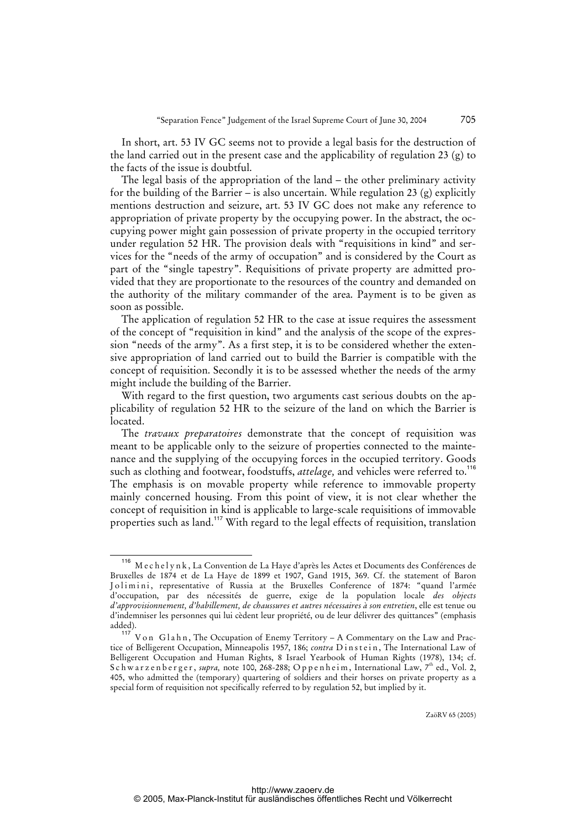In short, art. 53 IV GC seems not to provide a legal basis for the destruction of the land carried out in the present case and the applicability of regulation 23 (g) to the facts of the issue is doubtful.

The legal basis of the appropriation of the land – the other preliminary activity for the building of the Barrier – is also uncertain. While regulation 23 (g) explicitly mentions destruction and seizure, art. 53 IV GC does not make any reference to appropriation of private property by the occupying power. In the abstract, the occupying power might gain possession of private property in the occupied territory under regulation 52 HR. The provision deals with "requisitions in kind" and services for the "needs of the army of occupation" and is considered by the Court as part of the "single tapestry". Requisitions of private property are admitted provided that they are proportionate to the resources of the country and demanded on the authority of the military commander of the area. Payment is to be given as soon as possible.

The application of regulation 52 HR to the case at issue requires the assessment of the concept of "requisition in kind" and the analysis of the scope of the expression "needs of the army". As a first step, it is to be considered whether the extensive appropriation of land carried out to build the Barrier is compatible with the concept of requisition. Secondly it is to be assessed whether the needs of the army might include the building of the Barrier.

With regard to the first question, two arguments cast serious doubts on the applicability of regulation 52 HR to the seizure of the land on which the Barrier is located.

The *travaux preparatoires* demonstrate that the concept of requisition was meant to be applicable only to the seizure of properties connected to the maintenance and the supplying of the occupying forces in the occupied territory. Goods such as clothing and footwear, foodstuffs, *attelage*, and vehicles were referred to.<sup>116</sup> The emphasis is on movable property while reference to immovable property mainly concerned housing. From this point of view, it is not clear whether the concept of requisition in kind is applicable to large-scale requisitions of immovable properties such as land.<sup>117</sup> With regard to the legal effects of requisition, translation

<sup>116</sup> M e c h e l y n k , La Convention de La Haye d'après les Actes et Documents des Conférences de Bruxelles de 1874 et de La Haye de 1899 et 1907, Gand 1915, 369. Cf. the statement of Baron Jolimini, representative of Russia at the Bruxelles Conference of 1874: "quand l'armée d'occupation, par des nécessités de guerre, exige de la population locale *des objects d'approvisionnement, d'habillement, de chaussures et autres nécessaires à son entretien*, elle est tenue ou d'indemniser les personnes qui lui cèdent leur propriété, ou de leur délivrer des quittances" (emphasis added).

<sup>117</sup> V o n G l a h n, The Occupation of Enemy Territory – A Commentary on the Law and Practice of Belligerent Occupation, Minneapolis 1957, 186; *contra* Dinstein, The International Law of Belligerent Occupation and Human Rights, 8 Israel Yearbook of Human Rights (1978), 134; cf. Schwarzenberger, *supra*, note 100, 268-288; Oppenheim, International Law, 7<sup>th</sup> ed., Vol. 2, 405, who admitted the (temporary) quartering of soldiers and their horses on private property as a special form of requisition not specifically referred to by regulation 52, but implied by it.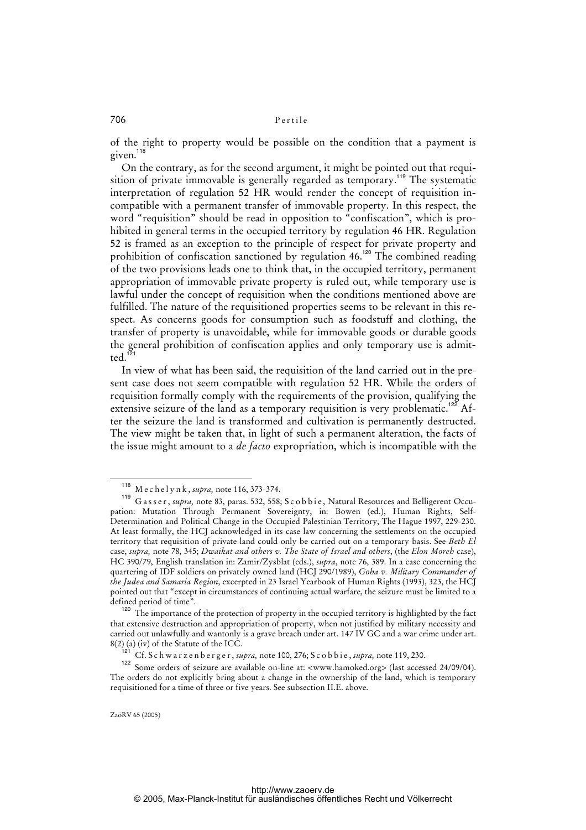of the right to property would be possible on the condition that a payment is given.<sup>118</sup>

On the contrary, as for the second argument, it might be pointed out that requisition of private immovable is generally regarded as temporary.<sup>119</sup> The systematic interpretation of regulation 52 HR would render the concept of requisition incompatible with a permanent transfer of immovable property. In this respect, the word "requisition" should be read in opposition to "confiscation", which is prohibited in general terms in the occupied territory by regulation 46 HR. Regulation 52 is framed as an exception to the principle of respect for private property and prohibition of confiscation sanctioned by regulation 46.<sup>120</sup> The combined reading of the two provisions leads one to think that, in the occupied territory, permanent appropriation of immovable private property is ruled out, while temporary use is lawful under the concept of requisition when the conditions mentioned above are fulfilled. The nature of the requisitioned properties seems to be relevant in this respect. As concerns goods for consumption such as foodstuff and clothing, the transfer of property is unavoidable, while for immovable goods or durable goods the general prohibition of confiscation applies and only temporary use is admit $ted.<sup>1</sup>$ 

In view of what has been said, the requisition of the land carried out in the present case does not seem compatible with regulation 52 HR. While the orders of requisition formally comply with the requirements of the provision, qualifying the extensive seizure of the land as a temporary requisition is very problematic.<sup>122</sup> After the seizure the land is transformed and cultivation is permanently destructed. The view might be taken that, in light of such a permanent alteration, the facts of the issue might amount to a *de facto* expropriation, which is incompatible with the

<sup>118</sup> M e c h e l y n k , *supra,* note 116, 373-374.

<sup>119</sup> G a s s e r , *supra,* note 83, paras. 532, 558; S c o b b i e , Natural Resources and Belligerent Occupation: Mutation Through Permanent Sovereignty, in: Bowen (ed.), Human Rights, Self-Determination and Political Change in the Occupied Palestinian Territory, The Hague 1997, 229-230. At least formally, the HCJ acknowledged in its case law concerning the settlements on the occupied territory that requisition of private land could only be carried out on a temporary basis. See *Beth El* case, *supra,* note 78, 345; *Dwaikat and others v. The State of Israel and others*, (the *Elon Moreh* case), HC 390/79, English translation in: Zamir/Zysblat (eds.), *supra*, note 76, 389. In a case concerning the quartering of IDF soldiers on privately owned land (HCJ 290/1989), *Goha v. Military Commander of the Judea and Samaria Region*, excerpted in 23 Israel Yearbook of Human Rights (1993), 323, the HCJ pointed out that "except in circumstances of continuing actual warfare, the seizure must be limited to a defined period of time".

<sup>&</sup>lt;sup>120</sup> The importance of the protection of property in the occupied territory is highlighted by the fact that extensive destruction and appropriation of property, when not justified by military necessity and carried out unlawfully and wantonly is a grave breach under art. 147 IV GC and a war crime under art. 8(2) (a) (iv) of the Statute of the ICC.

<sup>&</sup>lt;sup>121</sup> Cf. S c h w a r z e n b e r g e r , *supra*, note 100, 276; S c o b b i e , *supra*, note 119, 230.

<sup>122</sup> Some orders of seizure are available on-line at: <www.hamoked.org> (last accessed 24/09/04). The orders do not explicitly bring about a change in the ownership of the land, which is temporary requisitioned for a time of three or five years. See subsection II.E. above.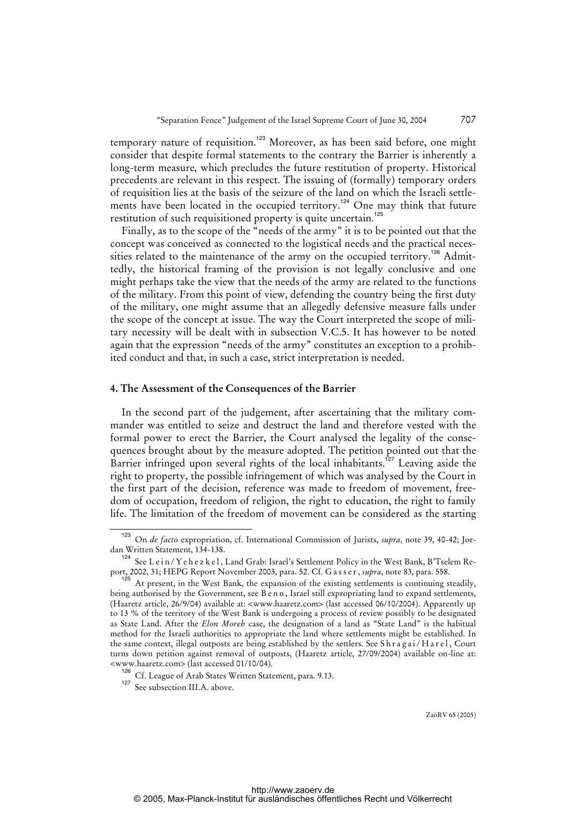temporary nature of requisition.<sup>123</sup> Moreover, as has been said before, one might consider that despite formal statements to the contrary the Barrier is inherently a long-term measure, which precludes the future restitution of property. Historical precedents are relevant in this respect. The issuing of (formally) temporary orders of requisition lies at the basis of the seizure of the land on which the Israeli settlements have been located in the occupied territory.<sup>124</sup> One may think that future restitution of such requisitioned property is quite uncertain.<sup>125</sup>

Finally, as to the scope of the "needs of the army" it is to be pointed out that the concept was conceived as connected to the logistical needs and the practical necessities related to the maintenance of the army on the occupied territory.<sup>126</sup> Admittedly, the historical framing of the provision is not legally conclusive and one might perhaps take the view that the needs of the army are related to the functions of the military. From this point of view, defending the country being the first duty of the military, one might assume that an allegedly defensive measure falls under the scope of the concept at issue. The way the Court interpreted the scope of military necessity will be dealt with in subsection V.C.5. It has however to be noted again that the expression "needs of the army" constitutes an exception to a prohibited conduct and that, in such a case, strict interpretation is needed.

#### **4. The Assessment of the Consequences of the Barrier**

In the second part of the judgement, after ascertaining that the military commander was entitled to seize and destruct the land and therefore vested with the formal power to erect the Barrier, the Court analysed the legality of the consequences brought about by the measure adopted. The petition pointed out that the Barrier infringed upon several rights of the local inhabitants.<sup>127</sup> Leaving aside the right to property, the possible infringement of which was analysed by the Court in the first part of the decision, reference was made to freedom of movement, freedom of occupation, freedom of religion, the right to education, the right to family life. The limitation of the freedom of movement can be considered as the starting

<sup>123</sup> On *de facto* expropriation, cf. International Commission of Jurists, *supra*, note 39, 40-42; Jordan Written Statement, 134-138.

See L e i n / Y e h e z k e l, Land Grab: Israel's Settlement Policy in the West Bank, B'Tselem Report, 2002, 31; HEPG Report November 2003, para. 52. Cf. G a s s e r , *supra*, note 83, para. 558.

<sup>&</sup>lt;sup>125</sup> At present, in the West Bank, the expansion of the existing settlements is continuing steadily, being authorised by the Government, see B e n n, Israel still expropriating land to expand settlements, (Haaretz article, 26/9/04) available at: <www.haaretz.com> (last accessed 06/10/2004). Apparently up to 13 % of the territory of the West Bank is undergoing a process of review possibly to be designated as State Land. After the *Elon Moreh* case, the designation of a land as "State Land" is the habitual method for the Israeli authorities to appropriate the land where settlements might be established. In the same context, illegal outposts are being established by the settlers. See Shragai/Harel, Court turns down petition against removal of outposts, (Haaretz article, 27/09/2004) available on-line at: <www.haaretz.com> (last accessed 01/10/04).

<sup>126</sup> Cf. League of Arab States Written Statement, para. 9.13.

<sup>&</sup>lt;sup>127</sup> See subsection III.A. above.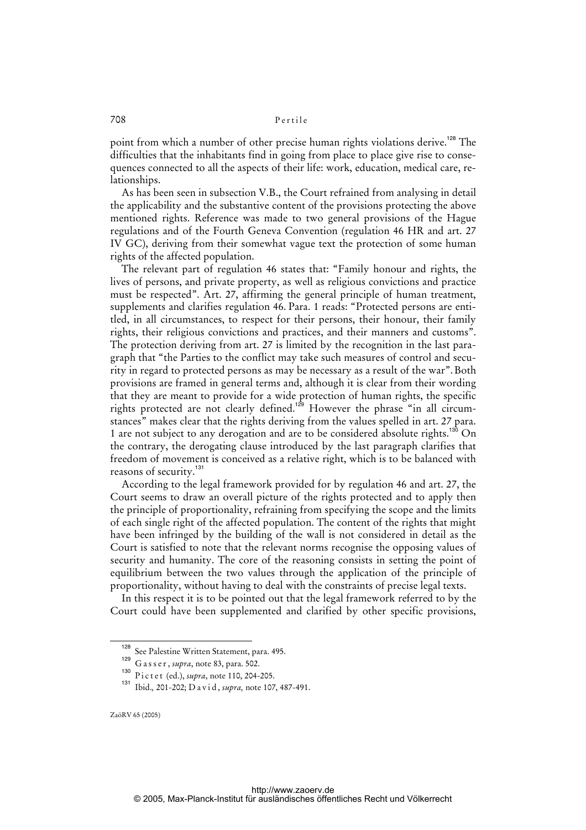point from which a number of other precise human rights violations derive.<sup>128</sup> The difficulties that the inhabitants find in going from place to place give rise to consequences connected to all the aspects of their life: work, education, medical care, relationships.

As has been seen in subsection V.B., the Court refrained from analysing in detail the applicability and the substantive content of the provisions protecting the above mentioned rights. Reference was made to two general provisions of the Hague regulations and of the Fourth Geneva Convention (regulation 46 HR and art. 27 IV GC), deriving from their somewhat vague text the protection of some human rights of the affected population.

The relevant part of regulation 46 states that: "Family honour and rights, the lives of persons, and private property, as well as religious convictions and practice must be respected". Art. 27, affirming the general principle of human treatment, supplements and clarifies regulation 46. Para. 1 reads: "Protected persons are entitled, in all circumstances, to respect for their persons, their honour, their family rights, their religious convictions and practices, and their manners and customs". The protection deriving from art. 27 is limited by the recognition in the last paragraph that "the Parties to the conflict may take such measures of control and security in regard to protected persons as may be necessary as a result of the war".Both provisions are framed in general terms and, although it is clear from their wording that they are meant to provide for a wide protection of human rights, the specific rights protected are not clearly defined.<sup>129</sup> However the phrase "in all circumstances" makes clear that the rights deriving from the values spelled in art. 27 para. 1 are not subject to any derogation and are to be considered absolute rights.<sup>130</sup> On the contrary, the derogating clause introduced by the last paragraph clarifies that freedom of movement is conceived as a relative right, which is to be balanced with reasons of security.<sup>131</sup>

According to the legal framework provided for by regulation 46 and art. 27, the Court seems to draw an overall picture of the rights protected and to apply then the principle of proportionality, refraining from specifying the scope and the limits of each single right of the affected population. The content of the rights that might have been infringed by the building of the wall is not considered in detail as the Court is satisfied to note that the relevant norms recognise the opposing values of security and humanity. The core of the reasoning consists in setting the point of equilibrium between the two values through the application of the principle of proportionality, without having to deal with the constraints of precise legal texts.

In this respect it is to be pointed out that the legal framework referred to by the Court could have been supplemented and clarified by other specific provisions,

<sup>128</sup> See Palestine Written Statement, para. 495.

<sup>129</sup> G a s s e r , *supra*, note 83, para. 502.

<sup>130</sup> P i c t e t (ed.), *supra*, note 110, 204-205.<br><sup>131</sup> Ibid. 201-202: D a vid. *supra*, note 107

<sup>131</sup> Ibid.*,* 201-202; D a v i d , *supra,* note 107, 487-491.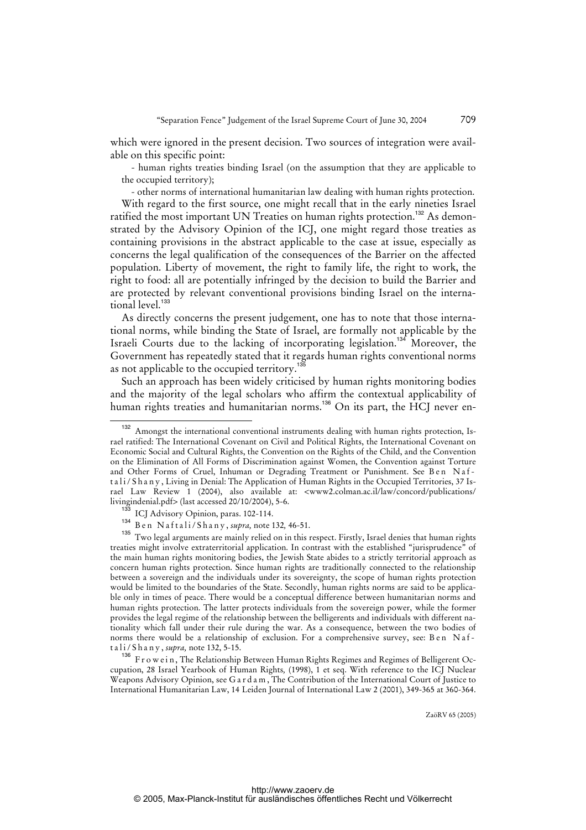which were ignored in the present decision. Two sources of integration were available on this specific point:

- human rights treaties binding Israel (on the assumption that they are applicable to the occupied territory);

- other norms of international humanitarian law dealing with human rights protection.

With regard to the first source, one might recall that in the early nineties Israel ratified the most important UN Treaties on human rights protection.<sup>132</sup> As demonstrated by the Advisory Opinion of the ICJ, one might regard those treaties as containing provisions in the abstract applicable to the case at issue, especially as concerns the legal qualification of the consequences of the Barrier on the affected population. Liberty of movement, the right to family life, the right to work, the right to food: all are potentially infringed by the decision to build the Barrier and are protected by relevant conventional provisions binding Israel on the international level.<sup>133</sup>

As directly concerns the present judgement, one has to note that those international norms, while binding the State of Israel, are formally not applicable by the Israeli Courts due to the lacking of incorporating legislation.<sup>134</sup> Moreover, the Government has repeatedly stated that it regards human rights conventional norms as not applicable to the occupied territory.<sup>135</sup>

Such an approach has been widely criticised by human rights monitoring bodies and the majority of the legal scholars who affirm the contextual applicability of human rights treaties and humanitarian norms.<sup>136</sup> On its part, the HCJ never en-

Two legal arguments are mainly relied on in this respect. Firstly, Israel denies that human rights treaties might involve extraterritorial application. In contrast with the established "jurisprudence" of the main human rights monitoring bodies, the Jewish State abides to a strictly territorial approach as concern human rights protection. Since human rights are traditionally connected to the relationship between a sovereign and the individuals under its sovereignty, the scope of human rights protection would be limited to the boundaries of the State. Secondly, human rights norms are said to be applicable only in times of peace. There would be a conceptual difference between humanitarian norms and human rights protection. The latter protects individuals from the sovereign power, while the former provides the legal regime of the relationship between the belligerents and individuals with different nationality which fall under their rule during the war. As a consequence, between the two bodies of norms there would be a relationship of exclusion. For a comprehensive survey, see: Ben Naft a l i / S h a n y , *supra,* note 132, 5-15.

136 Frowein, The Relationship Between Human Rights Regimes and Regimes of Belligerent Occupation, 28 Israel Yearbook of Human Rights*,* (1998), 1 et seq. With reference to the ICJ Nuclear Weapons Advisory Opinion, see G a r d a m , The Contribution of the International Court of Justice to International Humanitarian Law, 14 Leiden Journal of International Law 2 (2001), 349-365 at 360-364.

<sup>132</sup> Amongst the international conventional instruments dealing with human rights protection, Israel ratified: The International Covenant on Civil and Political Rights, the International Covenant on Economic Social and Cultural Rights, the Convention on the Rights of the Child, and the Convention on the Elimination of All Forms of Discrimination against Women, the Convention against Torture and Other Forms of Cruel, Inhuman or Degrading Treatment or Punishment. See Ben Naft a l i / S h a n y , Living in Denial: The Application of Human Rights in the Occupied Territories, 37 Israel Law Review 1 (2004), also available at: <www2.colman.ac.il/law/concord/publications/ livingindenial.pdf> (last accessed 20/10/2004), 5-6.

<sup>&</sup>lt;sup>3</sup> ICJ Advisory Opinion, paras. 102-114.

<sup>134&</sup>lt;br>
B e n N a f t a l i / S h a n y , *supra*, note 132, 46-51.<br>
<sup>135</sup> Two legal arguments are mainly relied on in this r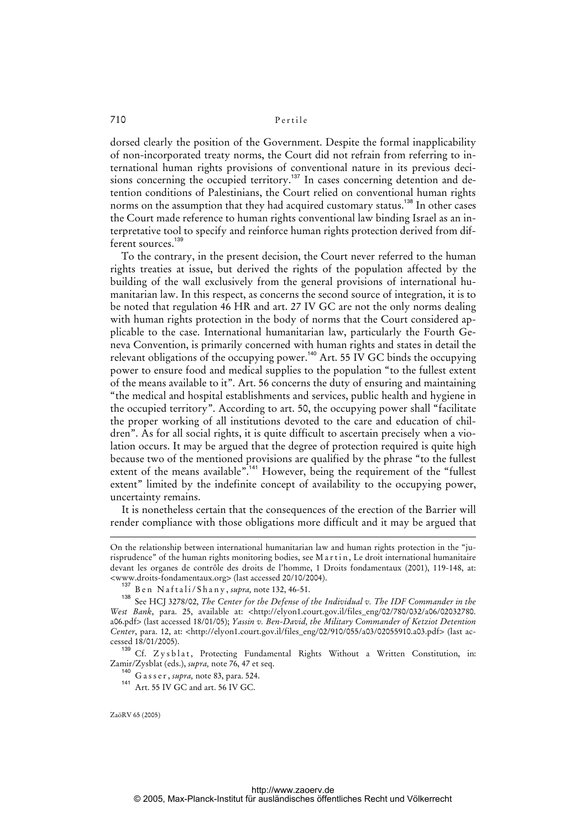dorsed clearly the position of the Government. Despite the formal inapplicability of non-incorporated treaty norms, the Court did not refrain from referring to international human rights provisions of conventional nature in its previous decisions concerning the occupied territory.<sup>137</sup> In cases concerning detention and detention conditions of Palestinians, the Court relied on conventional human rights norms on the assumption that they had acquired customary status.<sup>138</sup> In other cases the Court made reference to human rights conventional law binding Israel as an interpretative tool to specify and reinforce human rights protection derived from different sources.<sup>139</sup>

To the contrary, in the present decision, the Court never referred to the human rights treaties at issue, but derived the rights of the population affected by the building of the wall exclusively from the general provisions of international humanitarian law. In this respect, as concerns the second source of integration, it is to be noted that regulation 46 HR and art. 27 IV GC are not the only norms dealing with human rights protection in the body of norms that the Court considered applicable to the case. International humanitarian law, particularly the Fourth Geneva Convention, is primarily concerned with human rights and states in detail the relevant obligations of the occupying power.<sup>140</sup> Art. 55 IV GC binds the occupying power to ensure food and medical supplies to the population "to the fullest extent of the means available to it". Art. 56 concerns the duty of ensuring and maintaining "the medical and hospital establishments and services, public health and hygiene in the occupied territory". According to art. 50, the occupying power shall "facilitate the proper working of all institutions devoted to the care and education of children". As for all social rights, it is quite difficult to ascertain precisely when a violation occurs. It may be argued that the degree of protection required is quite high because two of the mentioned provisions are qualified by the phrase "to the fullest extent of the means available".<sup>44</sup> However, being the requirement of the "fullest extent" limited by the indefinite concept of availability to the occupying power, uncertainty remains.

It is nonetheless certain that the consequences of the erection of the Barrier will render compliance with those obligations more difficult and it may be argued that

<sup>139</sup> Cf. Zysblat, Protecting Fundamental Rights Without a Written Constitution, in: Zamir/Zysblat (eds.), *supra,* note 76, 47 et seq.

<sup>140</sup> G a s s e r , *supra,* note 83, para. 524.

On the relationship between international humanitarian law and human rights protection in the "jurisprudence" of the human rights monitoring bodies, see M a r t i n , Le droit international humanitaire devant les organes de contrôle des droits de l'homme, 1 Droits fondamentaux (2001), 119-148, at: <www.droits-fondamentaux.org> (last accessed 20/10/2004).

<sup>137</sup> B e n N a f t a l i / S h a n y , *supra,* note 132, 46-51.

See HCJ 3278/02, *The Center for the Defense of the Individual v. The IDF Commander in the West Bank*, para. 25, available at: [<http://elyon1.court.gov.il/files\\_eng/02/780/032/a06/02032780.](http://elyon1.court.gov.il/files_eng/02/780/032/a06/02032780) a06.pdf> (last accessed 18/01/05); *Yassin v. Ben-David, the Military Commander of Ketziot Detention Center*, para. 12, at: <[http://elyon1.court.gov.il/files\\_eng/02/910/055/a03/02055910.a03.pdf>](http://elyon1.court.gov.il/files_eng/02/910/055/a03/02055910.a03.pdf) (last accessed 18/01/2005).

<sup>141</sup> Art. 55 IV GC and art. 56 IV GC.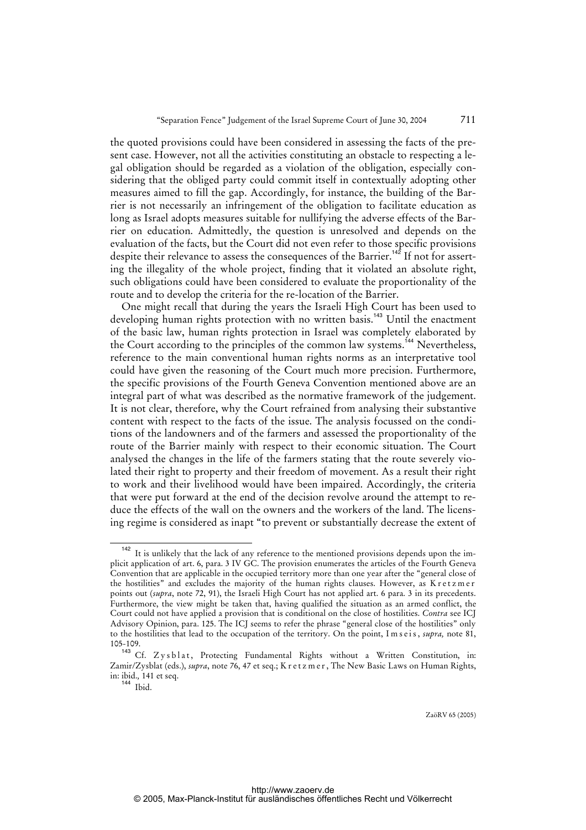the quoted provisions could have been considered in assessing the facts of the present case. However, not all the activities constituting an obstacle to respecting a legal obligation should be regarded as a violation of the obligation, especially considering that the obliged party could commit itself in contextually adopting other measures aimed to fill the gap. Accordingly, for instance, the building of the Barrier is not necessarily an infringement of the obligation to facilitate education as long as Israel adopts measures suitable for nullifying the adverse effects of the Barrier on education. Admittedly, the question is unresolved and depends on the evaluation of the facts, but the Court did not even refer to those specific provisions despite their relevance to assess the consequences of the Barrier.<sup>142</sup> If not for asserting the illegality of the whole project, finding that it violated an absolute right, such obligations could have been considered to evaluate the proportionality of the route and to develop the criteria for the re-location of the Barrier.

One might recall that during the years the Israeli High Court has been used to developing human rights protection with no written basis.<sup>143</sup> Until the enactment of the basic law, human rights protection in Israel was completely elaborated by the Court according to the principles of the common law systems.<sup>144</sup> Nevertheless, reference to the main conventional human rights norms as an interpretative tool could have given the reasoning of the Court much more precision. Furthermore, the specific provisions of the Fourth Geneva Convention mentioned above are an integral part of what was described as the normative framework of the judgement. It is not clear, therefore, why the Court refrained from analysing their substantive content with respect to the facts of the issue. The analysis focussed on the conditions of the landowners and of the farmers and assessed the proportionality of the route of the Barrier mainly with respect to their economic situation. The Court analysed the changes in the life of the farmers stating that the route severely violated their right to property and their freedom of movement. As a result their right to work and their livelihood would have been impaired. Accordingly, the criteria that were put forward at the end of the decision revolve around the attempt to reduce the effects of the wall on the owners and the workers of the land. The licensing regime is considered as inapt "to prevent or substantially decrease the extent of

<sup>&</sup>lt;sup>142</sup> It is unlikely that the lack of any reference to the mentioned provisions depends upon the implicit application of art. 6, para. 3 IV GC. The provision enumerates the articles of the Fourth Geneva Convention that are applicable in the occupied territory more than one year after the "general close of the hostilities" and excludes the majority of the human rights clauses. However, as K r et z m e r points out (*supra*, note 72, 91), the Israeli High Court has not applied art. 6 para. 3 in its precedents. Furthermore, the view might be taken that, having qualified the situation as an armed conflict, the Court could not have applied a provision that is conditional on the close of hostilities. *Contra* see ICJ Advisory Opinion, para. 125. The ICJ seems to refer the phrase "general close of the hostilities" only to the hostilities that lead to the occupation of the territory. On the point, I m s e i s, *supra*, note 81, 105-109.

<sup>&</sup>lt;sup>143</sup> Cf. Zysblat, Protecting Fundamental Rights without a Written Constitution, in: Zamir/Zysblat (eds.), *supra*, note 76, 47 et seq.; K r e t z m e r , The New Basic Laws on Human Rights, in: ibid.*,* 141 et seq.

<sup>144</sup> Ibid.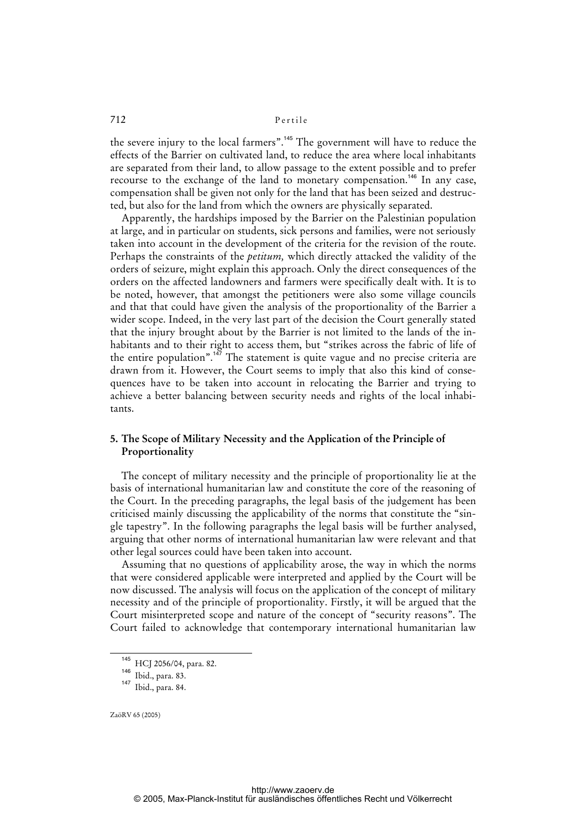the severe injury to the local farmers".<sup>145</sup> The government will have to reduce the effects of the Barrier on cultivated land, to reduce the area where local inhabitants are separated from their land, to allow passage to the extent possible and to prefer recourse to the exchange of the land to monetary compensation.<sup>146</sup> In any case, compensation shall be given not only for the land that has been seized and destructed, but also for the land from which the owners are physically separated.

Apparently, the hardships imposed by the Barrier on the Palestinian population at large, and in particular on students, sick persons and families, were not seriously taken into account in the development of the criteria for the revision of the route. Perhaps the constraints of the *petitum,* which directly attacked the validity of the orders of seizure, might explain this approach. Only the direct consequences of the orders on the affected landowners and farmers were specifically dealt with. It is to be noted, however, that amongst the petitioners were also some village councils and that that could have given the analysis of the proportionality of the Barrier a wider scope. Indeed, in the very last part of the decision the Court generally stated that the injury brought about by the Barrier is not limited to the lands of the inhabitants and to their right to access them, but "strikes across the fabric of life of the entire population".<sup>147</sup> The statement is quite vague and no precise criteria are drawn from it. However, the Court seems to imply that also this kind of consequences have to be taken into account in relocating the Barrier and trying to achieve a better balancing between security needs and rights of the local inhabitants.

### **5. The Scope of Military Necessity and the Application of the Principle of Proportionality**

The concept of military necessity and the principle of proportionality lie at the basis of international humanitarian law and constitute the core of the reasoning of the Court. In the preceding paragraphs, the legal basis of the judgement has been criticised mainly discussing the applicability of the norms that constitute the "single tapestry". In the following paragraphs the legal basis will be further analysed, arguing that other norms of international humanitarian law were relevant and that other legal sources could have been taken into account.

Assuming that no questions of applicability arose, the way in which the norms that were considered applicable were interpreted and applied by the Court will be now discussed. The analysis will focus on the application of the concept of military necessity and of the principle of proportionality. Firstly, it will be argued that the Court misinterpreted scope and nature of the concept of "security reasons". The Court failed to acknowledge that contemporary international humanitarian law

<sup>145</sup> HCJ 2056/04, para. 82.

<sup>146</sup> Ibid., para. 83.

<sup>147</sup> Ibid., para. 84.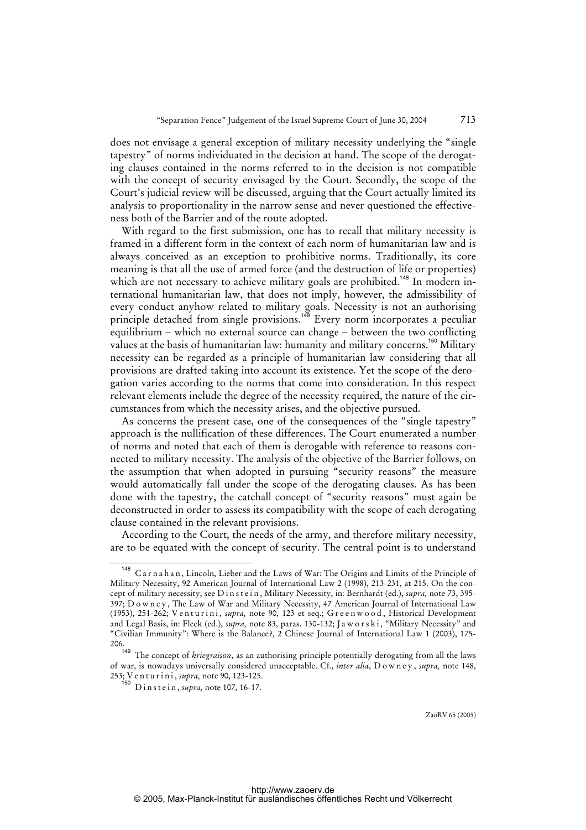does not envisage a general exception of military necessity underlying the "single tapestry" of norms individuated in the decision at hand. The scope of the derogating clauses contained in the norms referred to in the decision is not compatible with the concept of security envisaged by the Court. Secondly, the scope of the Court's judicial review will be discussed, arguing that the Court actually limited its analysis to proportionality in the narrow sense and never questioned the effectiveness both of the Barrier and of the route adopted.

With regard to the first submission, one has to recall that military necessity is framed in a different form in the context of each norm of humanitarian law and is always conceived as an exception to prohibitive norms. Traditionally, its core meaning is that all the use of armed force (and the destruction of life or properties) which are not necessary to achieve military goals are prohibited.<sup>148</sup> In modern international humanitarian law, that does not imply, however, the admissibility of every conduct anyhow related to military goals. Necessity is not an authorising principle detached from single provisions.<sup>149</sup> Every norm incorporates a peculiar equilibrium – which no external source can change – between the two conflicting values at the basis of humanitarian law: humanity and military concerns.<sup>150</sup> Military necessity can be regarded as a principle of humanitarian law considering that all provisions are drafted taking into account its existence. Yet the scope of the derogation varies according to the norms that come into consideration. In this respect relevant elements include the degree of the necessity required, the nature of the circumstances from which the necessity arises, and the objective pursued.

As concerns the present case, one of the consequences of the "single tapestry" approach is the nullification of these differences. The Court enumerated a number of norms and noted that each of them is derogable with reference to reasons connected to military necessity. The analysis of the objective of the Barrier follows, on the assumption that when adopted in pursuing "security reasons" the measure would automatically fall under the scope of the derogating clauses. As has been done with the tapestry, the catchall concept of "security reasons" must again be deconstructed in order to assess its compatibility with the scope of each derogating clause contained in the relevant provisions.

According to the Court, the needs of the army, and therefore military necessity, are to be equated with the concept of security. The central point is to understand

<sup>&</sup>lt;sup>148</sup> Carnahan, Lincoln, Lieber and the Laws of War: The Origins and Limits of the Principle of Military Necessity, 92 American Journal of International Law 2 (1998), 213-231, at 215. On the concept of military necessity, see D in s t e in, Military Necessity, in: Bernhardt (ed.), *supra*, note 73, 395-397; Downey, The Law of War and Military Necessity, 47 American Journal of International Law (1953), 251-262; Venturini, *supra*, note 90, 123 et seq.; Greenwood, Historical Development and Legal Basis, in: Fleck (ed.), *supra*, note 83, paras. 130-132; Jaworski, "Military Necessity" and "Civilian Immunity": Where is the Balance?, 2 Chinese Journal of International Law 1 (2003), 175-  $206.$ <sup>149</sup>

The concept of *kriegraison*, as an authorising principle potentially derogating from all the laws of war, is nowadays universally considered unacceptable. Cf., *inter alia*, D o w n e y , *supra,* note 148, 253; V e n t u r i n i , *supra,* note 90, 123-125.

<sup>150</sup> D i n s t e i n , *supra,* note 107, 16-17.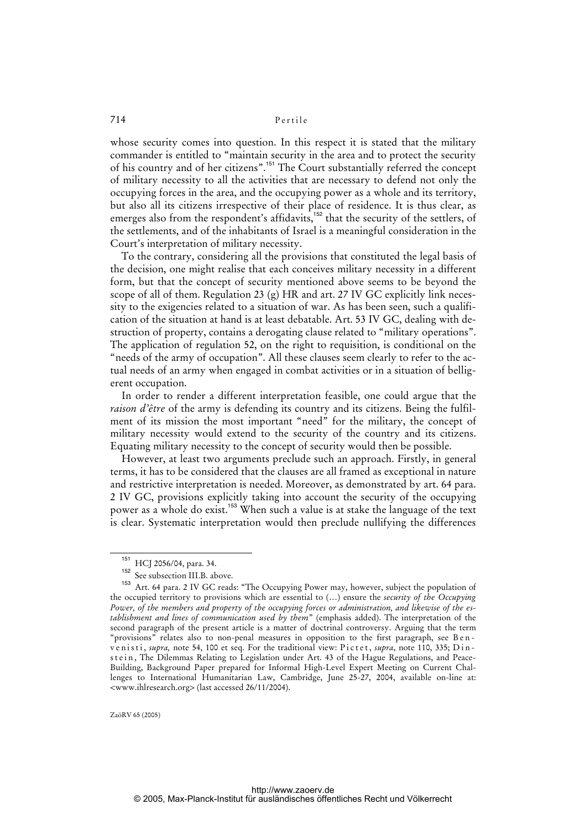whose security comes into question. In this respect it is stated that the military commander is entitled to "maintain security in the area and to protect the security of his country and of her citizens".<sup>151</sup> The Court substantially referred the concept of military necessity to all the activities that are necessary to defend not only the occupying forces in the area, and the occupying power as a whole and its territory, but also all its citizens irrespective of their place of residence. It is thus clear, as emerges also from the respondent's affidavits,<sup>152</sup> that the security of the settlers, of the settlements, and of the inhabitants of Israel is a meaningful consideration in the Court's interpretation of military necessity.

To the contrary, considering all the provisions that constituted the legal basis of the decision, one might realise that each conceives military necessity in a different form, but that the concept of security mentioned above seems to be beyond the scope of all of them. Regulation 23 (g) HR and art. 27 IV GC explicitly link necessity to the exigencies related to a situation of war. As has been seen, such a qualification of the situation at hand is at least debatable. Art. 53 IV GC, dealing with destruction of property, contains a derogating clause related to "military operations". The application of regulation 52, on the right to requisition, is conditional on the "needs of the army of occupation". All these clauses seem clearly to refer to the actual needs of an army when engaged in combat activities or in a situation of belligerent occupation.

In order to render a different interpretation feasible, one could argue that the *raison d'être* of the army is defending its country and its citizens. Being the fulfilment of its mission the most important "need" for the military, the concept of military necessity would extend to the security of the country and its citizens. Equating military necessity to the concept of security would then be possible.

However, at least two arguments preclude such an approach. Firstly, in general terms, it has to be considered that the clauses are all framed as exceptional in nature and restrictive interpretation is needed. Moreover, as demonstrated by art. 64 para. 2 IV GC, provisions explicitly taking into account the security of the occupying power as a whole do exist.<sup>153</sup> When such a value is at stake the language of the text is clear. Systematic interpretation would then preclude nullifying the differences

<sup>&</sup>lt;sup>151</sup> HCJ 2056/04, para. 34.

See subsection III.B. above.

Art. 64 para. 2 IV GC reads: "The Occupying Power may, however, subject the population of the occupied territory to provisions which are essential to (…) ensure the *security of the Occupying Power, of the members and property of the occupying forces or administration, and likewise of the establishment and lines of communication used by them*" (emphasis added). The interpretation of the second paragraph of the present article is a matter of doctrinal controversy. Arguing that the term "provisions" relates also to non-penal measures in opposition to the first paragraph, see B e n ve n i sti, *supra*, note 54, 100 et seq. For the traditional view: Pictet, *supra*, note 110, 335; Dinstein, The Dilemmas Relating to Legislation under Art. 43 of the Hague Regulations, and Peace-Building, Background Paper prepared for Informal High-Level Expert Meeting on Current Challenges to International Humanitarian Law, Cambridge, June 25-27, 2004, available on-line at: <www.ihlresearch.org> (last accessed 26/11/2004).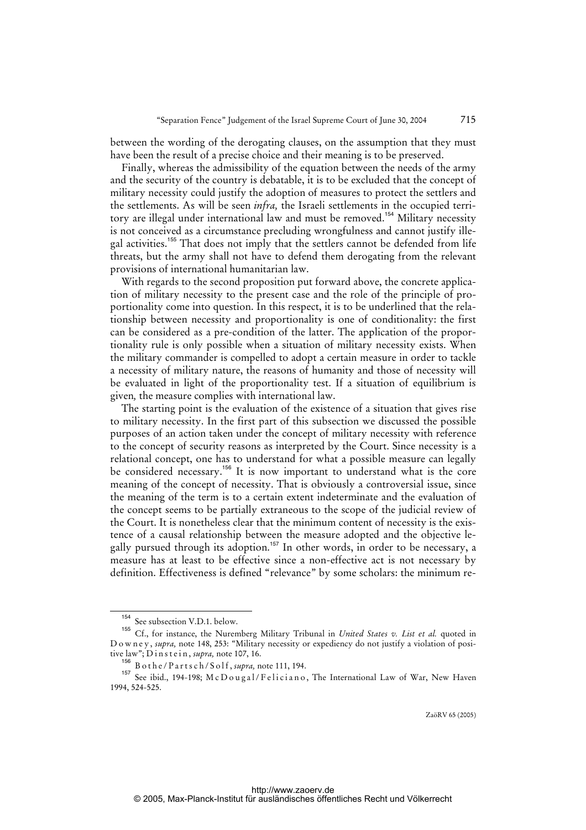between the wording of the derogating clauses, on the assumption that they must have been the result of a precise choice and their meaning is to be preserved.

Finally, whereas the admissibility of the equation between the needs of the army and the security of the country is debatable, it is to be excluded that the concept of military necessity could justify the adoption of measures to protect the settlers and the settlements. As will be seen *infra,* the Israeli settlements in the occupied territory are illegal under international law and must be removed.<sup>154</sup> Military necessity is not conceived as a circumstance precluding wrongfulness and cannot justify illegal activities.<sup>155</sup> That does not imply that the settlers cannot be defended from life threats, but the army shall not have to defend them derogating from the relevant provisions of international humanitarian law.

With regards to the second proposition put forward above, the concrete application of military necessity to the present case and the role of the principle of proportionality come into question. In this respect, it is to be underlined that the relationship between necessity and proportionality is one of conditionality: the first can be considered as a pre-condition of the latter. The application of the proportionality rule is only possible when a situation of military necessity exists. When the military commander is compelled to adopt a certain measure in order to tackle a necessity of military nature, the reasons of humanity and those of necessity will be evaluated in light of the proportionality test. If a situation of equilibrium is given*,* the measure complies with international law.

The starting point is the evaluation of the existence of a situation that gives rise to military necessity. In the first part of this subsection we discussed the possible purposes of an action taken under the concept of military necessity with reference to the concept of security reasons as interpreted by the Court. Since necessity is a relational concept, one has to understand for what a possible measure can legally be considered necessary.<sup>156</sup> It is now important to understand what is the core meaning of the concept of necessity. That is obviously a controversial issue, since the meaning of the term is to a certain extent indeterminate and the evaluation of the concept seems to be partially extraneous to the scope of the judicial review of the Court. It is nonetheless clear that the minimum content of necessity is the existence of a causal relationship between the measure adopted and the objective legally pursued through its adoption.<sup>157</sup> In other words, in order to be necessary, a measure has at least to be effective since a non-effective act is not necessary by definition. Effectiveness is defined "relevance" by some scholars: the minimum re-

See subsection V.D.1. below.

<sup>155</sup> Cf., for instance, the Nuremberg Military Tribunal in *United States v. List et al.* quoted in D o w n e y , *supra,* note 148, 253: "Military necessity or expediency do not justify a violation of positive law"; D i n s t e i n , *supra,* note 107, 16.

<sup>156</sup> B o t h e / P a r t s c h / S o l f , *supra,* note 111, 194.

<sup>157</sup> See ibid., 194-198; McDougal/Feliciano, The International Law of War, New Haven 1994, 524-525.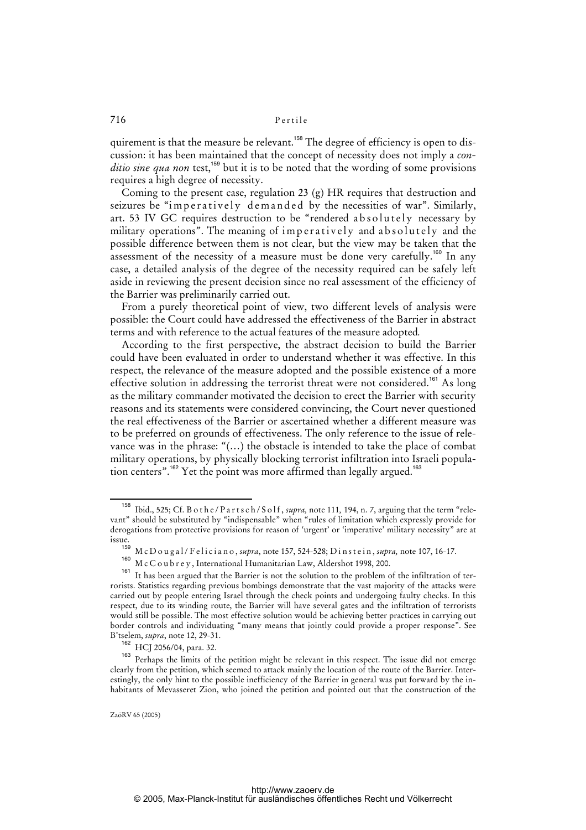quirement is that the measure be relevant.<sup>158</sup> The degree of efficiency is open to discussion: it has been maintained that the concept of necessity does not imply a *conditio sine qua non* test,<sup>159</sup> but it is to be noted that the wording of some provisions requires a high degree of necessity.

Coming to the present case, regulation 23 (g) HR requires that destruction and seizures be "imperatively demanded by the necessities of war". Similarly, art. 53 IV GC requires destruction to be "rendered absolutely necessary by military operations". The meaning of imperatively and absolutely and the possible difference between them is not clear, but the view may be taken that the assessment of the necessity of a measure must be done very carefully.<sup>160</sup> In any case, a detailed analysis of the degree of the necessity required can be safely left aside in reviewing the present decision since no real assessment of the efficiency of the Barrier was preliminarily carried out.

From a purely theoretical point of view, two different levels of analysis were possible: the Court could have addressed the effectiveness of the Barrier in abstract terms and with reference to the actual features of the measure adopted*.* 

According to the first perspective, the abstract decision to build the Barrier could have been evaluated in order to understand whether it was effective. In this respect, the relevance of the measure adopted and the possible existence of a more effective solution in addressing the terrorist threat were not considered.<sup>161</sup> As long as the military commander motivated the decision to erect the Barrier with security reasons and its statements were considered convincing, the Court never questioned the real effectiveness of the Barrier or ascertained whether a different measure was to be preferred on grounds of effectiveness. The only reference to the issue of relevance was in the phrase: "(…) the obstacle is intended to take the place of combat military operations, by physically blocking terrorist infiltration into Israeli population centers".<sup>162</sup> Yet the point was more affirmed than legally argued.<sup>163</sup>

<sup>158</sup> Ibid., 525; Cf. B o t h e / P a r t s c h / S o l f , *supra,* note 111*,* 194, n. 7, arguing that the term "relevant" should be substituted by "indispensable" when "rules of limitation which expressly provide for derogations from protective provisions for reason of 'urgent' or 'imperative' military necessity" are at issue.

<sup>&</sup>lt;sup>159</sup> M c D o u g a l / F e l i c i a n o , *supra*, note 157, 524-528; D i n s t e i n , *supra*, note 107, 16-17.

<sup>&</sup>lt;sup>160</sup> M c C o u b r e y , International Humanitarian Law, Aldershot 1998, 200.

It has been argued that the Barrier is not the solution to the problem of the infiltration of terrorists. Statistics regarding previous bombings demonstrate that the vast majority of the attacks were carried out by people entering Israel through the check points and undergoing faulty checks. In this respect, due to its winding route, the Barrier will have several gates and the infiltration of terrorists would still be possible. The most effective solution would be achieving better practices in carrying out border controls and individuating "many means that jointly could provide a proper response". See B'tselem, *supra*, note 12, 29-31.

<sup>162</sup> HCJ 2056/04, para. 32.

<sup>&</sup>lt;sup>163</sup> Perhaps the limits of the petition might be relevant in this respect. The issue did not emerge clearly from the petition, which seemed to attack mainly the location of the route of the Barrier. Interestingly, the only hint to the possible inefficiency of the Barrier in general was put forward by the inhabitants of Mevasseret Zion, who joined the petition and pointed out that the construction of the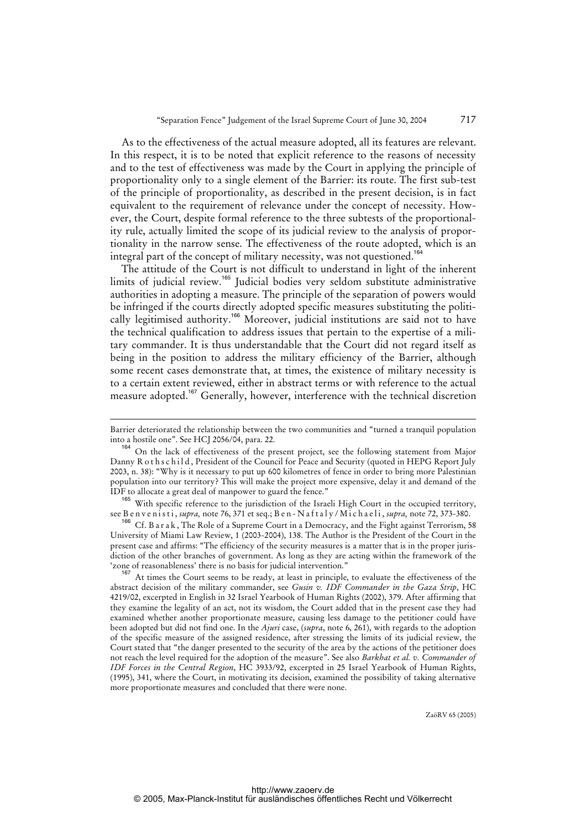As to the effectiveness of the actual measure adopted, all its features are relevant. In this respect, it is to be noted that explicit reference to the reasons of necessity and to the test of effectiveness was made by the Court in applying the principle of proportionality only to a single element of the Barrier: its route. The first sub-test of the principle of proportionality, as described in the present decision, is in fact equivalent to the requirement of relevance under the concept of necessity. However, the Court, despite formal reference to the three subtests of the proportionality rule, actually limited the scope of its judicial review to the analysis of proportionality in the narrow sense. The effectiveness of the route adopted, which is an integral part of the concept of military necessity, was not questioned.<sup>164</sup>

The attitude of the Court is not difficult to understand in light of the inherent limits of judicial review.<sup>165</sup> Judicial bodies very seldom substitute administrative authorities in adopting a measure. The principle of the separation of powers would be infringed if the courts directly adopted specific measures substituting the politically legitimised authority.<sup>166</sup> Moreover, judicial institutions are said not to have the technical qualification to address issues that pertain to the expertise of a military commander. It is thus understandable that the Court did not regard itself as being in the position to address the military efficiency of the Barrier, although some recent cases demonstrate that, at times, the existence of military necessity is to a certain extent reviewed, either in abstract terms or with reference to the actual measure adopted.<sup>167</sup> Generally, however, interference with the technical discretion

1

<sup>165</sup> With specific reference to the jurisdiction of the Israeli High Court in the occupied territory, see B e n v e n i s t i , *supra,* note 76, 371 et seq.; B e n - N a f t a l y / M i c h a e l i , *supra,* note 72, 373-380.

<sup>166</sup> Cf. B a r a k , The Role of a Supreme Court in a Democracy, and the Fight against Terrorism, 58 University of Miami Law Review, 1 (2003-2004), 138. The Author is the President of the Court in the present case and affirms: "The efficiency of the security measures is a matter that is in the proper jurisdiction of the other branches of government. As long as they are acting within the framework of the 'zone of reasonableness' there is no basis for judicial intervention."

At times the Court seems to be ready, at least in principle, to evaluate the effectiveness of the abstract decision of the military commander, see *Gusin v. IDF Commander in the Gaza Strip*, HC 4219/02, excerpted in English in 32 Israel Yearbook of Human Rights (2002), 379. After affirming that they examine the legality of an act, not its wisdom, the Court added that in the present case they had examined whether another proportionate measure, causing less damage to the petitioner could have been adopted but did not find one. In the *Ajuri* case, (*supra*, note 6, 261), with regards to the adoption of the specific measure of the assigned residence, after stressing the limits of its judicial review, the Court stated that "the danger presented to the security of the area by the actions of the petitioner does not reach the level required for the adoption of the measure". See also *Barkhat et al. v. Commander of IDF Forces in the Central Region*, HC 3933/92, excerpted in 25 Israel Yearbook of Human Rights, (1995), 341, where the Court, in motivating its decision, examined the possibility of taking alternative more proportionate measures and concluded that there were none.

Barrier deteriorated the relationship between the two communities and "turned a tranquil population into a hostile one". See HCJ 2056/04, para. 22.

<sup>164</sup> On the lack of effectiveness of the present project, see the following statement from Major Danny R o ths c hild, President of the Council for Peace and Security (quoted in HEPG Report July 2003, n. 38): "Why is it necessary to put up 600 kilometres of fence in order to bring more Palestinian population into our territory? This will make the project more expensive, delay it and demand of the IDF to allocate a great deal of manpower to guard the fence."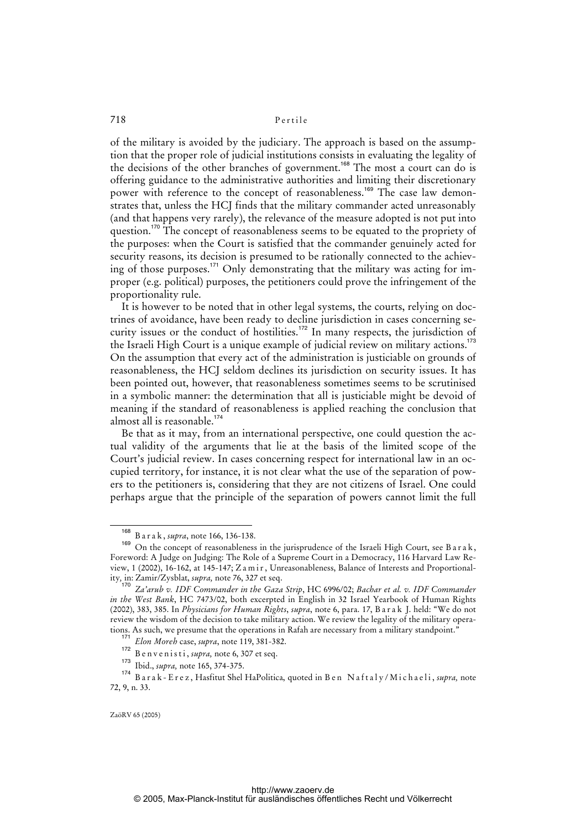of the military is avoided by the judiciary. The approach is based on the assumption that the proper role of judicial institutions consists in evaluating the legality of the decisions of the other branches of government.<sup>168</sup> The most a court can do is offering guidance to the administrative authorities and limiting their discretionary power with reference to the concept of reasonableness.<sup>169</sup> The case law demonstrates that, unless the HCJ finds that the military commander acted unreasonably (and that happens very rarely), the relevance of the measure adopted is not put into question.<sup>170</sup> The concept of reasonableness seems to be equated to the propriety of the purposes: when the Court is satisfied that the commander genuinely acted for security reasons, its decision is presumed to be rationally connected to the achieving of those purposes.<sup>171</sup> Only demonstrating that the military was acting for improper (e.g. political) purposes, the petitioners could prove the infringement of the proportionality rule.

It is however to be noted that in other legal systems, the courts, relying on doctrines of avoidance, have been ready to decline jurisdiction in cases concerning security issues or the conduct of hostilities.<sup>172</sup> In many respects, the jurisdiction of the Israeli High Court is a unique example of judicial review on military actions.<sup>173</sup> On the assumption that every act of the administration is justiciable on grounds of reasonableness, the HCJ seldom declines its jurisdiction on security issues. It has been pointed out, however, that reasonableness sometimes seems to be scrutinised in a symbolic manner: the determination that all is justiciable might be devoid of meaning if the standard of reasonableness is applied reaching the conclusion that almost all is reasonable. $174$ 

Be that as it may, from an international perspective, one could question the actual validity of the arguments that lie at the basis of the limited scope of the Court's judicial review. In cases concerning respect for international law in an occupied territory, for instance, it is not clear what the use of the separation of powers to the petitioners is, considering that they are not citizens of Israel. One could perhaps argue that the principle of the separation of powers cannot limit the full

<sup>168</sup> B a r a k , *supra*, note 166, 136-138.

<sup>169</sup> On the concept of reasonableness in the jurisprudence of the Israeli High Court, see B a r a k, Foreword: A Judge on Judging: The Role of a Supreme Court in a Democracy, 116 Harvard Law Review, 1 (2002), 16-162, at 145-147; Z a m i r , Unreasonableness, Balance of Interests and Proportionality*,* in: Zamir/Zysblat, *supra,* note 76, 327 et seq.

<sup>170</sup> *Za'arub v. IDF Commander in the Gaza Strip*, HC 6996/02; *Bachar et al. v. IDF Commander in the West Bank*, HC 7473/02, both excerpted in English in 32 Israel Yearbook of Human Rights (2002), 383, 385. In *Physicians for Human Rights*, *supra*, note 6, para. 17, B a r a k J. held: "We do not review the wisdom of the decision to take military action. We review the legality of the military operations. As such, we presume that the operations in Rafah are necessary from a military standpoint."

<sup>171</sup> *Elon Moreh* case, *supra*, note 119, 381-382.

<sup>172</sup> B e n v e n i s t i , *supra*, note 6, 307 et seq.

<sup>173</sup> Ibid., *supra,* note 165, 374-375.

<sup>174</sup> B a r a k - E r e z , Hasfitut Shel HaPolitica, quoted in B e n N a f t a l y / M i c h a e l i , *supra,* note 72, 9, n. 33.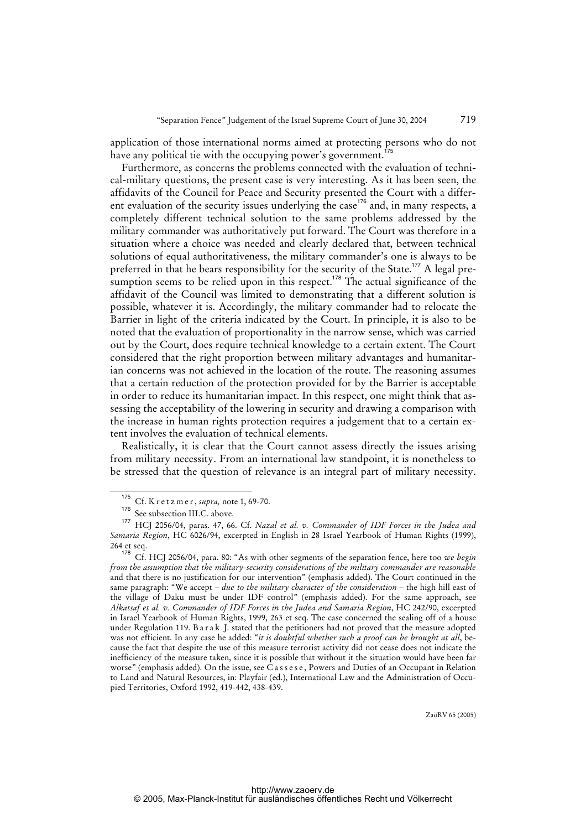application of those international norms aimed at protecting persons who do not have any political tie with the occupying power's government.

Furthermore, as concerns the problems connected with the evaluation of technical-military questions, the present case is very interesting. As it has been seen, the affidavits of the Council for Peace and Security presented the Court with a different evaluation of the security issues underlying the case<sup>176</sup> and, in many respects, a completely different technical solution to the same problems addressed by the military commander was authoritatively put forward. The Court was therefore in a situation where a choice was needed and clearly declared that, between technical solutions of equal authoritativeness, the military commander's one is always to be preferred in that he bears responsibility for the security of the State.<sup>177</sup> A legal presumption seems to be relied upon in this respect.<sup>178</sup> The actual significance of the affidavit of the Council was limited to demonstrating that a different solution is possible, whatever it is. Accordingly, the military commander had to relocate the Barrier in light of the criteria indicated by the Court. In principle, it is also to be noted that the evaluation of proportionality in the narrow sense, which was carried out by the Court, does require technical knowledge to a certain extent. The Court considered that the right proportion between military advantages and humanitarian concerns was not achieved in the location of the route. The reasoning assumes that a certain reduction of the protection provided for by the Barrier is acceptable in order to reduce its humanitarian impact. In this respect, one might think that assessing the acceptability of the lowering in security and drawing a comparison with the increase in human rights protection requires a judgement that to a certain extent involves the evaluation of technical elements.

Realistically, it is clear that the Court cannot assess directly the issues arising from military necessity. From an international law standpoint, it is nonetheless to be stressed that the question of relevance is an integral part of military necessity.

<sup>175</sup> Cf. K r e t z m e r, *supra*, note 1, 69-70.

See subsection III.C. above.

<sup>177</sup> HCJ 2056/04, paras. 47, 66. Cf. *Nazal et al. v. Commander of IDF Forces in the Judea and Samaria Region*, HC 6026/94, excerpted in English in 28 Israel Yearbook of Human Rights (1999), 264 et seq.

<sup>178</sup> Cf. HCJ 2056/04, para. 80: "As with other segments of the separation fence, here too *we begin from the assumption that the military-security considerations of the military commander are reasonable* and that there is no justification for our intervention" (emphasis added). The Court continued in the same paragraph: "We accept *– due to the military character of the consideration –* the high hill east of the village of Daku must be under IDF control" (emphasis added). For the same approach, see *Alkatsaf et al. v. Commander of IDF Forces in the Judea and Samaria Region*, HC 242/90, excerpted in Israel Yearbook of Human Rights, 1999, 263 et seq. The case concerned the sealing off of a house under Regulation 119. B a r a k J. stated that the petitioners had not proved that the measure adopted was not efficient. In any case he added: "*it is doubtful whether such a proof can be brought at all*, because the fact that despite the use of this measure terrorist activity did not cease does not indicate the inefficiency of the measure taken, since it is possible that without it the situation would have been far worse" (emphasis added). On the issue, see Cassese, Powers and Duties of an Occupant in Relation to Land and Natural Resources, in: Playfair (ed.), International Law and the Administration of Occupied Territories, Oxford 1992, 419-442, 438-439.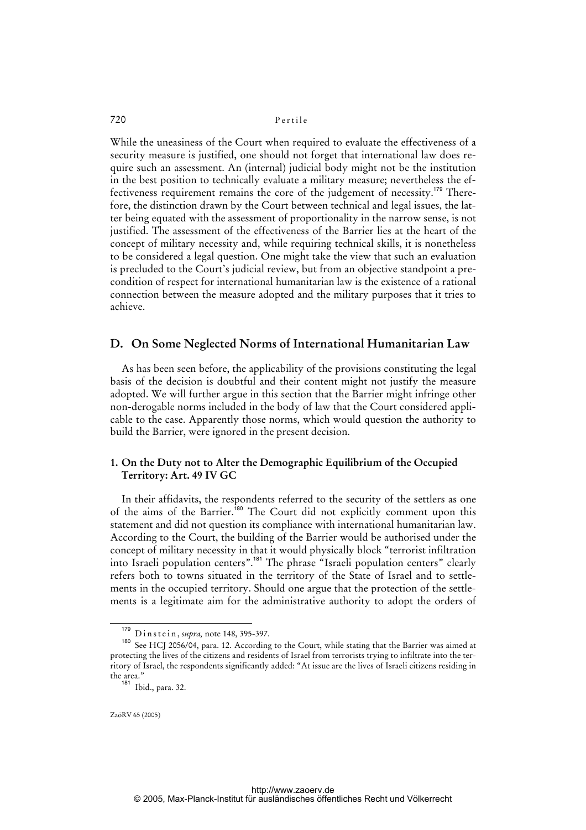While the uneasiness of the Court when required to evaluate the effectiveness of a security measure is justified, one should not forget that international law does require such an assessment. An (internal) judicial body might not be the institution in the best position to technically evaluate a military measure; nevertheless the effectiveness requirement remains the core of the judgement of necessity.<sup>179</sup> Therefore, the distinction drawn by the Court between technical and legal issues, the latter being equated with the assessment of proportionality in the narrow sense, is not justified. The assessment of the effectiveness of the Barrier lies at the heart of the concept of military necessity and, while requiring technical skills, it is nonetheless to be considered a legal question. One might take the view that such an evaluation is precluded to the Court's judicial review, but from an objective standpoint a precondition of respect for international humanitarian law is the existence of a rational connection between the measure adopted and the military purposes that it tries to achieve.

### **D. On Some Neglected Norms of International Humanitarian Law**

As has been seen before, the applicability of the provisions constituting the legal basis of the decision is doubtful and their content might not justify the measure adopted. We will further argue in this section that the Barrier might infringe other non-derogable norms included in the body of law that the Court considered applicable to the case. Apparently those norms, which would question the authority to build the Barrier, were ignored in the present decision.

### **1. On the Duty not to Alter the Demographic Equilibrium of the Occupied Territory: Art. 49 IV GC**

In their affidavits, the respondents referred to the security of the settlers as one of the aims of the Barrier.<sup>180</sup> The Court did not explicitly comment upon this statement and did not question its compliance with international humanitarian law. According to the Court, the building of the Barrier would be authorised under the concept of military necessity in that it would physically block "terrorist infiltration into Israeli population centers".<sup>181</sup> The phrase "Israeli population centers" clearly refers both to towns situated in the territory of the State of Israel and to settlements in the occupied territory. Should one argue that the protection of the settlements is a legitimate aim for the administrative authority to adopt the orders of

<sup>179</sup> D i n s t e i n , *supra,* note 148, 395-397.

<sup>180</sup> See HCJ 2056/04, para. 12. According to the Court, while stating that the Barrier was aimed at protecting the lives of the citizens and residents of Israel from terrorists trying to infiltrate into the territory of Israel, the respondents significantly added: "At issue are the lives of Israeli citizens residing in the area."

<sup>181</sup> Ibid., para. 32.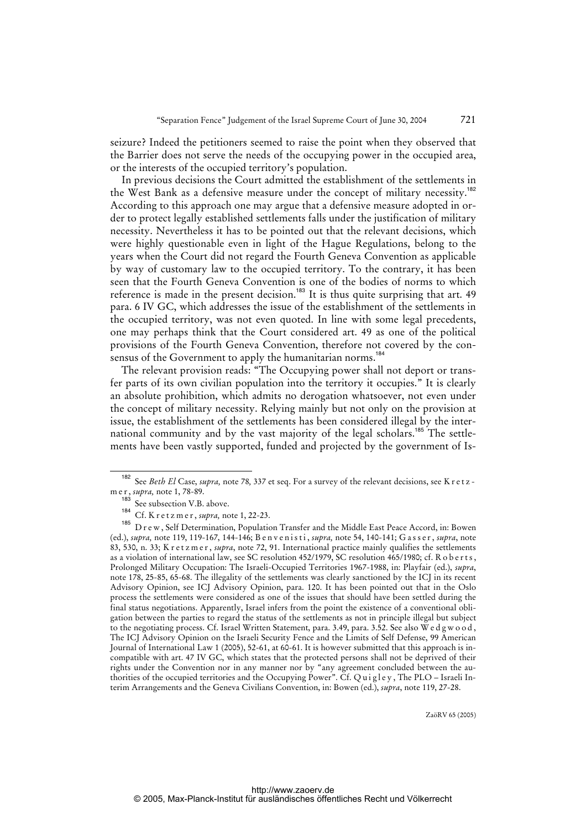seizure? Indeed the petitioners seemed to raise the point when they observed that the Barrier does not serve the needs of the occupying power in the occupied area, or the interests of the occupied territory's population.

In previous decisions the Court admitted the establishment of the settlements in the West Bank as a defensive measure under the concept of military necessity.<sup>182</sup> According to this approach one may argue that a defensive measure adopted in order to protect legally established settlements falls under the justification of military necessity. Nevertheless it has to be pointed out that the relevant decisions, which were highly questionable even in light of the Hague Regulations, belong to the years when the Court did not regard the Fourth Geneva Convention as applicable by way of customary law to the occupied territory. To the contrary, it has been seen that the Fourth Geneva Convention is one of the bodies of norms to which reference is made in the present decision.<sup>183</sup> It is thus quite surprising that art. 49 para. 6 IV GC, which addresses the issue of the establishment of the settlements in the occupied territory, was not even quoted. In line with some legal precedents, one may perhaps think that the Court considered art. 49 as one of the political provisions of the Fourth Geneva Convention, therefore not covered by the consensus of the Government to apply the humanitarian norms.<sup>184</sup>

The relevant provision reads: "The Occupying power shall not deport or transfer parts of its own civilian population into the territory it occupies." It is clearly an absolute prohibition, which admits no derogation whatsoever, not even under the concept of military necessity. Relying mainly but not only on the provision at issue, the establishment of the settlements has been considered illegal by the international community and by the vast majority of the legal scholars.<sup>185</sup> The settlements have been vastly supported, funded and projected by the government of Is-

<sup>182</sup> See *Beth El* Case, *supra,* note 78*,* 337 et seq. For a survey of the relevant decisions, see K r e t z m e r , *supra,* note 1, 78-89.

<sup>&</sup>lt;sup>183</sup> See subsection V.B. above.

<sup>184</sup> Cf. K r e t z m e r, *supra*, note 1, 22-23.

D r e w, Self Determination, Population Transfer and the Middle East Peace Accord, in: Bowen (ed.), *supra,* note 119, 119-167, 144-146; B e n v e n i s t i , *supra,* note 54, 140-141; G a s s e r , *supra*, note 83, 530, n. 33; K r e t z m e r , *supra*, note 72, 91. International practice mainly qualifies the settlements as a violation of international law, see SC resolution 452/1979, SC resolution 465/1980; cf. R o b erts, Prolonged Military Occupation: The Israeli-Occupied Territories 1967-1988, in: Playfair (ed.), *supra*, note 178, 25-85, 65-68. The illegality of the settlements was clearly sanctioned by the ICJ in its recent Advisory Opinion, see ICJ Advisory Opinion, para. 120. It has been pointed out that in the Oslo process the settlements were considered as one of the issues that should have been settled during the final status negotiations. Apparently, Israel infers from the point the existence of a conventional obligation between the parties to regard the status of the settlements as not in principle illegal but subject to the negotiating process. Cf. Israel Written Statement, para. 3.49, para. 3.52. See also W e d g w o o d, The ICJ Advisory Opinion on the Israeli Security Fence and the Limits of Self Defense, 99 American Journal of International Law 1 (2005), 52-61, at 60-61. It is however submitted that this approach is incompatible with art. 47 IV GC, which states that the protected persons shall not be deprived of their rights under the Convention nor in any manner nor by "any agreement concluded between the authorities of the occupied territories and the Occupying Power". Cf. Quigley, The PLO - Israeli Interim Arrangements and the Geneva Civilians Convention, in: Bowen (ed.), *supra*, note 119, 27-28.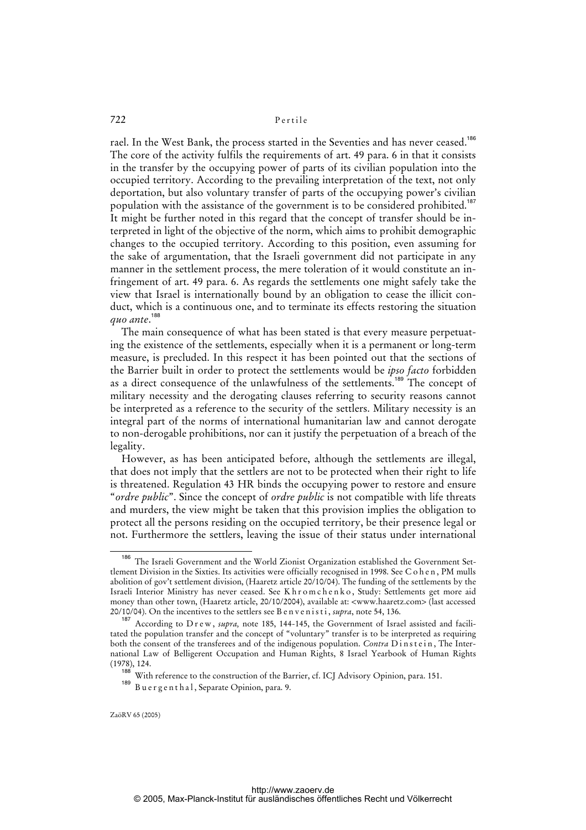rael. In the West Bank, the process started in the Seventies and has never ceased.<sup>186</sup> The core of the activity fulfils the requirements of art. 49 para. 6 in that it consists in the transfer by the occupying power of parts of its civilian population into the occupied territory. According to the prevailing interpretation of the text, not only deportation, but also voluntary transfer of parts of the occupying power's civilian population with the assistance of the government is to be considered prohibited.<sup>187</sup> It might be further noted in this regard that the concept of transfer should be interpreted in light of the objective of the norm, which aims to prohibit demographic changes to the occupied territory. According to this position, even assuming for the sake of argumentation, that the Israeli government did not participate in any manner in the settlement process, the mere toleration of it would constitute an infringement of art. 49 para. 6. As regards the settlements one might safely take the view that Israel is internationally bound by an obligation to cease the illicit conduct, which is a continuous one, and to terminate its effects restoring the situation *quo ante*. 188

The main consequence of what has been stated is that every measure perpetuating the existence of the settlements, especially when it is a permanent or long-term measure, is precluded. In this respect it has been pointed out that the sections of the Barrier built in order to protect the settlements would be *ipso facto* forbidden as a direct consequence of the unlawfulness of the settlements.<sup>189</sup> The concept of military necessity and the derogating clauses referring to security reasons cannot be interpreted as a reference to the security of the settlers. Military necessity is an integral part of the norms of international humanitarian law and cannot derogate to non-derogable prohibitions, nor can it justify the perpetuation of a breach of the legality.

However, as has been anticipated before, although the settlements are illegal, that does not imply that the settlers are not to be protected when their right to life is threatened. Regulation 43 HR binds the occupying power to restore and ensure "*ordre public*". Since the concept of *ordre public* is not compatible with life threats and murders, the view might be taken that this provision implies the obligation to protect all the persons residing on the occupied territory, be their presence legal or not. Furthermore the settlers, leaving the issue of their status under international

<sup>186</sup> The Israeli Government and the World Zionist Organization established the Government Settlement Division in the Sixties. Its activities were officially recognised in 1998. See C o h e n , PM mulls abolition of gov't settlement division, (Haaretz article 20/10/04). The funding of the settlements by the Israeli Interior Ministry has never ceased. See K h r o m c h e n k o , Study: Settlements get more aid money than other town, (Haaretz article, 20/10/2004), available at: <www.haaretz.com> (last accessed 20/10/04). On the incentives to the settlers see B e n v e n i s t i , *supra*, note 54, 136.

<sup>&</sup>lt;sup>187</sup> According to D r e w, *supra*, note 185, 144-145, the Government of Israel assisted and facilitated the population transfer and the concept of "voluntary" transfer is to be interpreted as requiring both the consent of the transferees and of the indigenous population. *Contra Dinstein*, The International Law of Belligerent Occupation and Human Rights, 8 Israel Yearbook of Human Rights (1978), 124.

<sup>188</sup> With reference to the construction of the Barrier, cf. ICJ Advisory Opinion, para. 151.

<sup>189</sup> Bu e r g e n t h a l, Separate Opinion, para. 9.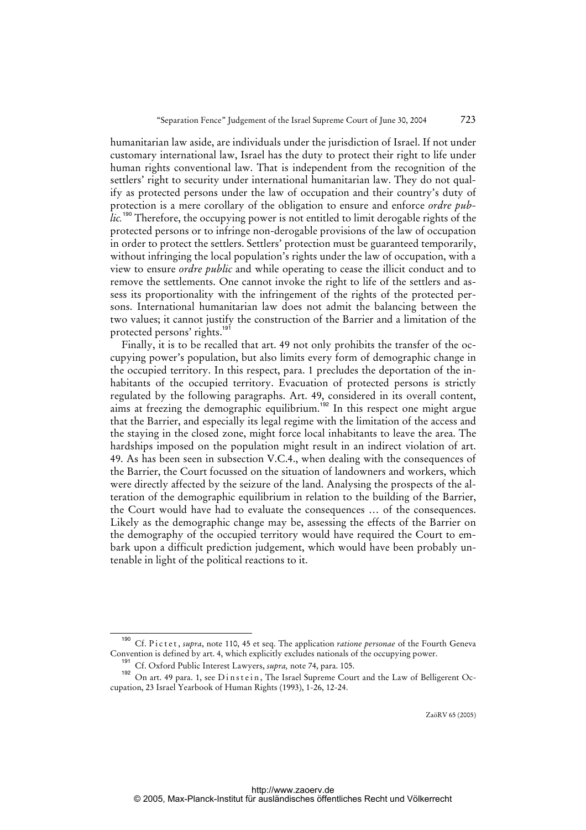humanitarian law aside, are individuals under the jurisdiction of Israel. If not under customary international law, Israel has the duty to protect their right to life under human rights conventional law. That is independent from the recognition of the settlers' right to security under international humanitarian law. They do not qualify as protected persons under the law of occupation and their country's duty of protection is a mere corollary of the obligation to ensure and enforce *ordre pub*lic.<sup>190</sup> Therefore, the occupying power is not entitled to limit derogable rights of the protected persons or to infringe non-derogable provisions of the law of occupation in order to protect the settlers. Settlers' protection must be guaranteed temporarily, without infringing the local population's rights under the law of occupation, with a view to ensure *ordre public* and while operating to cease the illicit conduct and to remove the settlements. One cannot invoke the right to life of the settlers and assess its proportionality with the infringement of the rights of the protected persons. International humanitarian law does not admit the balancing between the two values; it cannot justify the construction of the Barrier and a limitation of the protected persons' rights.<sup>191</sup>

Finally, it is to be recalled that art. 49 not only prohibits the transfer of the occupying power's population, but also limits every form of demographic change in the occupied territory. In this respect, para. 1 precludes the deportation of the inhabitants of the occupied territory. Evacuation of protected persons is strictly regulated by the following paragraphs. Art. 49, considered in its overall content, aims at freezing the demographic equilibrium.<sup>192</sup> In this respect one might argue that the Barrier, and especially its legal regime with the limitation of the access and the staying in the closed zone, might force local inhabitants to leave the area. The hardships imposed on the population might result in an indirect violation of art. 49. As has been seen in subsection V.C.4., when dealing with the consequences of the Barrier, the Court focussed on the situation of landowners and workers, which were directly affected by the seizure of the land. Analysing the prospects of the alteration of the demographic equilibrium in relation to the building of the Barrier, the Court would have had to evaluate the consequences … of the consequences. Likely as the demographic change may be, assessing the effects of the Barrier on the demography of the occupied territory would have required the Court to embark upon a difficult prediction judgement, which would have been probably untenable in light of the political reactions to it.

<sup>&</sup>lt;sup>190</sup> Cf. Pictet, *supra*, note 110, 45 et seq. The application *ratione personae* of the Fourth Geneva Convention is defined by art. 4, which explicitly excludes nationals of the occupying power.

<sup>191</sup> Cf. Oxford Public Interest Lawyers, *supra,* note 74, para. 105.

<sup>192</sup> On art. 49 para. 1, see Dinstein, The Israel Supreme Court and the Law of Belligerent Occupation, 23 Israel Yearbook of Human Rights (1993), 1-26, 12-24.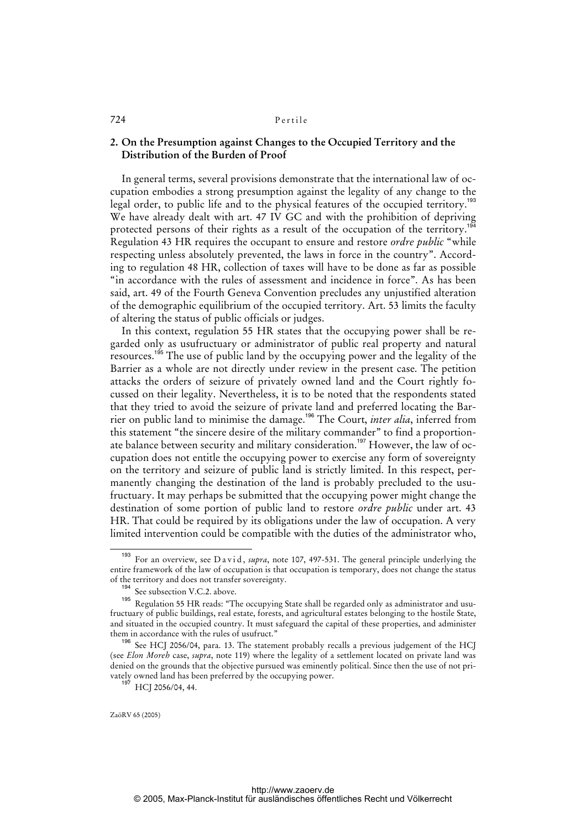### **2. On the Presumption against Changes to the Occupied Territory and the Distribution of the Burden of Proof**

In general terms, several provisions demonstrate that the international law of occupation embodies a strong presumption against the legality of any change to the legal order, to public life and to the physical features of the occupied territory.<sup>193</sup> We have already dealt with art. 47 IV GC and with the prohibition of depriving protected persons of their rights as a result of the occupation of the territory.<sup>194</sup> Regulation 43 HR requires the occupant to ensure and restore *ordre public* "while respecting unless absolutely prevented, the laws in force in the country". According to regulation 48 HR, collection of taxes will have to be done as far as possible "in accordance with the rules of assessment and incidence in force". As has been said, art. 49 of the Fourth Geneva Convention precludes any unjustified alteration of the demographic equilibrium of the occupied territory. Art. 53 limits the faculty of altering the status of public officials or judges.

In this context, regulation 55 HR states that the occupying power shall be regarded only as usufructuary or administrator of public real property and natural resources.<sup>195</sup> The use of public land by the occupying power and the legality of the Barrier as a whole are not directly under review in the present case. The petition attacks the orders of seizure of privately owned land and the Court rightly focussed on their legality. Nevertheless, it is to be noted that the respondents stated that they tried to avoid the seizure of private land and preferred locating the Barrier on public land to minimise the damage.<sup>196</sup> The Court, *inter alia*, inferred from this statement "the sincere desire of the military commander" to find a proportionate balance between security and military consideration.<sup>197</sup> However, the law of occupation does not entitle the occupying power to exercise any form of sovereignty on the territory and seizure of public land is strictly limited. In this respect, permanently changing the destination of the land is probably precluded to the usufructuary. It may perhaps be submitted that the occupying power might change the destination of some portion of public land to restore *ordre public* under art. 43 HR. That could be required by its obligations under the law of occupation. A very limited intervention could be compatible with the duties of the administrator who,

For an overview, see D a vid, *supra*, note 107, 497-531. The general principle underlying the entire framework of the law of occupation is that occupation is temporary, does not change the status of the territory and does not transfer sovereignty.

<sup>&</sup>lt;sup>194</sup> See subsection V.C.2. above.

Regulation 55 HR reads: "The occupying State shall be regarded only as administrator and usufructuary of public buildings, real estate, forests, and agricultural estates belonging to the hostile State, and situated in the occupied country. It must safeguard the capital of these properties, and administer them in accordance with the rules of usufruct."

<sup>&</sup>lt;sup>196</sup> See HCJ 2056/04, para. 13. The statement probably recalls a previous judgement of the HCJ (see *Elon Moreh* case, *supra*, note 119) where the legality of a settlement located on private land was denied on the grounds that the objective pursued was eminently political. Since then the use of not privately owned land has been preferred by the occupying power.

 $HCI 2056/04, 44.$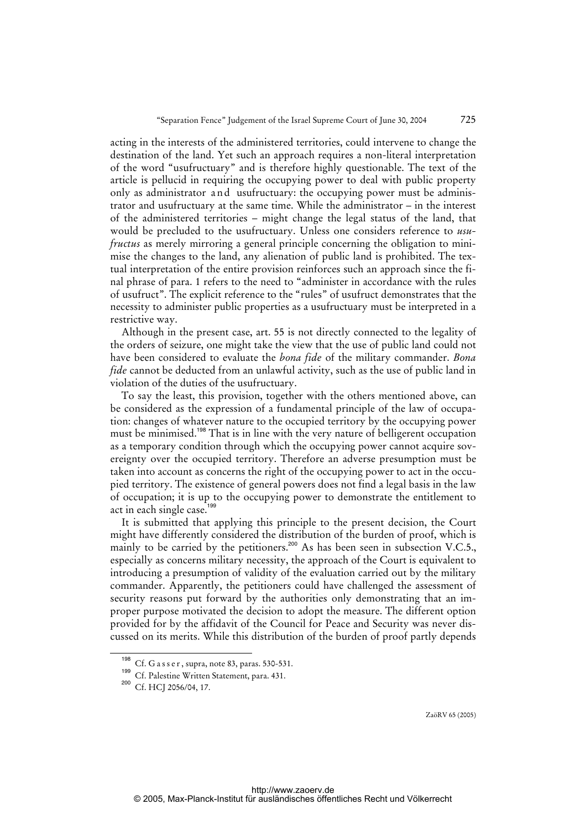acting in the interests of the administered territories, could intervene to change the destination of the land. Yet such an approach requires a non-literal interpretation of the word "usufructuary" and is therefore highly questionable. The text of the article is pellucid in requiring the occupying power to deal with public property only as administrator and usufructuary: the occupying power must be administrator and usufructuary at the same time. While the administrator – in the interest of the administered territories – might change the legal status of the land, that would be precluded to the usufructuary. Unless one considers reference to *usufructus* as merely mirroring a general principle concerning the obligation to minimise the changes to the land, any alienation of public land is prohibited. The textual interpretation of the entire provision reinforces such an approach since the final phrase of para. 1 refers to the need to "administer in accordance with the rules of usufruct". The explicit reference to the "rules" of usufruct demonstrates that the necessity to administer public properties as a usufructuary must be interpreted in a restrictive way.

Although in the present case, art. 55 is not directly connected to the legality of the orders of seizure, one might take the view that the use of public land could not have been considered to evaluate the *bona fide* of the military commander. *Bona fide* cannot be deducted from an unlawful activity, such as the use of public land in violation of the duties of the usufructuary.

To say the least, this provision, together with the others mentioned above, can be considered as the expression of a fundamental principle of the law of occupation: changes of whatever nature to the occupied territory by the occupying power must be minimised.<sup>198</sup> That is in line with the very nature of belligerent occupation as a temporary condition through which the occupying power cannot acquire sovereignty over the occupied territory. Therefore an adverse presumption must be taken into account as concerns the right of the occupying power to act in the occupied territory. The existence of general powers does not find a legal basis in the law of occupation; it is up to the occupying power to demonstrate the entitlement to act in each single case.<sup>199</sup>

It is submitted that applying this principle to the present decision, the Court might have differently considered the distribution of the burden of proof, which is mainly to be carried by the petitioners.<sup>200</sup> As has been seen in subsection V.C.5., especially as concerns military necessity, the approach of the Court is equivalent to introducing a presumption of validity of the evaluation carried out by the military commander. Apparently, the petitioners could have challenged the assessment of security reasons put forward by the authorities only demonstrating that an improper purpose motivated the decision to adopt the measure. The different option provided for by the affidavit of the Council for Peace and Security was never discussed on its merits. While this distribution of the burden of proof partly depends

Cf. G a s s e r, supra, note 83, paras. 530-531.

<sup>199</sup> Cf. Palestine Written Statement, para. 431.

<sup>&</sup>lt;sup>200</sup> Cf. HCJ 2056/04, 17.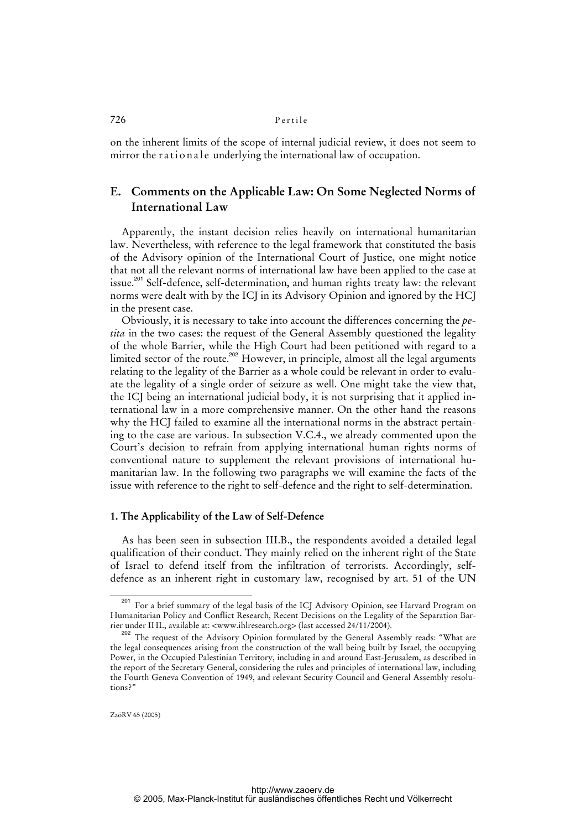on the inherent limits of the scope of internal judicial review, it does not seem to mirror the rationale underlying the international law of occupation.

# **E. Comments on the Applicable Law: On Some Neglected Norms of International Law**

Apparently, the instant decision relies heavily on international humanitarian law. Nevertheless, with reference to the legal framework that constituted the basis of the Advisory opinion of the International Court of Justice, one might notice that not all the relevant norms of international law have been applied to the case at issue.<sup>201</sup> Self-defence, self-determination, and human rights treaty law: the relevant norms were dealt with by the ICJ in its Advisory Opinion and ignored by the HCJ in the present case.

Obviously, it is necessary to take into account the differences concerning the *petita* in the two cases: the request of the General Assembly questioned the legality of the whole Barrier, while the High Court had been petitioned with regard to a limited sector of the route.<sup>202</sup> However, in principle, almost all the legal arguments relating to the legality of the Barrier as a whole could be relevant in order to evaluate the legality of a single order of seizure as well. One might take the view that, the ICJ being an international judicial body, it is not surprising that it applied international law in a more comprehensive manner. On the other hand the reasons why the HCJ failed to examine all the international norms in the abstract pertaining to the case are various. In subsection V.C.4., we already commented upon the Court's decision to refrain from applying international human rights norms of conventional nature to supplement the relevant provisions of international humanitarian law. In the following two paragraphs we will examine the facts of the issue with reference to the right to self-defence and the right to self-determination.

### **1. The Applicability of the Law of Self-Defence**

As has been seen in subsection III.B., the respondents avoided a detailed legal qualification of their conduct. They mainly relied on the inherent right of the State of Israel to defend itself from the infiltration of terrorists. Accordingly, selfdefence as an inherent right in customary law, recognised by art. 51 of the UN

<sup>&</sup>lt;sup>201</sup> For a brief summary of the legal basis of the ICJ Advisory Opinion, see Harvard Program on Humanitarian Policy and Conflict Research, Recent Decisions on the Legality of the Separation Barrier under IHL, available at: <www.ihlresearch.org> (last accessed 24/11/2004).

<sup>202</sup> The request of the Advisory Opinion formulated by the General Assembly reads: "What are the legal consequences arising from the construction of the wall being built by Israel, the occupying Power, in the Occupied Palestinian Territory, including in and around East-Jerusalem, as described in the report of the Secretary General, considering the rules and principles of international law, including the Fourth Geneva Convention of 1949, and relevant Security Council and General Assembly resolutions?"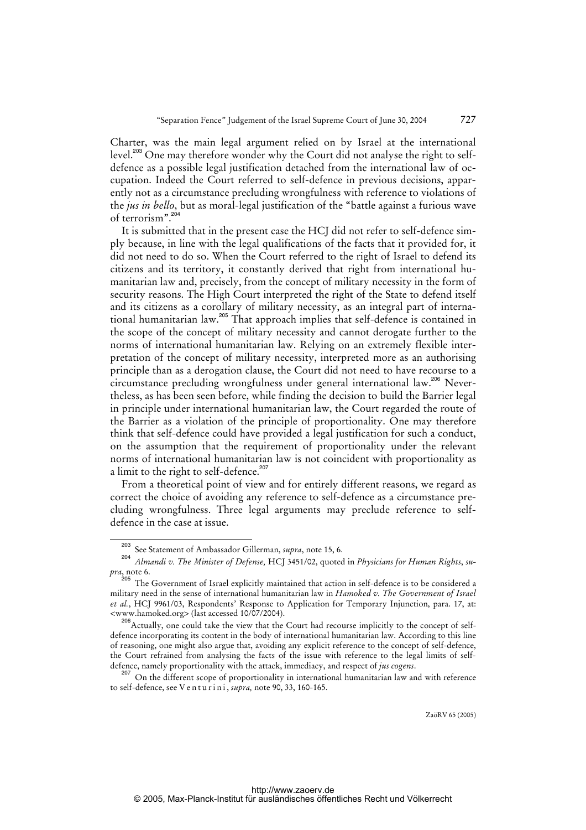Charter, was the main legal argument relied on by Israel at the international level.<sup>203</sup> One may therefore wonder why the Court did not analyse the right to selfdefence as a possible legal justification detached from the international law of occupation. Indeed the Court referred to self-defence in previous decisions, apparently not as a circumstance precluding wrongfulness with reference to violations of the *jus in bello*, but as moral-legal justification of the "battle against a furious wave of terrorism".<sup>204</sup>

It is submitted that in the present case the HCJ did not refer to self-defence simply because, in line with the legal qualifications of the facts that it provided for, it did not need to do so. When the Court referred to the right of Israel to defend its citizens and its territory, it constantly derived that right from international humanitarian law and, precisely, from the concept of military necessity in the form of security reasons. The High Court interpreted the right of the State to defend itself and its citizens as a corollary of military necessity, as an integral part of international humanitarian law.<sup>205</sup> That approach implies that self-defence is contained in the scope of the concept of military necessity and cannot derogate further to the norms of international humanitarian law. Relying on an extremely flexible interpretation of the concept of military necessity, interpreted more as an authorising principle than as a derogation clause, the Court did not need to have recourse to a circumstance precluding wrongfulness under general international law.<sup>206</sup> Nevertheless, as has been seen before, while finding the decision to build the Barrier legal in principle under international humanitarian law, the Court regarded the route of the Barrier as a violation of the principle of proportionality. One may therefore think that self-defence could have provided a legal justification for such a conduct, on the assumption that the requirement of proportionality under the relevant norms of international humanitarian law is not coincident with proportionality as a limit to the right to self-defence.<sup>207</sup>

From a theoretical point of view and for entirely different reasons, we regard as correct the choice of avoiding any reference to self-defence as a circumstance precluding wrongfulness. Three legal arguments may preclude reference to selfdefence in the case at issue.

<sup>203</sup> See Statement of Ambassador Gillerman, *supra*, note 15, 6.

<sup>204</sup> *Almandi v. The Minister of Defense,* HCJ 3451/02, quoted in *Physicians for Human Rights*, *supra*, note 6.

 $^{205}$  The Government of Israel explicitly maintained that action in self-defence is to be considered a military need in the sense of international humanitarian law in *Hamoked v. The Government of Israel et al.*, HCJ 9961/03, Respondents' Response to Application for Temporary Injunction, para. 17, at: <www.hamoked.org> (last accessed 10/07/2004).

<sup>206</sup>Actually, one could take the view that the Court had recourse implicitly to the concept of selfdefence incorporating its content in the body of international humanitarian law. According to this line of reasoning, one might also argue that, avoiding any explicit reference to the concept of self-defence, the Court refrained from analysing the facts of the issue with reference to the legal limits of selfdefence, namely proportionality with the attack, immediacy, and respect of *jus cogens*.

<sup>&</sup>lt;sup>207</sup> On the different scope of proportionality in international humanitarian law and with reference to self-defence, see V e n t u r i n i , *supra,* note 90, 33, 160-165.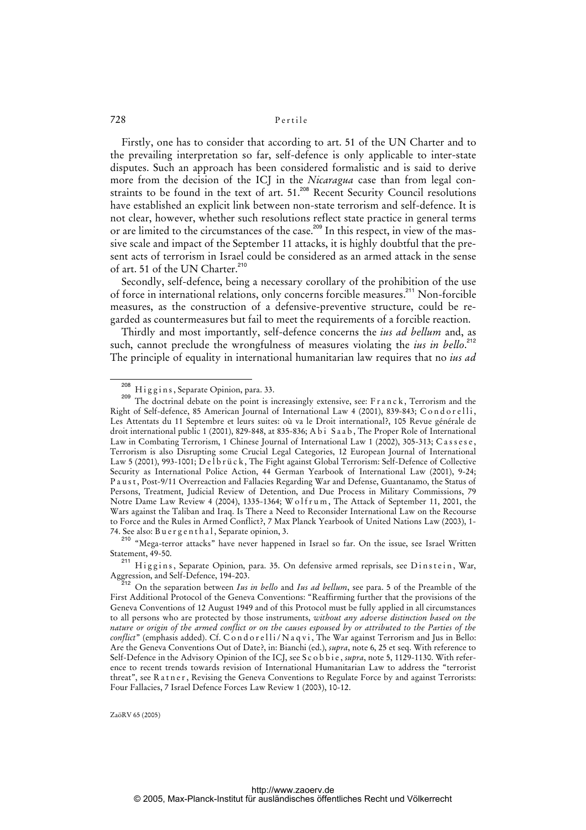Firstly, one has to consider that according to art. 51 of the UN Charter and to the prevailing interpretation so far, self-defence is only applicable to inter-state disputes. Such an approach has been considered formalistic and is said to derive more from the decision of the ICJ in the *Nicaragua* case than from legal constraints to be found in the text of art. 51.<sup>208</sup> Recent Security Council resolutions have established an explicit link between non-state terrorism and self-defence. It is not clear, however, whether such resolutions reflect state practice in general terms or are limited to the circumstances of the case.<sup>209</sup> In this respect, in view of the massive scale and impact of the September 11 attacks, it is highly doubtful that the present acts of terrorism in Israel could be considered as an armed attack in the sense of art. 51 of the UN Charter.<sup>210</sup>

Secondly, self-defence, being a necessary corollary of the prohibition of the use of force in international relations, only concerns forcible measures.<sup>211</sup> Non-forcible measures, as the construction of a defensive-preventive structure, could be regarded as countermeasures but fail to meet the requirements of a forcible reaction.

Thirdly and most importantly, self-defence concerns the *ius ad bellum* and, as such, cannot preclude the wrongfulness of measures violating the *ius in bello*.<sup>212</sup> The principle of equality in international humanitarian law requires that no *ius ad* 

 $^{208}$  Higgins, Separate Opinion, para. 33.

The doctrinal debate on the point is increasingly extensive, see: F r a n c k, Terrorism and the Right of Self-defence, 85 American Journal of International Law 4 (2001), 839-843; C o n d o r e l l i , Les Attentats du 11 Septembre et leurs suites: où va le Droit international?, 105 Revue générale de droit international public 1 (2001), 829-848, at 835-836; A b i Saab, The Proper Role of International Law in Combating Terrorism, 1 Chinese Journal of International Law 1 (2002), 305-313; Cassese, Terrorism is also Disrupting some Crucial Legal Categories, 12 European Journal of International Law 5 (2001), 993-1001; Delbrück, The Fight against Global Terrorism: Self-Defence of Collective Security as International Police Action, 44 German Yearbook of International Law (2001), 9-24; P a u s t , Post-9/11 Overreaction and Fallacies Regarding War and Defense, Guantanamo, the Status of Persons, Treatment, Judicial Review of Detention, and Due Process in Military Commissions, 79 Notre Dame Law Review 4 (2004), 1335-1364; W o l f r u m, The Attack of September 11, 2001, the Wars against the Taliban and Iraq. Is There a Need to Reconsider International Law on the Recourse to Force and the Rules in Armed Conflict?, 7 Max Planck Yearbook of United Nations Law (2003), 1- 74. See also: Buergenthal, Separate opinion, 3.

<sup>210 &</sup>quot;Mega-terror attacks" have never happened in Israel so far. On the issue, see Israel Written Statement, 49-50.

<sup>211</sup> Higgins, Separate Opinion, para. 35. On defensive armed reprisals, see Dinstein, War, Aggression, and Self-Defence, 194-203.

<sup>212</sup> On the separation between *Ius in bello* and *Ius ad bellum*, see para. 5 of the Preamble of the First Additional Protocol of the Geneva Conventions: "Reaffirming further that the provisions of the Geneva Conventions of 12 August 1949 and of this Protocol must be fully applied in all circumstances to all persons who are protected by those instruments, *without any adverse distinction based on the nature or origin of the armed conflict or on the causes espoused by or attributed to the Parties of the conflict*" (emphasis added). Cf. C o n d o r elli/N a q v i, The War against Terrorism and Jus in Bello: Are the Geneva Conventions Out of Date?, in: Bianchi (ed.), *supra*, note 6, 25 et seq. With reference to Self-Defence in the Advisory Opinion of the ICJ, see S c o b b i e , *supra*, note 5, 1129-1130. With reference to recent trends towards revision of International Humanitarian Law to address the "terrorist threat", see R a t n e r, Revising the Geneva Conventions to Regulate Force by and against Terrorists: Four Fallacies, 7 Israel Defence Forces Law Review 1 (2003), 10-12.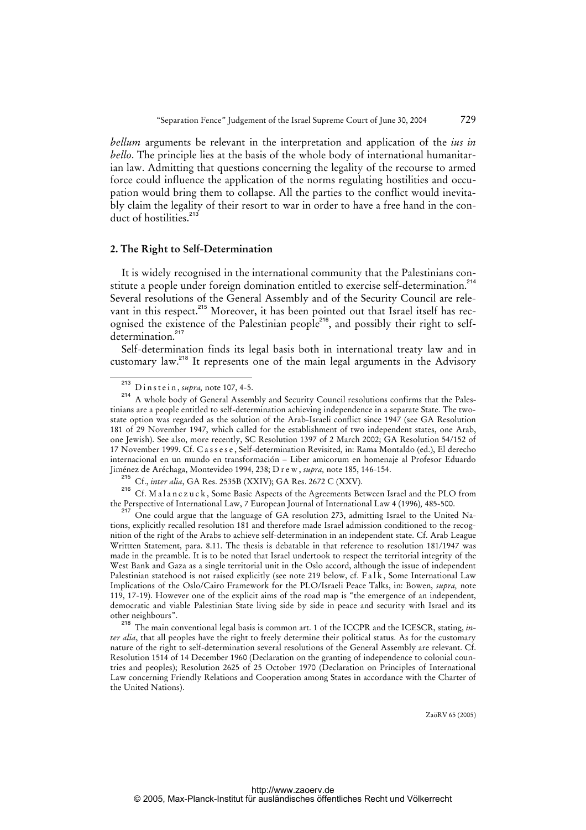*bellum* arguments be relevant in the interpretation and application of the *ius in bello*. The principle lies at the basis of the whole body of international humanitarian law. Admitting that questions concerning the legality of the recourse to armed force could influence the application of the norms regulating hostilities and occupation would bring them to collapse. All the parties to the conflict would inevitably claim the legality of their resort to war in order to have a free hand in the conduct of hostilities.<sup>213</sup>

### **2. The Right to Self-Determination**

It is widely recognised in the international community that the Palestinians constitute a people under foreign domination entitled to exercise self-determination.<sup>214</sup> Several resolutions of the General Assembly and of the Security Council are relevant in this respect.<sup>215</sup> Moreover, it has been pointed out that Israel itself has recognised the existence of the Palestinian people<sup>216</sup>, and possibly their right to selfdetermination.<sup>217</sup>

Self-determination finds its legal basis both in international treaty law and in customary law.<sup>218</sup> It represents one of the main legal arguments in the Advisory

<sup>215</sup> Cf., *inter alia*, GA Res. 2535B (XXIV); GA Res. 2672 C (XXV).<br><sup>216</sup> Cf. Malangguak, Some Basic Aspects of the Agreements Be

Cf. Malanczuck, Some Basic Aspects of the Agreements Between Israel and the PLO from the Perspective of International Law, 7 European Journal of International Law 4 (1996)*,* 485-500.

<sup>217</sup> One could argue that the language of GA resolution 273, admitting Israel to the United Nations, explicitly recalled resolution 181 and therefore made Israel admission conditioned to the recognition of the right of the Arabs to achieve self-determination in an independent state. Cf. Arab League Writtten Statement, para. 8.11. The thesis is debatable in that reference to resolution 181/1947 was made in the preamble. It is to be noted that Israel undertook to respect the territorial integrity of the West Bank and Gaza as a single territorial unit in the Oslo accord, although the issue of independent Palestinian statehood is not raised explicitly (see note 219 below, cf. Falk, Some International Law Implications of the Oslo/Cairo Framework for the PLO/Israeli Peace Talks, in: Bowen, *supra,* note 119, 17-19). However one of the explicit aims of the road map is "the emergence of an independent, democratic and viable Palestinian State living side by side in peace and security with Israel and its other neighbours".

<sup>218</sup> The main conventional legal basis is common art. 1 of the ICCPR and the ICESCR, stating, *inter alia*, that all peoples have the right to freely determine their political status. As for the customary nature of the right to self-determination several resolutions of the General Assembly are relevant. Cf. Resolution 1514 of 14 December 1960 (Declaration on the granting of independence to colonial countries and peoples); Resolution 2625 of 25 October 1970 (Declaration on Principles of International Law concerning Friendly Relations and Cooperation among States in accordance with the Charter of the United Nations).

<sup>&</sup>lt;sup>213</sup> D in s t e in, *supra*, note 107, 4-5.<br><sup>214</sup> A whole body of General Assem

A whole body of General Assembly and Security Council resolutions confirms that the Palestinians are a people entitled to self-determination achieving independence in a separate State. The twostate option was regarded as the solution of the Arab-Israeli conflict since 1947 (see GA Resolution 181 of 29 November 1947, which called for the establishment of two independent states, one Arab, one Jewish). See also, more recently, SC Resolution 1397 of 2 March 2002; GA Resolution 54/152 of 17 November 1999. Cf. C a s s e s e , Self-determination Revisited*,* in: Rama Montaldo (ed.), El derecho internacional en un mundo en transformación – Liber amicorum en homenaje al Profesor Eduardo Jiménez de Aréchaga, Montevideo 1994, 238; D r e w , *supra,* note 185, 146-154.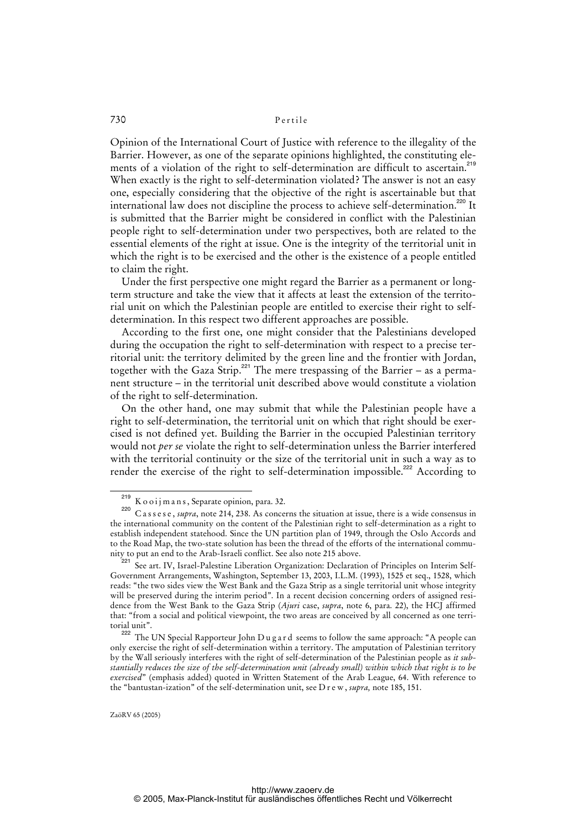Opinion of the International Court of Justice with reference to the illegality of the Barrier. However, as one of the separate opinions highlighted, the constituting elements of a violation of the right to self-determination are difficult to ascertain.<sup>219</sup> When exactly is the right to self-determination violated? The answer is not an easy one, especially considering that the objective of the right is ascertainable but that international law does not discipline the process to achieve self-determination.<sup>220</sup> It is submitted that the Barrier might be considered in conflict with the Palestinian people right to self-determination under two perspectives, both are related to the essential elements of the right at issue. One is the integrity of the territorial unit in which the right is to be exercised and the other is the existence of a people entitled to claim the right.

Under the first perspective one might regard the Barrier as a permanent or longterm structure and take the view that it affects at least the extension of the territorial unit on which the Palestinian people are entitled to exercise their right to selfdetermination. In this respect two different approaches are possible.

According to the first one, one might consider that the Palestinians developed during the occupation the right to self-determination with respect to a precise territorial unit: the territory delimited by the green line and the frontier with Jordan, together with the Gaza Strip.<sup>221</sup> The mere trespassing of the Barrier – as a permanent structure – in the territorial unit described above would constitute a violation of the right to self-determination.

On the other hand, one may submit that while the Palestinian people have a right to self-determination, the territorial unit on which that right should be exercised is not defined yet. Building the Barrier in the occupied Palestinian territory would not *per se* violate the right to self-determination unless the Barrier interfered with the territorial continuity or the size of the territorial unit in such a way as to render the exercise of the right to self-determination impossible.<sup>222</sup> According to

 $\frac{219}{220}$  K o o i j m a n s, Separate opinion, para. 32.

C a s s e s e, *supra*, note 214, 238. As concerns the situation at issue, there is a wide consensus in the international community on the content of the Palestinian right to self-determination as a right to establish independent statehood. Since the UN partition plan of 1949, through the Oslo Accords and to the Road Map, the two-state solution has been the thread of the efforts of the international community to put an end to the Arab-Israeli conflict. See also note 215 above.

<sup>&</sup>lt;sup>221</sup> See art. IV, Israel-Palestine Liberation Organization: Declaration of Principles on Interim Self-Government Arrangements, Washington, September 13, 2003, I.L.M. (1993), 1525 et seq., 1528, which reads: "the two sides view the West Bank and the Gaza Strip as a single territorial unit whose integrity will be preserved during the interim period". In a recent decision concerning orders of assigned residence from the West Bank to the Gaza Strip (*Ajuri* case, *supra*, note 6, para. 22), the HCJ affirmed that: "from a social and political viewpoint, the two areas are conceived by all concerned as one territorial unit".

and 222 The UN Special Rapporteur John D u g a r d seems to follow the same approach: "A people can only exercise the right of self-determination within a territory. The amputation of Palestinian territory by the Wall seriously interferes with the right of self-determination of the Palestinian people as *it substantially reduces the size of the self-determination unit (already small) within which that right is to be exercised*" (emphasis added) quoted in Written Statement of the Arab League, 64. With reference to the "bantustan-ization" of the self-determination unit, see D r e w , *supra,* note 185, 151.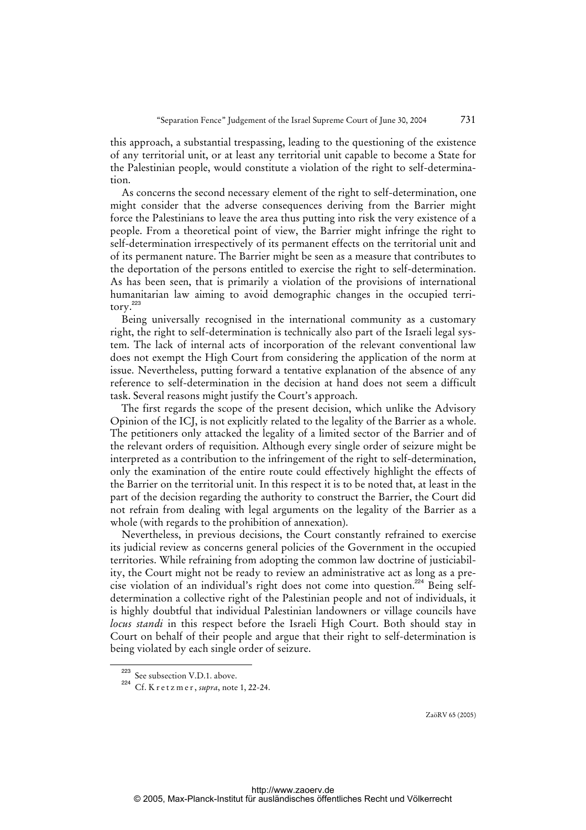this approach, a substantial trespassing, leading to the questioning of the existence of any territorial unit, or at least any territorial unit capable to become a State for the Palestinian people, would constitute a violation of the right to self-determination.

As concerns the second necessary element of the right to self-determination, one might consider that the adverse consequences deriving from the Barrier might force the Palestinians to leave the area thus putting into risk the very existence of a people. From a theoretical point of view, the Barrier might infringe the right to self-determination irrespectively of its permanent effects on the territorial unit and of its permanent nature. The Barrier might be seen as a measure that contributes to the deportation of the persons entitled to exercise the right to self-determination. As has been seen, that is primarily a violation of the provisions of international humanitarian law aiming to avoid demographic changes in the occupied territory.<sup>223</sup>

Being universally recognised in the international community as a customary right, the right to self-determination is technically also part of the Israeli legal system. The lack of internal acts of incorporation of the relevant conventional law does not exempt the High Court from considering the application of the norm at issue. Nevertheless, putting forward a tentative explanation of the absence of any reference to self-determination in the decision at hand does not seem a difficult task. Several reasons might justify the Court's approach.

The first regards the scope of the present decision, which unlike the Advisory Opinion of the ICJ, is not explicitly related to the legality of the Barrier as a whole. The petitioners only attacked the legality of a limited sector of the Barrier and of the relevant orders of requisition. Although every single order of seizure might be interpreted as a contribution to the infringement of the right to self-determination, only the examination of the entire route could effectively highlight the effects of the Barrier on the territorial unit. In this respect it is to be noted that, at least in the part of the decision regarding the authority to construct the Barrier, the Court did not refrain from dealing with legal arguments on the legality of the Barrier as a whole (with regards to the prohibition of annexation).

Nevertheless, in previous decisions, the Court constantly refrained to exercise its judicial review as concerns general policies of the Government in the occupied territories. While refraining from adopting the common law doctrine of justiciability, the Court might not be ready to review an administrative act as long as a precise violation of an individual's right does not come into question.<sup>224</sup> Being selfdetermination a collective right of the Palestinian people and not of individuals, it is highly doubtful that individual Palestinian landowners or village councils have *locus standi* in this respect before the Israeli High Court. Both should stay in Court on behalf of their people and argue that their right to self-determination is being violated by each single order of seizure.

See subsection V.D.1. above.

<sup>224</sup> Cf. K r e t z m e r , *supra*, note 1, 22-24.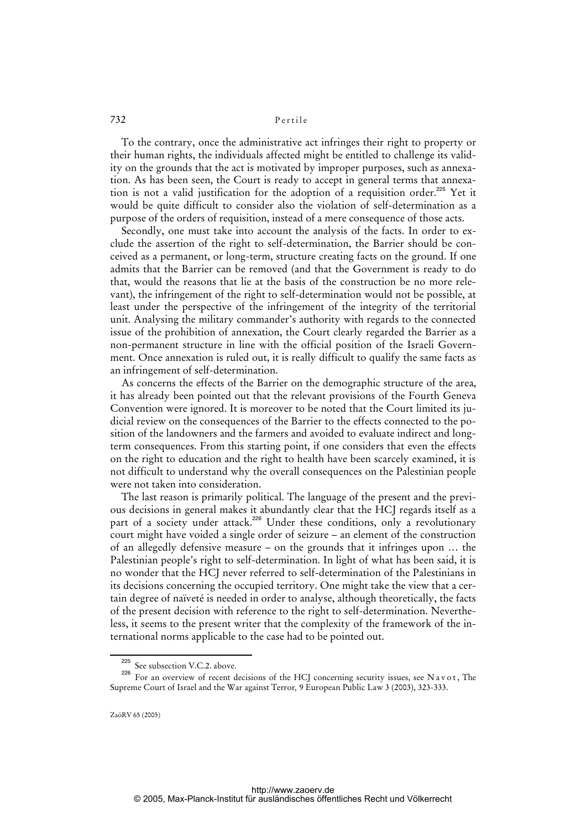To the contrary, once the administrative act infringes their right to property or their human rights, the individuals affected might be entitled to challenge its validity on the grounds that the act is motivated by improper purposes, such as annexation. As has been seen, the Court is ready to accept in general terms that annexation is not a valid justification for the adoption of a requisition order.<sup>225</sup> Yet it would be quite difficult to consider also the violation of self-determination as a purpose of the orders of requisition, instead of a mere consequence of those acts.

Secondly, one must take into account the analysis of the facts. In order to exclude the assertion of the right to self-determination, the Barrier should be conceived as a permanent, or long-term, structure creating facts on the ground. If one admits that the Barrier can be removed (and that the Government is ready to do that, would the reasons that lie at the basis of the construction be no more relevant), the infringement of the right to self-determination would not be possible, at least under the perspective of the infringement of the integrity of the territorial unit. Analysing the military commander's authority with regards to the connected issue of the prohibition of annexation, the Court clearly regarded the Barrier as a non-permanent structure in line with the official position of the Israeli Government. Once annexation is ruled out, it is really difficult to qualify the same facts as an infringement of self-determination.

As concerns the effects of the Barrier on the demographic structure of the area, it has already been pointed out that the relevant provisions of the Fourth Geneva Convention were ignored. It is moreover to be noted that the Court limited its judicial review on the consequences of the Barrier to the effects connected to the position of the landowners and the farmers and avoided to evaluate indirect and longterm consequences. From this starting point, if one considers that even the effects on the right to education and the right to health have been scarcely examined, it is not difficult to understand why the overall consequences on the Palestinian people were not taken into consideration.

The last reason is primarily political. The language of the present and the previous decisions in general makes it abundantly clear that the HCJ regards itself as a part of a society under attack.<sup>226</sup> Under these conditions, only a revolutionary court might have voided a single order of seizure – an element of the construction of an allegedly defensive measure – on the grounds that it infringes upon … the Palestinian people's right to self-determination. In light of what has been said, it is no wonder that the HCJ never referred to self-determination of the Palestinians in its decisions concerning the occupied territory. One might take the view that a certain degree of naïveté is needed in order to analyse, although theoretically, the facts of the present decision with reference to the right to self-determination. Nevertheless, it seems to the present writer that the complexity of the framework of the international norms applicable to the case had to be pointed out.

See subsection V.C.2. above.

<sup>&</sup>lt;sup>226</sup> For an overview of recent decisions of the HCJ concerning security issues, see N a v o t, The Supreme Court of Israel and the War against Terror*,* 9 European Public Law 3 (2003), 323-333.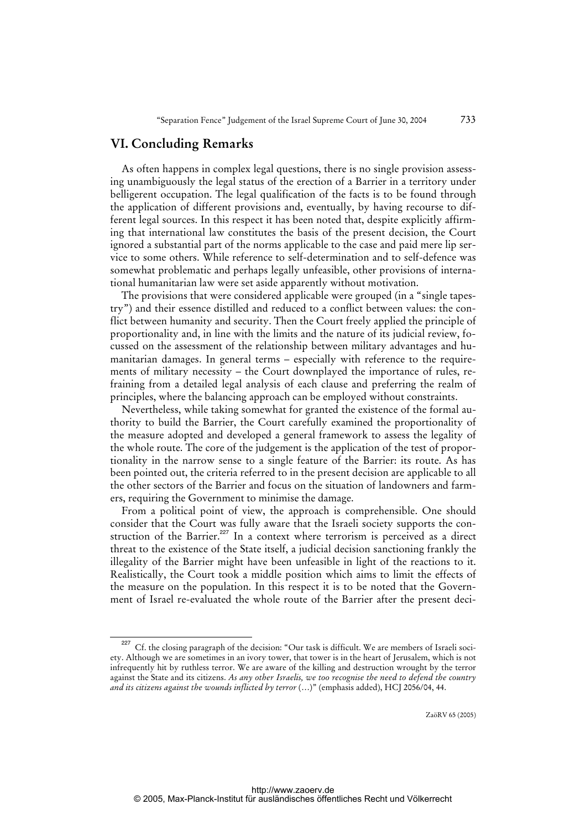### **VI. Concluding Remarks**

As often happens in complex legal questions, there is no single provision assessing unambiguously the legal status of the erection of a Barrier in a territory under belligerent occupation. The legal qualification of the facts is to be found through the application of different provisions and, eventually, by having recourse to different legal sources. In this respect it has been noted that, despite explicitly affirming that international law constitutes the basis of the present decision, the Court ignored a substantial part of the norms applicable to the case and paid mere lip service to some others. While reference to self-determination and to self-defence was somewhat problematic and perhaps legally unfeasible, other provisions of international humanitarian law were set aside apparently without motivation.

The provisions that were considered applicable were grouped (in a "single tapestry") and their essence distilled and reduced to a conflict between values: the conflict between humanity and security. Then the Court freely applied the principle of proportionality and, in line with the limits and the nature of its judicial review, focussed on the assessment of the relationship between military advantages and humanitarian damages. In general terms – especially with reference to the requirements of military necessity – the Court downplayed the importance of rules, refraining from a detailed legal analysis of each clause and preferring the realm of principles, where the balancing approach can be employed without constraints.

Nevertheless, while taking somewhat for granted the existence of the formal authority to build the Barrier, the Court carefully examined the proportionality of the measure adopted and developed a general framework to assess the legality of the whole route. The core of the judgement is the application of the test of proportionality in the narrow sense to a single feature of the Barrier: its route. As has been pointed out, the criteria referred to in the present decision are applicable to all the other sectors of the Barrier and focus on the situation of landowners and farmers, requiring the Government to minimise the damage.

From a political point of view, the approach is comprehensible. One should consider that the Court was fully aware that the Israeli society supports the construction of the Barrier.<sup>227</sup> In a context where terrorism is perceived as a direct threat to the existence of the State itself, a judicial decision sanctioning frankly the illegality of the Barrier might have been unfeasible in light of the reactions to it. Realistically, the Court took a middle position which aims to limit the effects of the measure on the population. In this respect it is to be noted that the Government of Israel re-evaluated the whole route of the Barrier after the present deci-

Cf. the closing paragraph of the decision: "Our task is difficult. We are members of Israeli society. Although we are sometimes in an ivory tower, that tower is in the heart of Jerusalem, which is not infrequently hit by ruthless terror. We are aware of the killing and destruction wrought by the terror against the State and its citizens. *As any other Israelis, we too recognise the need to defend the country and its citizens against the wounds inflicted by terror* (…)" (emphasis added), HCJ 2056/04, 44.